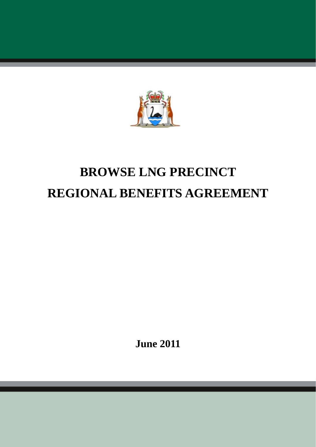

# **BROWSE LNG PRECINCT REGIONAL BENEFITS AGREEMENT**

**June 2011**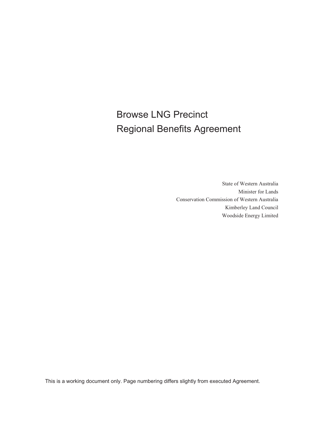State of Western Australia Minister for Lands Conservation Commission of Western Australia Kimberley Land Council Woodside Energy Limited

This is a working document only. Page numbering differs slightly from executed Agreement.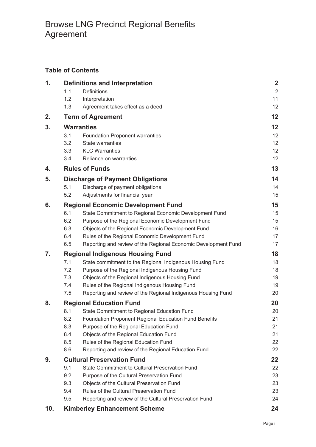## **Table of Contents**

| $\mathbf 1$ . | <b>Definitions and Interpretation</b> |                                                                                             |                |  |  |
|---------------|---------------------------------------|---------------------------------------------------------------------------------------------|----------------|--|--|
|               | 1.1                                   | <b>Definitions</b>                                                                          | $\overline{2}$ |  |  |
|               | 1.2                                   | Interpretation                                                                              | 11             |  |  |
|               | 1.3                                   | Agreement takes effect as a deed                                                            | 12             |  |  |
| 2.            |                                       | <b>Term of Agreement</b>                                                                    | 12             |  |  |
| 3.            | <b>Warranties</b>                     |                                                                                             |                |  |  |
|               | 3.1                                   | <b>Foundation Proponent warranties</b>                                                      | 12             |  |  |
|               | 3.2                                   | State warranties                                                                            | 12             |  |  |
|               | 3.3                                   | <b>KLC Warranties</b>                                                                       | 12             |  |  |
|               | 3.4                                   | Reliance on warranties                                                                      | 12             |  |  |
| 4.            |                                       | <b>Rules of Funds</b>                                                                       | 13             |  |  |
| 5.            |                                       | <b>Discharge of Payment Obligations</b>                                                     | 14             |  |  |
|               | 5.1                                   | Discharge of payment obligations                                                            | 14             |  |  |
|               | 5.2                                   | Adjustments for financial year                                                              | 15             |  |  |
| 6.            |                                       | <b>Regional Economic Development Fund</b>                                                   | 15             |  |  |
|               | 6.1                                   | State Commitment to Regional Economic Development Fund                                      | 15             |  |  |
|               | 6.2                                   | Purpose of the Regional Economic Development Fund                                           | 15             |  |  |
|               | 6.3                                   | Objects of the Regional Economic Development Fund                                           | 16             |  |  |
|               | 6.4                                   | Rules of the Regional Economic Development Fund                                             | 17             |  |  |
|               | 6.5                                   | Reporting and review of the Regional Economic Development Fund                              | 17             |  |  |
| 7.            |                                       | <b>Regional Indigenous Housing Fund</b>                                                     | 18             |  |  |
|               | 7.1                                   | State commitment to the Regional Indigenous Housing Fund                                    | 18             |  |  |
|               | 7.2                                   | Purpose of the Regional Indigenous Housing Fund                                             | 18             |  |  |
|               | 7.3                                   | Objects of the Regional Indigenous Housing Fund                                             | 19             |  |  |
|               | 7.4                                   | Rules of the Regional Indigenous Housing Fund                                               | 19             |  |  |
|               | 7.5                                   | Reporting and review of the Regional Indigenous Housing Fund                                | 20             |  |  |
| 8.            |                                       | <b>Regional Education Fund</b>                                                              | 20             |  |  |
|               | 8.1                                   | State Commitment to Regional Education Fund                                                 | 20             |  |  |
|               | 8.2                                   | Foundation Proponent Regional Education Fund Benefits                                       | 21             |  |  |
|               | 8.3                                   | Purpose of the Regional Education Fund                                                      | 21             |  |  |
|               | 8.4                                   | Objects of the Regional Education Fund                                                      | 21             |  |  |
|               | 8.5<br>8.6                            | Rules of the Regional Education Fund<br>Reporting and review of the Regional Education Fund | 22<br>22       |  |  |
| 9.            |                                       | <b>Cultural Preservation Fund</b>                                                           |                |  |  |
|               | 9.1                                   | State Commitment to Cultural Preservation Fund                                              | 22<br>22       |  |  |
|               | 9.2                                   | Purpose of the Cultural Preservation Fund                                                   | 23             |  |  |
|               | 9.3                                   | Objects of the Cultural Preservation Fund                                                   | 23             |  |  |
|               | 9.4                                   | Rules of the Cultural Preservation Fund                                                     | 23             |  |  |
|               | 9.5                                   | Reporting and review of the Cultural Preservation Fund                                      | 24             |  |  |
| 10.           |                                       | <b>Kimberley Enhancement Scheme</b>                                                         | 24             |  |  |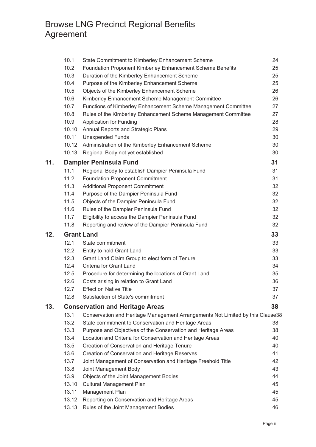|     | 10.1  | State Commitment to Kimberley Enhancement Scheme                               | 24 |
|-----|-------|--------------------------------------------------------------------------------|----|
|     | 10.2  | Foundation Proponent Kimberley Enhancement Scheme Benefits                     | 25 |
|     | 10.3  | Duration of the Kimberley Enhancement Scheme                                   | 25 |
|     | 10.4  | Purpose of the Kimberley Enhancement Scheme                                    | 25 |
|     | 10.5  | Objects of the Kimberley Enhancement Scheme                                    | 26 |
|     | 10.6  | Kimberley Enhancement Scheme Management Committee                              | 26 |
|     | 10.7  | Functions of Kimberley Enhancement Scheme Management Committee                 | 27 |
|     | 10.8  | Rules of the Kimberley Enhancement Scheme Management Committee                 | 27 |
|     | 10.9  | <b>Application for Funding</b>                                                 | 28 |
|     | 10.10 | Annual Reports and Strategic Plans                                             | 29 |
|     | 10.11 | <b>Unexpended Funds</b>                                                        | 30 |
|     | 10.12 | Administration of the Kimberley Enhancement Scheme                             | 30 |
|     | 10.13 | Regional Body not yet established                                              | 30 |
| 11. |       | Dampier Peninsula Fund                                                         | 31 |
|     | 11.1  | Regional Body to establish Dampier Peninsula Fund                              | 31 |
|     | 11.2  | <b>Foundation Proponent Commitment</b>                                         | 31 |
|     | 11.3  | <b>Additional Proponent Commitment</b>                                         | 32 |
|     | 11.4  | Purpose of the Dampier Peninsula Fund                                          | 32 |
|     | 11.5  | Objects of the Dampier Peninsula Fund                                          | 32 |
|     | 11.6  | Rules of the Dampier Peninsula Fund                                            | 32 |
|     | 11.7  | Eligibility to access the Dampier Peninsula Fund                               | 32 |
|     | 11.8  | Reporting and review of the Dampier Peninsula Fund                             | 32 |
| 12. |       | <b>Grant Land</b>                                                              | 33 |
|     | 12.1  | State commitment                                                               | 33 |
|     | 12.2  | Entity to hold Grant Land                                                      | 33 |
|     | 12.3  | Grant Land Claim Group to elect form of Tenure                                 | 33 |
|     | 12.4  | Criteria for Grant Land                                                        | 34 |
|     | 12.5  | Procedure for determining the locations of Grant Land                          | 35 |
|     | 12.6  | Costs arising in relation to Grant Land                                        | 36 |
|     | 12.7  | <b>Effect on Native Title</b>                                                  | 37 |
|     | 12.8  | Satisfaction of State's commitment                                             | 37 |
| 13. |       | <b>Conservation and Heritage Areas</b>                                         | 38 |
|     | 13.1  | Conservation and Heritage Management Arrangements Not Limited by this Clause38 |    |
|     | 13.2  | State commitment to Conservation and Heritage Areas                            | 38 |
|     | 13.3  | Purpose and Objectives of the Conservation and Heritage Areas                  | 38 |
|     | 13.4  | Location and Criteria for Conservation and Heritage Areas                      | 40 |
|     | 13.5  | Creation of Conservation and Heritage Tenure                                   | 40 |
|     | 13.6  | Creation of Conservation and Heritage Reserves                                 | 41 |
|     | 13.7  | Joint Management of Conservation and Heritage Freehold Title                   | 42 |
|     | 13.8  | Joint Management Body                                                          | 43 |
|     | 13.9  | Objects of the Joint Management Bodies                                         | 44 |
|     | 13.10 | <b>Cultural Management Plan</b>                                                | 45 |
|     | 13.11 | Management Plan                                                                | 45 |
|     | 13.12 | Reporting on Conservation and Heritage Areas                                   | 45 |
|     | 13.13 | Rules of the Joint Management Bodies                                           | 46 |
|     |       |                                                                                |    |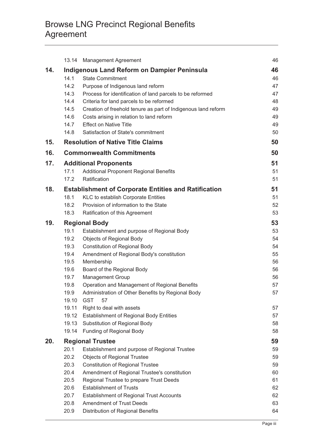|     | 13.14                                                       | <b>Management Agreement</b>                                   | 46 |  |  |  |
|-----|-------------------------------------------------------------|---------------------------------------------------------------|----|--|--|--|
| 14. |                                                             | <b>Indigenous Land Reform on Dampier Peninsula</b>            | 46 |  |  |  |
|     | 14.1                                                        | <b>State Commitment</b>                                       |    |  |  |  |
|     | 14.2                                                        | Purpose of Indigenous land reform                             | 47 |  |  |  |
|     | 14.3                                                        | Process for identification of land parcels to be reformed     | 47 |  |  |  |
|     | 14.4                                                        | Criteria for land parcels to be reformed                      | 48 |  |  |  |
|     | 14.5                                                        | Creation of freehold tenure as part of Indigenous land reform | 49 |  |  |  |
|     | 14.6                                                        | Costs arising in relation to land reform                      | 49 |  |  |  |
|     | 14.7                                                        | <b>Effect on Native Title</b>                                 | 49 |  |  |  |
|     | 14.8                                                        | Satisfaction of State's commitment                            | 50 |  |  |  |
| 15. |                                                             | <b>Resolution of Native Title Claims</b>                      | 50 |  |  |  |
| 16. |                                                             | <b>Commonwealth Commitments</b>                               | 50 |  |  |  |
| 17. |                                                             | <b>Additional Proponents</b>                                  | 51 |  |  |  |
|     | 17.1                                                        | <b>Additional Proponent Regional Benefits</b>                 | 51 |  |  |  |
|     | 17.2                                                        | Ratification                                                  | 51 |  |  |  |
| 18. | <b>Establishment of Corporate Entities and Ratification</b> | 51                                                            |    |  |  |  |
|     | 18.1                                                        | <b>KLC to establish Corporate Entities</b>                    | 51 |  |  |  |
|     | 18.2                                                        | Provision of information to the State                         | 52 |  |  |  |
|     | 18.3                                                        | Ratification of this Agreement                                | 53 |  |  |  |
| 19. |                                                             | <b>Regional Body</b>                                          | 53 |  |  |  |
|     | 19.1                                                        | Establishment and purpose of Regional Body                    | 53 |  |  |  |
|     | 19.2                                                        | Objects of Regional Body                                      | 54 |  |  |  |
|     | 19.3                                                        | <b>Constitution of Regional Body</b>                          | 54 |  |  |  |
|     | 19.4                                                        | Amendment of Regional Body's constitution                     | 55 |  |  |  |
|     | 19.5                                                        | Membership                                                    | 56 |  |  |  |
|     | 19.6                                                        | Board of the Regional Body                                    | 56 |  |  |  |
|     | 19.7                                                        | <b>Management Group</b>                                       | 56 |  |  |  |
|     | 19.8                                                        | Operation and Management of Regional Benefits                 | 57 |  |  |  |
|     | 19.9                                                        | Administration of Other Benefits by Regional Body             | 57 |  |  |  |
|     | 19.10<br>19.11                                              | <b>GST</b><br>57<br>Right to deal with assets                 | 57 |  |  |  |
|     | 19.12                                                       | <b>Establishment of Regional Body Entities</b>                | 57 |  |  |  |
|     | 19.13                                                       | Substitution of Regional Body                                 | 58 |  |  |  |
|     | 19.14                                                       | Funding of Regional Body                                      | 58 |  |  |  |
| 20. |                                                             | <b>Regional Trustee</b>                                       | 59 |  |  |  |
|     | 20.1                                                        | Establishment and purpose of Regional Trustee                 | 59 |  |  |  |
|     | 20.2                                                        | <b>Objects of Regional Trustee</b>                            | 59 |  |  |  |
|     | 20.3                                                        | <b>Constitution of Regional Trustee</b>                       | 59 |  |  |  |
|     | 20.4                                                        | Amendment of Regional Trustee's constitution                  | 60 |  |  |  |
|     | 20.5                                                        | Regional Trustee to prepare Trust Deeds                       | 61 |  |  |  |
|     | 20.6                                                        | <b>Establishment of Trusts</b>                                | 62 |  |  |  |
|     | 20.7                                                        | <b>Establishment of Regional Trust Accounts</b>               | 62 |  |  |  |
|     | 20.8                                                        | <b>Amendment of Trust Deeds</b>                               | 63 |  |  |  |
|     | 20.9                                                        | Distribution of Regional Benefits                             | 64 |  |  |  |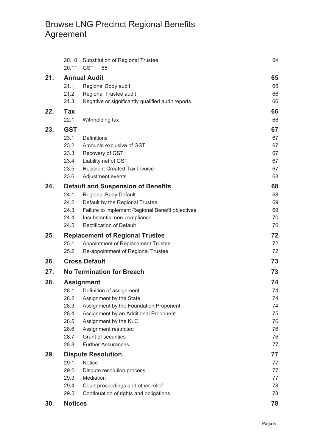|     | 20.10                                     | Substitution of Regional Trustee                                             | 64       |  |  |
|-----|-------------------------------------------|------------------------------------------------------------------------------|----------|--|--|
| 21. |                                           | 20.11<br><b>GST</b><br>65<br><b>Annual Audit</b>                             |          |  |  |
|     | 21.1                                      | Regional Body audit                                                          | 65<br>65 |  |  |
|     | 21.2                                      | Regional Trustee audit                                                       | 66       |  |  |
|     | 21.3                                      | Negative or significantly qualified audit reports                            | 66       |  |  |
| 22. | <b>Tax</b>                                |                                                                              | 66       |  |  |
|     | 22.1                                      | Withholding tax                                                              | 66       |  |  |
| 23. | <b>GST</b>                                |                                                                              | 67       |  |  |
|     | 23.1                                      | <b>Definitions</b>                                                           | 67       |  |  |
|     | 23.2                                      | Amounts exclusive of GST                                                     | 67       |  |  |
|     | 23.3                                      | Recovery of GST                                                              | 67       |  |  |
|     | 23.4                                      | Liability net of GST                                                         | 67       |  |  |
|     | 23.5                                      | <b>Recipient Created Tax Invoice</b>                                         | 67       |  |  |
|     | 23.6                                      | Adjustment events                                                            | 68       |  |  |
| 24. | <b>Default and Suspension of Benefits</b> | 68                                                                           |          |  |  |
|     | 24.1                                      | <b>Regional Body Default</b>                                                 | 68       |  |  |
|     | 24.2                                      | Default by the Regional Trustee                                              | 69       |  |  |
|     | 24.3                                      | Failure to implement Regional Benefit objectives                             | 69       |  |  |
|     | 24.4                                      | Insubstantial non-compliance                                                 | 70       |  |  |
|     | 24.5                                      | <b>Rectification of Default</b>                                              | 70       |  |  |
| 25. | <b>Replacement of Regional Trustee</b>    | 72                                                                           |          |  |  |
|     | 25.1                                      | Appointment of Replacement Trustee                                           | 72       |  |  |
|     | 25.2                                      | Re-appointment of Regional Trustee                                           | 72       |  |  |
| 26. |                                           | <b>Cross Default</b>                                                         | 73       |  |  |
| 27. |                                           | <b>No Termination for Breach</b>                                             | 73       |  |  |
| 28. | <b>Assignment</b>                         |                                                                              |          |  |  |
|     |                                           | 28.1 Definition of assignment                                                | 74       |  |  |
|     | 28.2                                      | Assignment by the State                                                      | 74       |  |  |
|     | 28.3                                      | Assignment by the Foundation Proponent                                       | 74       |  |  |
|     | 28.4                                      | Assignment by an Additional Proponent                                        | 75       |  |  |
|     | 28.5                                      | Assignment by the KLC                                                        | 76       |  |  |
|     | 28.6                                      | Assignment restricted                                                        | 76       |  |  |
|     | 28.7                                      | <b>Grant of securities</b>                                                   | 76       |  |  |
|     | 28.8                                      | <b>Further Assurances</b>                                                    | 77       |  |  |
| 29. | <b>Dispute Resolution</b>                 | 77                                                                           |          |  |  |
|     | 29.1                                      | <b>Notice</b>                                                                | 77       |  |  |
|     | 29.2                                      | Dispute resolution process                                                   | 77       |  |  |
|     | 29.3<br>29.4                              | Mediation                                                                    | 77       |  |  |
|     | 29.5                                      | Court proceedings and other relief<br>Continuation of rights and obligations | 78<br>78 |  |  |
| 30. |                                           |                                                                              | 78       |  |  |
|     | <b>Notices</b>                            |                                                                              |          |  |  |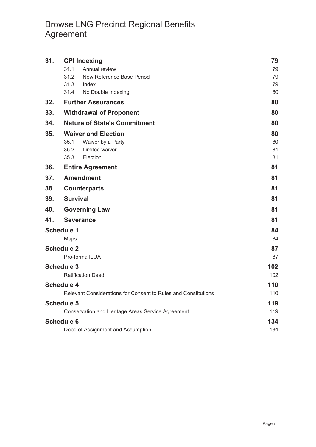| 31. | <b>CPI Indexing</b>                                            | 79  |  |  |
|-----|----------------------------------------------------------------|-----|--|--|
|     | 31.1<br>Annual review                                          | 79  |  |  |
|     | 31.2<br>New Reference Base Period                              | 79  |  |  |
|     | 31.3<br>Index                                                  | 79  |  |  |
|     | 31.4<br>No Double Indexing                                     | 80  |  |  |
| 32. | <b>Further Assurances</b>                                      | 80  |  |  |
| 33. | <b>Withdrawal of Proponent</b>                                 | 80  |  |  |
| 34. | <b>Nature of State's Commitment</b>                            | 80  |  |  |
| 35. | <b>Waiver and Election</b>                                     | 80  |  |  |
|     | 35.1<br>Waiver by a Party                                      | 80  |  |  |
|     | 35.2<br><b>Limited waiver</b>                                  | 81  |  |  |
|     | 35.3<br>Election                                               | 81  |  |  |
| 36. | <b>Entire Agreement</b>                                        | 81  |  |  |
| 37. | <b>Amendment</b>                                               |     |  |  |
| 38. | <b>Counterparts</b>                                            |     |  |  |
| 39. | <b>Survival</b>                                                | 81  |  |  |
| 40. | <b>Governing Law</b><br>81                                     |     |  |  |
| 41. | <b>Severance</b>                                               | 81  |  |  |
|     | <b>Schedule 1</b>                                              | 84  |  |  |
|     | Maps                                                           | 84  |  |  |
|     | <b>Schedule 2</b>                                              | 87  |  |  |
|     | Pro-forma ILUA                                                 | 87  |  |  |
|     | <b>Schedule 3</b>                                              | 102 |  |  |
|     | <b>Ratification Deed</b>                                       | 102 |  |  |
|     | <b>Schedule 4</b>                                              | 110 |  |  |
|     | Relevant Considerations for Consent to Rules and Constitutions | 110 |  |  |
|     | <b>Schedule 5</b>                                              | 119 |  |  |
|     | Conservation and Heritage Areas Service Agreement              | 119 |  |  |
|     | <b>Schedule 6</b>                                              | 134 |  |  |
|     | Deed of Assignment and Assumption                              | 134 |  |  |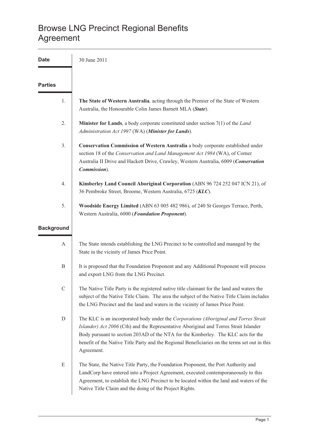| <b>Date</b>       | 30 June 2011                                                                                                                                                                                                                                                                                                                                                                      |
|-------------------|-----------------------------------------------------------------------------------------------------------------------------------------------------------------------------------------------------------------------------------------------------------------------------------------------------------------------------------------------------------------------------------|
| <b>Parties</b>    |                                                                                                                                                                                                                                                                                                                                                                                   |
| 1.                | The State of Western Australia, acting through the Premier of the State of Western<br>Australia, the Honourable Colin James Barnett MLA (State).                                                                                                                                                                                                                                  |
| 2.                | <b>Minister for Lands</b> , a body corporate constituted under section $7(1)$ of the <i>Land</i><br>Administration Act 1997 (WA) (Minister for Lands).                                                                                                                                                                                                                            |
| 3.                | Conservation Commission of Western Australia a body corporate established under<br>section 18 of the Conservation and Land Management Act 1984 (WA), of Corner<br>Australia II Drive and Hackett Drive, Crawley, Western Australia, 6009 (Conservation<br>Commission).                                                                                                            |
| 4.                | Kimberley Land Council Aboriginal Corporation (ABN 96 724 252 047 ICN 21), of<br>36 Pembroke Street, Broome, Western Australia, 6725 (KLC).                                                                                                                                                                                                                                       |
| 5.                | Woodside Energy Limited (ABN 63 005 482 986), of 240 St Georges Terrace, Perth,<br>Western Australia, 6000 (Foundation Proponent).                                                                                                                                                                                                                                                |
| <b>Background</b> |                                                                                                                                                                                                                                                                                                                                                                                   |
| $\mathbf{A}$      | The State intends establishing the LNG Precinct to be controlled and managed by the<br>State in the vicinity of James Price Point.                                                                                                                                                                                                                                                |
| B                 | It is proposed that the Foundation Proponent and any Additional Proponent will process<br>and export LNG from the LNG Precinct.                                                                                                                                                                                                                                                   |
|                   | The Native Title Party is the registered native title claimant for the land and waters the<br>subject of the Native Title Claim. The area the subject of the Native Title Claim includes<br>the LNG Precinct and the land and waters in the vicinity of James Price Point.                                                                                                        |
| D                 | The KLC is an incorporated body under the Corporations (Aboriginal and Torres Strait<br>Islander) Act 2006 (Cth) and the Representative Aboriginal and Torres Strait Islander<br>Body pursuant to section 203AD of the NTA for the Kimberley. The KLC acts for the<br>benefit of the Native Title Party and the Regional Beneficiaries on the terms set out in this<br>Agreement. |
| E                 | The State, the Native Title Party, the Foundation Proponent, the Port Authority and<br>LandCorp have entered into a Project Agreement, executed contemporaneously to this<br>Agreement, to establish the LNG Precinct to be located within the land and waters of the<br>Native Title Claim and the doing of the Project Rights.                                                  |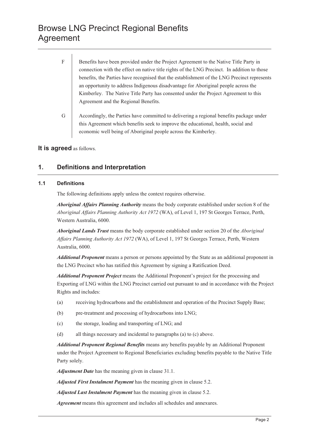- F Benefits have been provided under the Project Agreement to the Native Title Party in connection with the effect on native title rights of the LNG Precinct. In addition to those benefits, the Parties have recognised that the establishment of the LNG Precinct represents an opportunity to address Indigenous disadvantage for Aboriginal people across the Kimberley. The Native Title Party has consented under the Project Agreement to this Agreement and the Regional Benefits.
- G Accordingly, the Parties have committed to delivering a regional benefits package under this Agreement which benefits seek to improve the educational, health, social and economic well being of Aboriginal people across the Kimberley.

#### **It is agreed** as follows.

### **1. Definitions and Interpretation**

#### **1.1 Definitions**

The following definitions apply unless the context requires otherwise.

*Aboriginal Affairs Planning Authority* means the body corporate established under section 8 of the *Aboriginal Affairs Planning Authority Act 1972* (WA), of Level 1, 197 St Georges Terrace, Perth, Western Australia, 6000.

*Aboriginal Lands Trust* means the body corporate established under section 20 of the *Aboriginal Affairs Planning Authority Act 1972* (WA), of Level 1, 197 St Georges Terrace, Perth, Western Australia, 6000.

*Additional Proponent* means a person or persons appointed by the State as an additional proponent in the LNG Precinct who has ratified this Agreement by signing a Ratification Deed.

*Additional Proponent Project* means the Additional Proponent's project for the processing and Exporting of LNG within the LNG Precinct carried out pursuant to and in accordance with the Project Rights and includes:

- (a) receiving hydrocarbons and the establishment and operation of the Precinct Supply Base;
- (b) pre-treatment and processing of hydrocarbons into LNG;
- (c) the storage, loading and transporting of LNG; and
- (d) all things necessary and incidental to paragraphs (a) to (c) above.

*Additional Proponent Regional Benefits* means any benefits payable by an Additional Proponent under the Project Agreement to Regional Beneficiaries excluding benefits payable to the Native Title Party solely.

*Adjustment Date* has the meaning given in clause 31.1.

*Adjusted First Instalment Payment* has the meaning given in clause 5.2.

*Adjusted Last Instalment Payment* has the meaning given in clause 5.2.

*Agreement* means this agreement and includes all schedules and annexures.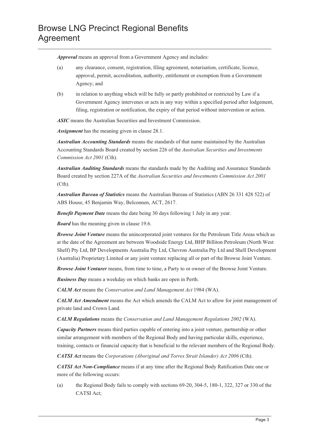*Approval* means an approval from a Government Agency and includes:

- (a) any clearance, consent, registration, filing agreement, notarisation, certificate, licence, approval, permit, accreditation, authority, entitlement or exemption from a Government Agency; and
- (b) in relation to anything which will be fully or partly prohibited or restricted by Law if a Government Agency intervenes or acts in any way within a specified period after lodgement, filing, registration or notification, the expiry of that period without intervention or action.

*ASIC* means the Australian Securities and Investment Commission.

*Assignment* has the meaning given in clause 28.1.

*Australian Accounting Standards* means the standards of that name maintained by the Australian Accounting Standards Board created by section 226 of the *Australian Securities and Investments Commission Act 2001* (Cth).

*Australian Auditing Standards* means the standards made by the Auditing and Assurance Standards Board created by section 227A of the *Australian Securities and Investments Commission Act 2001*  (Cth).

*Australian Bureau of Statistics* means the Australian Bureau of Statistics (ABN 26 331 428 522) of ABS House, 45 Benjamin Way, Belconnen, ACT, 2617.

*Benefit Payment Date* means the date being 30 days following 1 July in any year.

*Board* has the meaning given in clause 19.6.

*Browse Joint Venture* means the unincorporated joint ventures for the Petroleum Title Areas which as at the date of the Agreement are between Woodside Energy Ltd, BHP Billiton Petroleum (North West Shelf) Pty Ltd, BP Developments Australia Pty Ltd, Chevron Australia Pty Ltd and Shell Development (Australia) Proprietary Limited or any joint venture replacing all or part of the Browse Joint Venture.

*Browse Joint Venturer* means, from time to time, a Party to or owner of the Browse Joint Venture.

*Business Day* means a weekday on which banks are open in Perth.

*CALM Act* means the *Conservation and Land Management Act* 1984 (WA).

*CALM Act Amendment* means the Act which amends the CALM Act to allow for joint management of private land and Crown Land.

*CALM Regulations* means the *Conservation and Land Management Regulations 2002* (WA).

*Capacity Partners* means third parties capable of entering into a joint venture, partnership or other similar arrangement with members of the Regional Body and having particular skills, experience, training, contacts or financial capacity that is beneficial to the relevant members of the Regional Body.

*CATSI Act* means the *Corporations (Aboriginal and Torres Strait Islander) Act 2006* (Cth).

*CATSI Act Non-Compliance* means if at any time after the Regional Body Ratification Date one or more of the following occurs:

(a) the Regional Body fails to comply with sections 69-20, 304-5, 180-1, 322, 327 or 330 of the CATSI Act;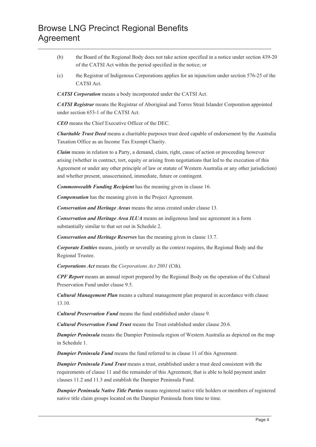- (b) the Board of the Regional Body does not take action specified in a notice under section 439-20 of the CATSI Act within the period specified in the notice; or
- (c) the Registrar of Indigenous Corporations applies for an injunction under section 576-25 of the CATSI Act.

*CATSI Corporation* means a body incorporated under the CATSI Act.

*CATSI Registrar* means the Registrar of Aboriginal and Torres Strait Islander Corporation appointed under section 653-1 of the CATSI Act.

*CEO* means the Chief Executive Officer of the DEC.

*Charitable Trust Deed* means a charitable purposes trust deed capable of endorsement by the Australia Taxation Office as an Income Tax Exempt Charity.

*Claim* means in relation to a Party, a demand, claim, right, cause of action or proceeding however arising (whether in contract, tort, equity or arising from negotiations that led to the execution of this Agreement or under any other principle of law or statute of Western Australia or any other jurisdiction) and whether present, unascertained, immediate, future or contingent.

*Commonwealth Funding Recipient* has the meaning given in clause 16.

*Compensation* has the meaning given in the Project Agreement.

*Conservation and Heritage Areas* means the areas created under clause 13.

*Conservation and Heritage Area ILUA* means an indigenous land use agreement in a form substantially similar to that set out in Schedule 2.

*Conservation and Heritage Reserves* has the meaning given in clause 13.7.

*Corporate Entities* means, jointly or severally as the context requires, the Regional Body and the Regional Trustee.

*Corporations Act* means the *Corporations Act 2001* (Cth).

*CPF Report* means an annual report prepared by the Regional Body on the operation of the Cultural Preservation Fund under clause 9.5.

*Cultural Management Plan* means a cultural management plan prepared in accordance with clause 13.10.

*Cultural Preservation Fund* means the fund established under clause 9.

*Cultural Preservation Fund Trust* means the Trust established under clause 20.6.

*Dampier Peninsula* means the Dampier Peninsula region of Western Australia as depicted on the map in Schedule 1.

*Dampier Peninsula Fund* means the fund referred to in clause 11 of this Agreement.

*Dampier Peninsula Fund Trust* means a trust, established under a trust deed consistent with the requirements of clause 11 and the remainder of this Agreement, that is able to hold payment under clauses 11.2 and 11.3 and establish the Dampier Peninsula Fund.

*Dampier Peninsula Native Title Parties* means registered native title holders or members of registered native title claim groups located on the Dampier Peninsula from time to time.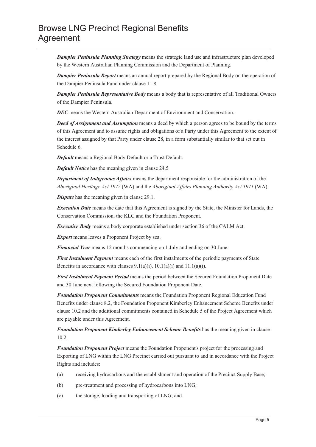*Dampier Peninsula Planning Strategy* means the strategic land use and infrastructure plan developed by the Western Australian Planning Commission and the Department of Planning.

*Dampier Peninsula Report* means an annual report prepared by the Regional Body on the operation of the Dampier Peninsula Fund under clause 11.8.

*Dampier Peninsula Representative Body* means a body that is representative of all Traditional Owners of the Dampier Peninsula.

**DEC** means the Western Australian Department of Environment and Conservation.

*Deed of Assignment and Assumption* means a deed by which a person agrees to be bound by the terms of this Agreement and to assume rights and obligations of a Party under this Agreement to the extent of the interest assigned by that Party under clause 28, in a form substantially similar to that set out in Schedule 6.

*Default* means a Regional Body Default or a Trust Default.

*Default Notice* has the meaning given in clause 24.5

*Department of Indigenous Affairs* means the department responsible for the administration of the *Aboriginal Heritage Act 1972* (WA) and the *Aboriginal Affairs Planning Authority Act 1971* (WA).

*Dispute* has the meaning given in clause 29.1.

*Execution Date* means the date that this Agreement is signed by the State, the Minister for Lands, the Conservation Commission, the KLC and the Foundation Proponent.

*Executive Body* means a body corporate established under section 36 of the CALM Act.

*Export* means leaves a Proponent Project by sea.

*Financial Year* means 12 months commencing on 1 July and ending on 30 June.

*First Instalment Payment* means each of the first instalments of the periodic payments of State Benefits in accordance with clauses  $9.1(a)(i)$ ,  $10.1(a)(i)$  and  $11.1(a)(i)$ .

*First Instalment Payment Period* means the period between the Secured Foundation Proponent Date and 30 June next following the Secured Foundation Proponent Date.

*Foundation Proponent Commitments* means the Foundation Proponent Regional Education Fund Benefits under clause 8.2, the Foundation Proponent Kimberley Enhancement Scheme Benefits under clause 10.2 and the additional commitments contained in Schedule 5 of the Project Agreement which are payable under this Agreement.

*Foundation Proponent Kimberley Enhancement Scheme Benefits* has the meaning given in clause 10.2.

*Foundation Proponent Project* means the Foundation Proponent's project for the processing and Exporting of LNG within the LNG Precinct carried out pursuant to and in accordance with the Project Rights and includes:

- (a) receiving hydrocarbons and the establishment and operation of the Precinct Supply Base;
- (b) pre-treatment and processing of hydrocarbons into LNG;
- (c) the storage, loading and transporting of LNG; and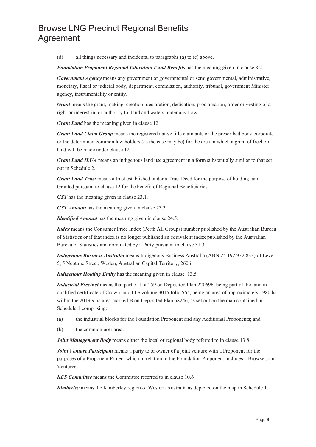(d) all things necessary and incidental to paragraphs (a) to (c) above.

*Foundation Proponent Regional Education Fund Benefits* has the meaning given in clause 8.2.

*Government Agency* means any government or governmental or semi governmental, administrative, monetary, fiscal or judicial body, department, commission, authority, tribunal, government Minister, agency, instrumentality or entity.

*Grant* means the grant, making, creation, declaration, dedication, proclamation, order or vesting of a right or interest in, or authority to, land and waters under any Law.

*Grant Land* has the meaning given in clause 12.1

*Grant Land Claim Group* means the registered native title claimants or the prescribed body corporate or the determined common law holders (as the case may be) for the area in which a grant of freehold land will be made under clause 12.

*Grant Land ILUA* means an indigenous land use agreement in a form substantially similar to that set out in Schedule 2.

*Grant Land Trust* means a trust established under a Trust Deed for the purpose of holding land Granted pursuant to clause 12 for the benefit of Regional Beneficiaries.

*GST* has the meaning given in clause 23.1.

*GST Amount* has the meaning given in clause 23.3.

*Identified Amount* has the meaning given in clause 24.5.

*Index* means the Consumer Price Index (Perth All Groups) number published by the Australian Bureau of Statistics or if that index is no longer published an equivalent index published by the Australian Bureau of Statistics and nominated by a Party pursuant to clause 31.3.

*Indigenous Business Australia* means Indigenous Business Australia (ABN 25 192 932 833) of Level 5, 5 Neptune Street, Woden, Australian Capital Territory, 2606.

*Indigenous Holding Entity* has the meaning given in clause 13.5

*Industrial Precinct* means that part of Lot 259 on Deposited Plan 220696, being part of the land in qualified certificate of Crown land title volume 3015 folio 565, being an area of approximately 1980 ha within the 2019.9 ha area marked B on Deposited Plan 68246, as set out on the map contained in Schedule 1 comprising:

- (a) the industrial blocks for the Foundation Proponent and any Additional Proponents; and
- (b) the common user area.

*Joint Management Body* means either the local or regional body referred to in clause 13.8.

*Joint Venture Participant* means a party to or owner of a joint venture with a Proponent for the purposes of a Proponent Project which in relation to the Foundation Proponent includes a Browse Joint Venturer.

*KES Committee* means the Committee referred to in clause 10.6

*Kimberley* means the Kimberley region of Western Australia as depicted on the map in Schedule 1.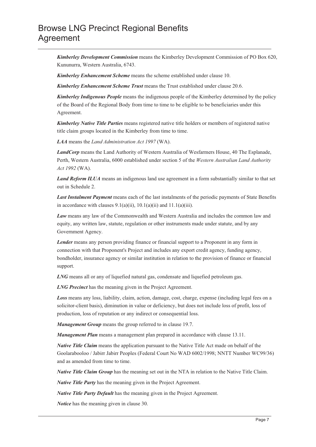*Kimberley Development Commission* means the Kimberley Development Commission of PO Box 620, Kununurra, Western Australia, 6743.

*Kimberley Enhancement Scheme* means the scheme established under clause 10.

*Kimberley Enhancement Scheme Trust* means the Trust established under clause 20.6.

*Kimberley Indigenous People* means the indigenous people of the Kimberley determined by the policy of the Board of the Regional Body from time to time to be eligible to be beneficiaries under this Agreement.

*Kimberley Native Title Parties* means registered native title holders or members of registered native title claim groups located in the Kimberley from time to time.

*LAA* means the *Land Administration Act 1997* (WA).

*LandCorp* means the Land Authority of Western Australia of Wesfarmers House, 40 The Esplanade, Perth, Western Australia, 6000 established under section 5 of the *Western Australian Land Authority Act 1992* (WA).

*Land Reform ILUA* means an indigenous land use agreement in a form substantially similar to that set out in Schedule 2.

*Last Instalment Payment* means each of the last instalments of the periodic payments of State Benefits in accordance with clauses  $9.1(a)(ii)$ ,  $10.1(a)(ii)$  and  $11.1(a)(iii)$ .

*Law* means any law of the Commonwealth and Western Australia and includes the common law and equity, any written law, statute, regulation or other instruments made under statute, and by any Government Agency.

*Lender* means any person providing finance or financial support to a Proponent in any form in connection with that Proponent's Project and includes any export credit agency, funding agency, bondholder, insurance agency or similar institution in relation to the provision of finance or financial support.

*LNG* means all or any of liquefied natural gas, condensate and liquefied petroleum gas.

*LNG Precinct* has the meaning given in the Project Agreement.

*Loss* means any loss, liability, claim, action, damage, cost, charge, expense (including legal fees on a solicitor-client basis), diminution in value or deficiency, but does not include loss of profit, loss of production, loss of reputation or any indirect or consequential loss.

*Management Group* means the group referred to in clause 19.7.

*Management Plan* means a management plan prepared in accordance with clause 13.11.

*Native Title Claim* means the application pursuant to the Native Title Act made on behalf of the Goolarabooloo / Jabirr Jabirr Peoples (Federal Court No WAD 6002/1998; NNTT Number WC99/36) and as amended from time to time.

*Native Title Claim Group* has the meaning set out in the NTA in relation to the Native Title Claim.

*Native Title Party* has the meaning given in the Project Agreement.

*Native Title Party Default* has the meaning given in the Project Agreement.

*Notice* has the meaning given in clause 30.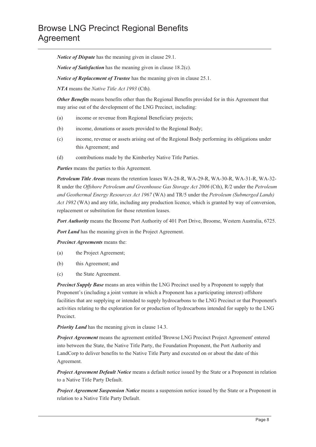*Notice of Dispute* has the meaning given in clause 29.1.

*Notice of Satisfaction* has the meaning given in clause 18.2(c).

*Notice of Replacement of Trustee* has the meaning given in clause 25.1.

*NTA* means the *Native Title Act 1993* (Cth).

*Other Benefits* means benefits other than the Regional Benefits provided for in this Agreement that may arise out of the development of the LNG Precinct, including:

- (a) income or revenue from Regional Beneficiary projects;
- (b) income, donations or assets provided to the Regional Body;
- (c) income, revenue or assets arising out of the Regional Body performing its obligations under this Agreement; and
- (d) contributions made by the Kimberley Native Title Parties.

*Parties* means the parties to this Agreement.

*Petroleum Title Areas* means the retention leases WA-28-R, WA-29-R, WA-30-R, WA-31-R, WA-32- R under the *Offshore Petroleum and Greenhouse Gas Storage Act 2006* (Cth), R/2 under the *Petroleum and Geothermal Energy Resources Act 1967* (WA) and TR/5 under the *Petroleum (Submerged Lands) Act 1982* (WA) and any title, including any production licence, which is granted by way of conversion, replacement or substitution for those retention leases.

*Port Authority* means the Broome Port Authority of 401 Port Drive, Broome, Western Australia, 6725.

*Port Land* has the meaning given in the Project Agreement.

*Precinct Agreements* means the:

- (a) the Project Agreement;
- (b) this Agreement; and
- (c) the State Agreement.

*Precinct Supply Base* means an area within the LNG Precinct used by a Proponent to supply that Proponent's (including a joint venture in which a Proponent has a participating interest) offshore facilities that are supplying or intended to supply hydrocarbons to the LNG Precinct or that Proponent's activities relating to the exploration for or production of hydrocarbons intended for supply to the LNG Precinct.

*Priority Land* has the meaning given in clause 14.3.

*Project Agreement* means the agreement entitled 'Browse LNG Precinct Project Agreement' entered into between the State, the Native Title Party, the Foundation Proponent, the Port Authority and LandCorp to deliver benefits to the Native Title Party and executed on or about the date of this Agreement.

*Project Agreement Default Notice* means a default notice issued by the State or a Proponent in relation to a Native Title Party Default.

*Project Agreement Suspension Notice* means a suspension notice issued by the State or a Proponent in relation to a Native Title Party Default.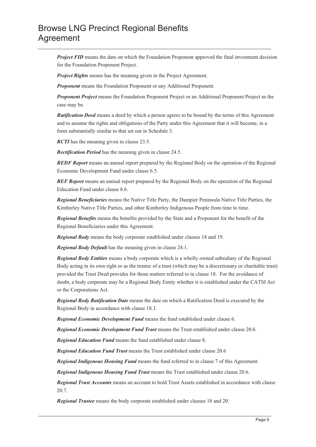*Project FID* means the date on which the Foundation Proponent approved the final investment decision for the Foundation Proponent Project.

*Project Rights* means has the meaning given in the Project Agreement.

**Proponent** means the Foundation Proponent or any Additional Proponent.

*Proponent Project* means the Foundation Proponent Project or an Additional Proponent Project as the case may be.

*Ratification Deed* means a deed by which a person agrees to be bound by the terms of this Agreement and to assume the rights and obligations of the Party under this Agreement that it will become, in a form substantially similar to that set out in Schedule 3.

*RCTI* has the meaning given in clause 23.5.

*Rectification Period* has the meaning given in clause 24.5.

**REDF Report** means an annual report prepared by the Regional Body on the operation of the Regional Economic Development Fund under clause 6.5.

*REF Report* means an annual report prepared by the Regional Body on the operation of the Regional Education Fund under clause 8.6.

*Regional Beneficiaries* means the Native Title Party, the Dampier Peninsula Native Title Parties, the Kimberley Native Title Parties, and other Kimberley Indigenous People from time to time.

*Regional Benefits* means the benefits provided by the State and a Proponent for the benefit of the Regional Beneficiaries under this Agreement.

*Regional Body* means the body corporate established under clauses 18 and 19.

*Regional Body Default* has the meaning given in clause 24.1.

*Regional Body Entities* means a body corporate which is a wholly owned subsidiary of the Regional Body acting in its own right or as the trustee of a trust (which may be a discretionary or charitable trust) provided the Trust Deed provides for those matters referred to in clause 18. For the avoidance of doubt, a body corporate may be a Regional Body Entity whether it is established under the CATSI Act or the Corporations Act.

*Regional Body Ratification Date* means the date on which a Ratification Deed is executed by the Regional Body in accordance with clause 18.3.

*Regional Economic Development Fund* means the fund established under clause 6.

*Regional Economic Development Fund Trust* means the Trust established under clause 20.6.

*Regional Education Fund* means the fund established under clause 8.

*Regional Education Fund Trust* means the Trust established under clause 20.6

*Regional Indigenous Housing Fund* means the fund referred to in clause 7 of this Agreement.

*Regional Indigenous Housing Fund Trust* means the Trust established under clause 20.6.

*Regional Trust Accounts* means an account to hold Trust Assets established in accordance with clause 20.7.

*Regional Trustee* means the body corporate established under clauses 18 and 20.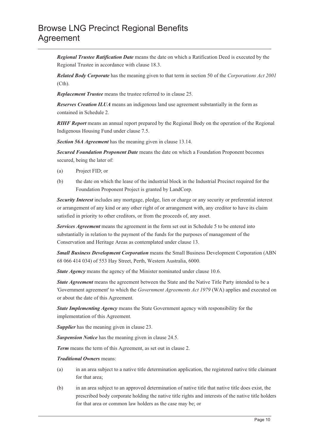*Regional Trustee Ratification Date* means the date on which a Ratification Deed is executed by the Regional Trustee in accordance with clause 18.3.

*Related Body Corporate* has the meaning given to that term in section 50 of the *Corporations Act 2001*  (Cth).

*Replacement Trustee* means the trustee referred to in clause 25.

*Reserves Creation ILUA* means an indigenous land use agreement substantially in the form as contained in Schedule 2.

*RIHF Report* means an annual report prepared by the Regional Body on the operation of the Regional Indigenous Housing Fund under clause 7.5.

*Section 56A Agreement* has the meaning given in clause 13.14.

*Secured Foundation Proponent Date* means the date on which a Foundation Proponent becomes secured, being the later of:

- (a) Project FID; or
- (b) the date on which the lease of the industrial block in the Industrial Precinct required for the Foundation Proponent Project is granted by LandCorp.

*Security Interest* includes any mortgage, pledge, lien or charge or any security or preferential interest or arrangement of any kind or any other right of or arrangement with, any creditor to have its claim satisfied in priority to other creditors, or from the proceeds of, any asset.

*Services Agreement* means the agreement in the form set out in Schedule 5 to be entered into substantially in relation to the payment of the funds for the purposes of management of the Conservation and Heritage Areas as contemplated under clause 13.

*Small Business Development Corporation* means the Small Business Development Corporation (ABN 68 066 414 034) of 553 Hay Street, Perth, Western Australia, 6000.

*State Agency* means the agency of the Minister nominated under clause 10.6.

*State Agreement* means the agreement between the State and the Native Title Party intended to be a 'Government agreement' to which the *Government Agreements Act 1979* (WA) applies and executed on or about the date of this Agreement.

*State Implementing Agency* means the State Government agency with responsibility for the implementation of this Agreement.

*Supplier* has the meaning given in clause 23.

*Suspension Notice* has the meaning given in clause 24.5.

*Term* means the term of this Agreement, as set out in clause 2.

*Traditional Owners* means:

- (a) in an area subject to a native title determination application, the registered native title claimant for that area;
- (b) in an area subject to an approved determination of native title that native title does exist, the prescribed body corporate holding the native title rights and interests of the native title holders for that area or common law holders as the case may be; or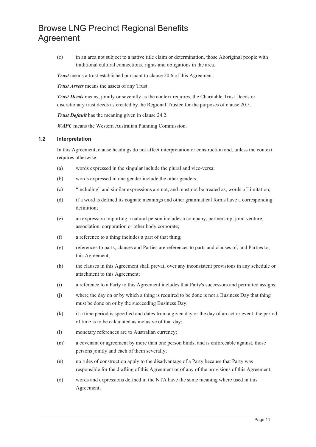(c) in an area not subject to a native title claim or determination, those Aboriginal people with traditional cultural connections, rights and obligations in the area.

*Trust* means a trust established pursuant to clause 20.6 of this Agreement.

*Trust Assets* means the assets of any Trust.

*Trust Deeds* means, jointly or severally as the context requires, the Charitable Trust Deeds or discretionary trust deeds as created by the Regional Trustee for the purposes of clause 20.5.

*Trust Default* has the meaning given in clause 24.2.

*WAPC* means the Western Australian Planning Commission.

#### **1.2 Interpretation**

In this Agreement, clause headings do not affect interpretation or construction and, unless the context requires otherwise:

- (a) words expressed in the singular include the plural and vice-versa;
- (b) words expressed in one gender include the other genders;
- (c) "including" and similar expressions are not, and must not be treated as, words of limitation;
- (d) if a word is defined its cognate meanings and other grammatical forms have a corresponding definition;
- (e) an expression importing a natural person includes a company, partnership, joint venture, association, corporation or other body corporate;
- (f) a reference to a thing includes a part of that thing;
- (g) references to parts, clauses and Parties are references to parts and clauses of, and Parties to, this Agreement;
- (h) the clauses in this Agreement shall prevail over any inconsistent provisions in any schedule or attachment to this Agreement;
- (i) a reference to a Party to this Agreement includes that Party's successors and permitted assigns;
- (j) where the day on or by which a thing is required to be done is not a Business Day that thing must be done on or by the succeeding Business Day;
- (k) if a time period is specified and dates from a given day or the day of an act or event, the period of time is to be calculated as inclusive of that day;
- (l) monetary references are to Australian currency;
- (m) a covenant or agreement by more than one person binds, and is enforceable against, those persons jointly and each of them severally;
- (n) no rules of construction apply to the disadvantage of a Party because that Party was responsible for the drafting of this Agreement or of any of the provisions of this Agreement;
- (o) words and expressions defined in the NTA have the same meaning where used in this Agreement;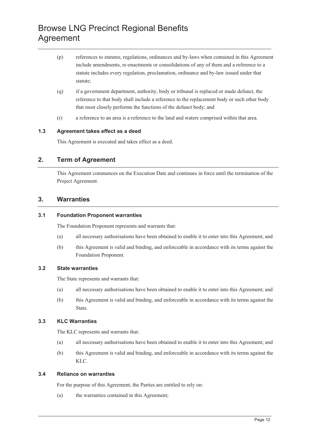- (p) references to statutes, regulations, ordinances and by-laws when contained in this Agreement include amendments, re-enactments or consolidations of any of them and a reference to a statute includes every regulation, proclamation, ordinance and by-law issued under that statute;
- (q) if a government department, authority, body or tribunal is replaced or made defunct, the reference to that body shall include a reference to the replacement body or such other body that most closely performs the functions of the defunct body; and
- (r) a reference to an area is a reference to the land and waters comprised within that area.

#### **1.3 Agreement takes effect as a deed**

This Agreement is executed and takes effect as a deed.

### **2. Term of Agreement**

This Agreement commences on the Execution Date and continues in force until the termination of the Project Agreement.

### **3. Warranties**

#### **3.1 Foundation Proponent warranties**

The Foundation Proponent represents and warrants that:

- (a) all necessary authorisations have been obtained to enable it to enter into this Agreement; and
- (b) this Agreement is valid and binding, and enforceable in accordance with its terms against the Foundation Proponent.

#### **3.2 State warranties**

The State represents and warrants that:

- (a) all necessary authorisations have been obtained to enable it to enter into this Agreement; and
- (b) this Agreement is valid and binding, and enforceable in accordance with its terms against the State.

#### **3.3 KLC Warranties**

The KLC represents and warrants that:

- (a) all necessary authorisations have been obtained to enable it to enter into this Agreement; and
- (b) this Agreement is valid and binding, and enforceable in accordance with its terms against the KLC.

#### **3.4 Reliance on warranties**

For the purpose of this Agreement, the Parties are entitled to rely on:

(a) the warranties contained in this Agreement;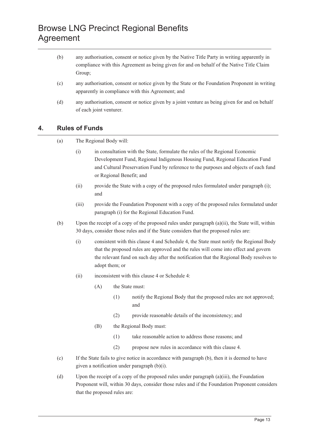- (b) any authorisation, consent or notice given by the Native Title Party in writing apparently in compliance with this Agreement as being given for and on behalf of the Native Title Claim Group;
- (c) any authorisation, consent or notice given by the State or the Foundation Proponent in writing apparently in compliance with this Agreement; and
- (d) any authorisation, consent or notice given by a joint venture as being given for and on behalf of each joint venturer.

### **4. Rules of Funds**

(a) The Regional Body will:

- (i) in consultation with the State, formulate the rules of the Regional Economic Development Fund, Regional Indigenous Housing Fund, Regional Education Fund and Cultural Preservation Fund by reference to the purposes and objects of each fund or Regional Benefit; and
- (ii) provide the State with a copy of the proposed rules formulated under paragraph (i); and
- (iii) provide the Foundation Proponent with a copy of the proposed rules formulated under paragraph (i) for the Regional Education Fund.
- (b) Upon the receipt of a copy of the proposed rules under paragraph (a)(ii), the State will, within 30 days, consider those rules and if the State considers that the proposed rules are:
	- (i) consistent with this clause 4 and Schedule 4, the State must notify the Regional Body that the proposed rules are approved and the rules will come into effect and govern the relevant fund on such day after the notification that the Regional Body resolves to adopt them; or
	- (ii) inconsistent with this clause 4 or Schedule 4:
		- (A) the State must:
			- (1) notify the Regional Body that the proposed rules are not approved; and
			- (2) provide reasonable details of the inconsistency; and
		- (B) the Regional Body must:
			- (1) take reasonable action to address those reasons; and
			- (2) propose new rules in accordance with this clause 4.
- (c) If the State fails to give notice in accordance with paragraph (b), then it is deemed to have given a notification under paragraph (b)(i).
- (d) Upon the receipt of a copy of the proposed rules under paragraph (a)(iii), the Foundation Proponent will, within 30 days, consider those rules and if the Foundation Proponent considers that the proposed rules are: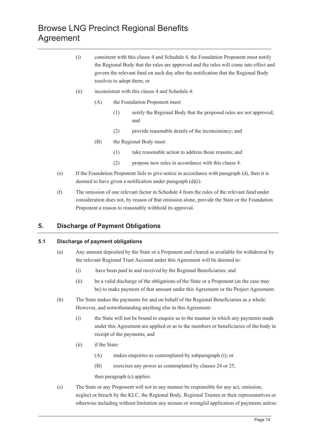- (i) consistent with this clause 4 and Schedule 4, the Foundation Proponent must notify the Regional Body that the rules are approved and the rules will come into effect and govern the relevant fund on such day after the notification that the Regional Body resolves to adopt them; or
- (ii) inconsistent with this clause 4 and Schedule 4:
	- (A) the Foundation Proponent must:
		- (1) notify the Regional Body that the proposed rules are not approved; and
		- (2) provide reasonable details of the inconsistency; and
	- (B) the Regional Body must:
		- (1) take reasonable action to address those reasons; and
		- (2) propose new rules in accordance with this clause 4.
- (e) If the Foundation Proponent fails to give notice in accordance with paragraph (d), then it is deemed to have given a notification under paragraph (d)(i).
- (f) The omission of one relevant factor in Schedule 4 from the rules of the relevant fund under consideration does not, by reason of that omission alone, provide the State or the Foundation Proponent a reason to reasonably withhold its approval.

### **5. Discharge of Payment Obligations**

#### **5.1 Discharge of payment obligations**

- (a) Any amount deposited by the State or a Proponent and cleared as available for withdrawal by the relevant Regional Trust Account under this Agreement will be deemed to:
	- (i) have been paid to and received by the Regional Beneficiaries; and
	- (ii) be a valid discharge of the obligations of the State or a Proponent (as the case may be) to make payment of that amount under this Agreement or the Project Agreement.
- (b) The State makes the payments for and on behalf of the Regional Beneficiaries as a whole. However, and notwithstanding anything else in this Agreement:
	- (i) the State will not be bound to enquire as to the manner in which any payments made under this Agreement are applied or as to the members or beneficiaries of the body in receipt of the payments; and
	- (ii) if the State:
		- (A) makes enquiries as contemplated by subparagraph (i); or
		- (B) exercises any power as contemplated by clauses 24 or 25,

then paragraph (c) applies.

(c) The State or any Proponent will not in any manner be responsible for any act, omission, neglect or breach by the KLC, the Regional Body, Regional Trustee or their representatives or otherwise including without limitation any misuse or wrongful application of payments unless: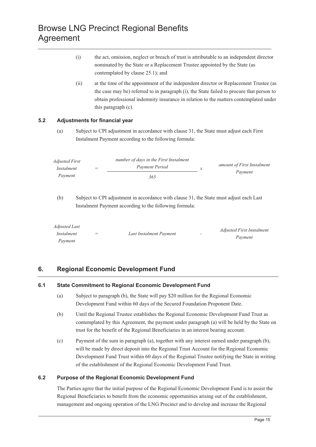- (i) the act, omission, neglect or breach of trust is attributable to an independent director nominated by the State or a Replacement Trustee appointed by the State (as contemplated by clause 25.1); and
- (ii) at the time of the appointment of the independent director or Replacement Trustee (as the case may be) referred to in paragraph (i), the State failed to procure that person to obtain professional indemnity insurance in relation to the matters contemplated under this paragraph (c).

#### **5.2 Adjustments for financial year**

(a) Subject to CPI adjustment in accordance with clause 31, the State must adjust each First Instalment Payment according to the following formula:

| Adjusted First<br>Instalment | $=$ | number of days in the First Instalment<br>Payment Period | Payment | amount of First Instalment |
|------------------------------|-----|----------------------------------------------------------|---------|----------------------------|
| Payment                      |     | 365                                                      |         |                            |

(b) Subject to CPI adjustment in accordance with clause 31, the State must adjust each Last Instalment Payment according to the following formula:

| Adjusted Last<br>Instalment | $=$ | Last Instalment Payment | - | <b>Adjusted First Instalment</b><br>Payment |
|-----------------------------|-----|-------------------------|---|---------------------------------------------|
| Payment                     |     |                         |   |                                             |

### **6. Regional Economic Development Fund**

#### **6.1 State Commitment to Regional Economic Development Fund**

- (a) Subject to paragraph (b), the State will pay \$20 million for the Regional Economic Development Fund within 60 days of the Secured Foundation Proponent Date.
- (b) Until the Regional Trustee establishes the Regional Economic Development Fund Trust as contemplated by this Agreement, the payment under paragraph (a) will be held by the State on trust for the benefit of the Regional Beneficiaries in an interest bearing account.
- (c) Payment of the sum in paragraph (a), together with any interest earned under paragraph (b), will be made by direct deposit into the Regional Trust Account for the Regional Economic Development Fund Trust within 60 days of the Regional Trustee notifying the State in writing of the establishment of the Regional Economic Development Fund Trust.

#### **6.2 Purpose of the Regional Economic Development Fund**

The Parties agree that the initial purpose of the Regional Economic Development Fund is to assist the Regional Beneficiaries to benefit from the economic opportunities arising out of the establishment, management and ongoing operation of the LNG Precinct and to develop and increase the Regional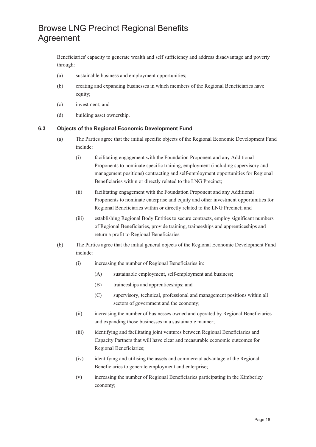Beneficiaries' capacity to generate wealth and self sufficiency and address disadvantage and poverty through:

- (a) sustainable business and employment opportunities;
- (b) creating and expanding businesses in which members of the Regional Beneficiaries have equity;
- (c) investment; and
- (d) building asset ownership.

#### **6.3 Objects of the Regional Economic Development Fund**

- (a) The Parties agree that the initial specific objects of the Regional Economic Development Fund include:
	- (i) facilitating engagement with the Foundation Proponent and any Additional Proponents to nominate specific training, employment (including supervisory and management positions) contracting and self-employment opportunities for Regional Beneficiaries within or directly related to the LNG Precinct;
	- (ii) facilitating engagement with the Foundation Proponent and any Additional Proponents to nominate enterprise and equity and other investment opportunities for Regional Beneficiaries within or directly related to the LNG Precinct; and
	- (iii) establishing Regional Body Entities to secure contracts, employ significant numbers of Regional Beneficiaries, provide training, traineeships and apprenticeships and return a profit to Regional Beneficiaries.
- (b) The Parties agree that the initial general objects of the Regional Economic Development Fund include:
	- (i) increasing the number of Regional Beneficiaries in:
		- (A) sustainable employment, self-employment and business;
		- (B) traineeships and apprenticeships; and
		- (C) supervisory, technical, professional and management positions within all sectors of government and the economy;
	- (ii) increasing the number of businesses owned and operated by Regional Beneficiaries and expanding those businesses in a sustainable manner;
	- (iii) identifying and facilitating joint ventures between Regional Beneficiaries and Capacity Partners that will have clear and measurable economic outcomes for Regional Beneficiaries;
	- (iv) identifying and utilising the assets and commercial advantage of the Regional Beneficiaries to generate employment and enterprise;
	- (v) increasing the number of Regional Beneficiaries participating in the Kimberley economy;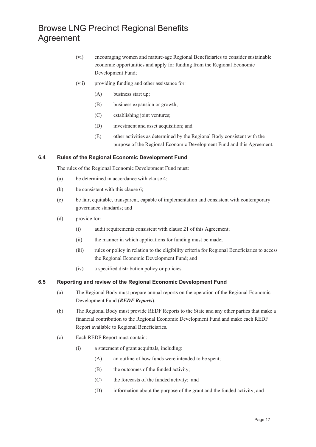- (vi) encouraging women and mature-age Regional Beneficiaries to consider sustainable economic opportunities and apply for funding from the Regional Economic Development Fund;
- (vii) providing funding and other assistance for:
	- (A) business start up;
	- (B) business expansion or growth;
	- (C) establishing joint ventures;
	- (D) investment and asset acquisition; and
	- (E) other activities as determined by the Regional Body consistent with the purpose of the Regional Economic Development Fund and this Agreement.

#### **6.4 Rules of the Regional Economic Development Fund**

The rules of the Regional Economic Development Fund must:

- (a) be determined in accordance with clause 4;
- (b) be consistent with this clause 6;
- (c) be fair, equitable, transparent, capable of implementation and consistent with contemporary governance standards; and
- (d) provide for:
	- (i) audit requirements consistent with clause 21 of this Agreement;
	- (ii) the manner in which applications for funding must be made;
	- (iii) rules or policy in relation to the eligibility criteria for Regional Beneficiaries to access the Regional Economic Development Fund; and
	- (iv) a specified distribution policy or policies.

#### **6.5 Reporting and review of the Regional Economic Development Fund**

- (a) The Regional Body must prepare annual reports on the operation of the Regional Economic Development Fund (*REDF Reports*).
- (b) The Regional Body must provide REDF Reports to the State and any other parties that make a financial contribution to the Regional Economic Development Fund and make each REDF Report available to Regional Beneficiaries.
- (c) Each REDF Report must contain:
	- (i) a statement of grant acquittals, including:
		- (A) an outline of how funds were intended to be spent;
		- (B) the outcomes of the funded activity;
		- (C) the forecasts of the funded activity; and
		- (D) information about the purpose of the grant and the funded activity; and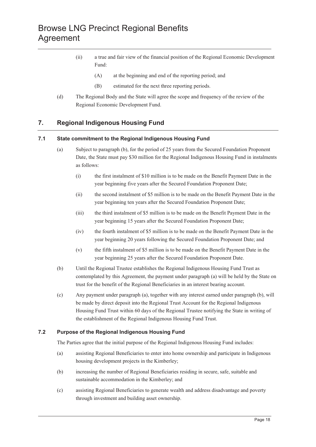- (ii) a true and fair view of the financial position of the Regional Economic Development Fund:
	- (A) at the beginning and end of the reporting period; and
	- (B) estimated for the next three reporting periods.
- (d) The Regional Body and the State will agree the scope and frequency of the review of the Regional Economic Development Fund.

### **7. Regional Indigenous Housing Fund**

#### **7.1 State commitment to the Regional Indigenous Housing Fund**

- (a) Subject to paragraph (b), for the period of 25 years from the Secured Foundation Proponent Date, the State must pay \$30 million for the Regional Indigenous Housing Fund in instalments as follows:
	- (i) the first instalment of \$10 million is to be made on the Benefit Payment Date in the year beginning five years after the Secured Foundation Proponent Date;
	- (ii) the second instalment of \$5 million is to be made on the Benefit Payment Date in the year beginning ten years after the Secured Foundation Proponent Date;
	- (iii) the third instalment of \$5 million is to be made on the Benefit Payment Date in the year beginning 15 years after the Secured Foundation Proponent Date;
	- (iv) the fourth instalment of \$5 million is to be made on the Benefit Payment Date in the year beginning 20 years following the Secured Foundation Proponent Date; and
	- (v) the fifth instalment of \$5 million is to be made on the Benefit Payment Date in the year beginning 25 years after the Secured Foundation Proponent Date.
- (b) Until the Regional Trustee establishes the Regional Indigenous Housing Fund Trust as contemplated by this Agreement, the payment under paragraph (a) will be held by the State on trust for the benefit of the Regional Beneficiaries in an interest bearing account.
- (c) Any payment under paragraph (a), together with any interest earned under paragraph (b), will be made by direct deposit into the Regional Trust Account for the Regional Indigenous Housing Fund Trust within 60 days of the Regional Trustee notifying the State in writing of the establishment of the Regional Indigenous Housing Fund Trust.

#### **7.2 Purpose of the Regional Indigenous Housing Fund**

The Parties agree that the initial purpose of the Regional Indigenous Housing Fund includes:

- (a) assisting Regional Beneficiaries to enter into home ownership and participate in Indigenous housing development projects in the Kimberley;
- (b) increasing the number of Regional Beneficiaries residing in secure, safe, suitable and sustainable accommodation in the Kimberley; and
- (c) assisting Regional Beneficiaries to generate wealth and address disadvantage and poverty through investment and building asset ownership.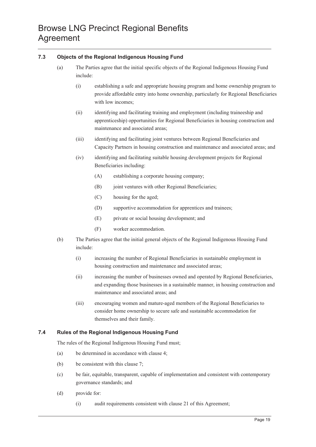#### **7.3 Objects of the Regional Indigenous Housing Fund**

- (a) The Parties agree that the initial specific objects of the Regional Indigenous Housing Fund include:
	- (i) establishing a safe and appropriate housing program and home ownership program to provide affordable entry into home ownership, particularly for Regional Beneficiaries with low incomes;
	- (ii) identifying and facilitating training and employment (including traineeship and apprenticeship) opportunities for Regional Beneficiaries in housing construction and maintenance and associated areas;
	- (iii) identifying and facilitating joint ventures between Regional Beneficiaries and Capacity Partners in housing construction and maintenance and associated areas; and
	- (iv) identifying and facilitating suitable housing development projects for Regional Beneficiaries including:
		- (A) establishing a corporate housing company;
		- (B) joint ventures with other Regional Beneficiaries;
		- (C) housing for the aged;
		- (D) supportive accommodation for apprentices and trainees;
		- (E) private or social housing development; and
		- (F) worker accommodation.
- (b) The Parties agree that the initial general objects of the Regional Indigenous Housing Fund include:
	- (i) increasing the number of Regional Beneficiaries in sustainable employment in housing construction and maintenance and associated areas;
	- (ii) increasing the number of businesses owned and operated by Regional Beneficiaries, and expanding those businesses in a sustainable manner, in housing construction and maintenance and associated areas; and
	- (iii) encouraging women and mature-aged members of the Regional Beneficiaries to consider home ownership to secure safe and sustainable accommodation for themselves and their family.

#### **7.4 Rules of the Regional Indigenous Housing Fund**

The rules of the Regional Indigenous Housing Fund must;

- (a) be determined in accordance with clause 4;
- (b) be consistent with this clause 7;
- (c) be fair, equitable, transparent, capable of implementation and consistent with contemporary governance standards; and
- (d) provide for:
	- (i) audit requirements consistent with clause 21 of this Agreement;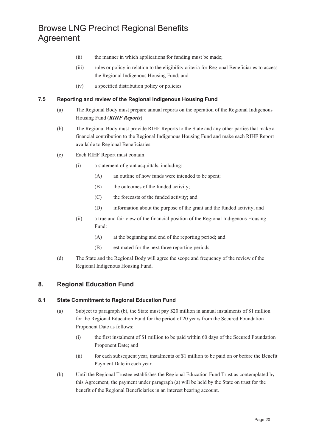- (ii) the manner in which applications for funding must be made;
- (iii) rules or policy in relation to the eligibility criteria for Regional Beneficiaries to access the Regional Indigenous Housing Fund; and
- (iv) a specified distribution policy or policies.

#### **7.5 Reporting and review of the Regional Indigenous Housing Fund**

- (a) The Regional Body must prepare annual reports on the operation of the Regional Indigenous Housing Fund (*RIHF Reports*).
- (b) The Regional Body must provide RIHF Reports to the State and any other parties that make a financial contribution to the Regional Indigenous Housing Fund and make each RIHF Report available to Regional Beneficiaries.
- (c) Each RIHF Report must contain:
	- (i) a statement of grant acquittals, including:
		- (A) an outline of how funds were intended to be spent;
		- (B) the outcomes of the funded activity;
		- (C) the forecasts of the funded activity; and
		- (D) information about the purpose of the grant and the funded activity; and
	- (ii) a true and fair view of the financial position of the Regional Indigenous Housing Fund:
		- (A) at the beginning and end of the reporting period; and
		- (B) estimated for the next three reporting periods.
- (d) The State and the Regional Body will agree the scope and frequency of the review of the Regional Indigenous Housing Fund.

### **8. Regional Education Fund**

#### **8.1 State Commitment to Regional Education Fund**

- (a) Subject to paragraph (b), the State must pay \$20 million in annual instalments of \$1 million for the Regional Education Fund for the period of 20 years from the Secured Foundation Proponent Date as follows:
	- (i) the first instalment of \$1 million to be paid within 60 days of the Secured Foundation Proponent Date; and
	- (ii) for each subsequent year, instalments of \$1 million to be paid on or before the Benefit Payment Date in each year.
- (b) Until the Regional Trustee establishes the Regional Education Fund Trust as contemplated by this Agreement, the payment under paragraph (a) will be held by the State on trust for the benefit of the Regional Beneficiaries in an interest bearing account.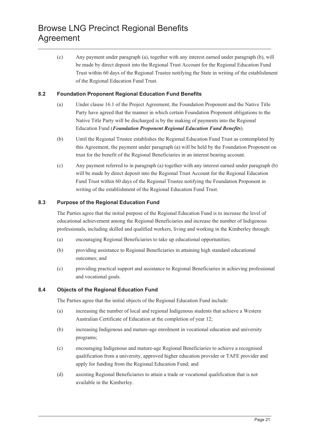(c) Any payment under paragraph (a), together with any interest earned under paragraph (b), will be made by direct deposit into the Regional Trust Account for the Regional Education Fund Trust within 60 days of the Regional Trustee notifying the State in writing of the establishment of the Regional Education Fund Trust.

### **8.2 Foundation Proponent Regional Education Fund Benefits**

- (a) Under clause 16.1 of the Project Agreement, the Foundation Proponent and the Native Title Party have agreed that the manner in which certain Foundation Proponent obligations to the Native Title Party will be discharged is by the making of payments into the Regional Education Fund (*Foundation Proponent Regional Education Fund Benefits*).
- (b) Until the Regional Trustee establishes the Regional Education Fund Trust as contemplated by this Agreement, the payment under paragraph (a) will be held by the Foundation Proponent on trust for the benefit of the Regional Beneficiaries in an interest bearing account.
- (c) Any payment referred to in paragraph (a) together with any interest earned under paragraph (b) will be made by direct deposit into the Regional Trust Account for the Regional Education Fund Trust within 60 days of the Regional Trustee notifying the Foundation Proponent in writing of the establishment of the Regional Education Fund Trust.

#### **8.3 Purpose of the Regional Education Fund**

The Parties agree that the initial purpose of the Regional Education Fund is to increase the level of educational achievement among the Regional Beneficiaries and increase the number of Indigenous professionals, including skilled and qualified workers, living and working in the Kimberley through:

- (a) encouraging Regional Beneficiaries to take up educational opportunities;
- (b) providing assistance to Regional Beneficiaries in attaining high standard educational outcomes; and
- (c) providing practical support and assistance to Regional Beneficiaries in achieving professional and vocational goals.

#### **8.4 Objects of the Regional Education Fund**

The Parties agree that the initial objects of the Regional Education Fund include:

- (a) increasing the number of local and regional Indigenous students that achieve a Western Australian Certificate of Education at the completion of year 12;
- (b) increasing Indigenous and mature-age enrolment in vocational education and university programs;
- (c) encouraging Indigenous and mature-age Regional Beneficiaries to achieve a recognised qualification from a university, approved higher education provider or TAFE provider and apply for funding from the Regional Education Fund; and
- (d) assisting Regional Beneficiaries to attain a trade or vocational qualification that is not available in the Kimberley.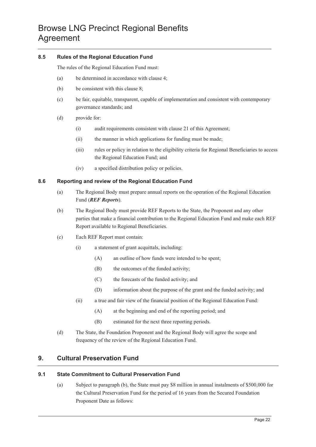#### **8.5 Rules of the Regional Education Fund**

The rules of the Regional Education Fund must:

- (a) be determined in accordance with clause 4;
- (b) be consistent with this clause 8;
- (c) be fair, equitable, transparent, capable of implementation and consistent with contemporary governance standards; and
- (d) provide for:
	- (i) audit requirements consistent with clause 21 of this Agreement;
	- (ii) the manner in which applications for funding must be made;
	- (iii) rules or policy in relation to the eligibility criteria for Regional Beneficiaries to access the Regional Education Fund; and
	- (iv) a specified distribution policy or policies.

#### **8.6 Reporting and review of the Regional Education Fund**

- (a) The Regional Body must prepare annual reports on the operation of the Regional Education Fund (*REF Reports*).
- (b) The Regional Body must provide REF Reports to the State, the Proponent and any other parties that make a financial contribution to the Regional Education Fund and make each REF Report available to Regional Beneficiaries.
- (c) Each REF Report must contain:
	- (i) a statement of grant acquittals, including:
		- (A) an outline of how funds were intended to be spent;
		- (B) the outcomes of the funded activity;
		- (C) the forecasts of the funded activity; and
		- (D) information about the purpose of the grant and the funded activity; and
	- (ii) a true and fair view of the financial position of the Regional Education Fund:
		- (A) at the beginning and end of the reporting period; and
		- (B) estimated for the next three reporting periods.
- (d) The State, the Foundation Proponent and the Regional Body will agree the scope and frequency of the review of the Regional Education Fund.

### **9. Cultural Preservation Fund**

#### **9.1 State Commitment to Cultural Preservation Fund**

(a) Subject to paragraph (b), the State must pay \$8 million in annual instalments of \$500,000 for the Cultural Preservation Fund for the period of 16 years from the Secured Foundation Proponent Date as follows: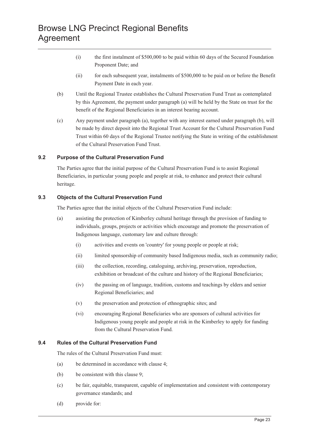- (i) the first instalment of \$500,000 to be paid within 60 days of the Secured Foundation Proponent Date; and
- (ii) for each subsequent year, instalments of \$500,000 to be paid on or before the Benefit Payment Date in each year.
- (b) Until the Regional Trustee establishes the Cultural Preservation Fund Trust as contemplated by this Agreement, the payment under paragraph (a) will be held by the State on trust for the benefit of the Regional Beneficiaries in an interest bearing account.
- (c) Any payment under paragraph (a), together with any interest earned under paragraph (b), will be made by direct deposit into the Regional Trust Account for the Cultural Preservation Fund Trust within 60 days of the Regional Trustee notifying the State in writing of the establishment of the Cultural Preservation Fund Trust.

#### **9.2 Purpose of the Cultural Preservation Fund**

The Parties agree that the initial purpose of the Cultural Preservation Fund is to assist Regional Beneficiaries, in particular young people and people at risk, to enhance and protect their cultural heritage.

#### **9.3 Objects of the Cultural Preservation Fund**

The Parties agree that the initial objects of the Cultural Preservation Fund include:

- (a) assisting the protection of Kimberley cultural heritage through the provision of funding to individuals, groups, projects or activities which encourage and promote the preservation of Indigenous language, customary law and culture through:
	- (i) activities and events on 'country' for young people or people at risk;
	- (ii) limited sponsorship of community based Indigenous media, such as community radio;
	- (iii) the collection, recording, cataloguing, archiving, preservation, reproduction, exhibition or broadcast of the culture and history of the Regional Beneficiaries;
	- (iv) the passing on of language, tradition, customs and teachings by elders and senior Regional Beneficiaries; and
	- (v) the preservation and protection of ethnographic sites; and
	- (vi) encouraging Regional Beneficiaries who are sponsors of cultural activities for Indigenous young people and people at risk in the Kimberley to apply for funding from the Cultural Preservation Fund.

#### **9.4 Rules of the Cultural Preservation Fund**

The rules of the Cultural Preservation Fund must:

- (a) be determined in accordance with clause 4;
- (b) be consistent with this clause 9;
- (c) be fair, equitable, transparent, capable of implementation and consistent with contemporary governance standards; and
- (d) provide for: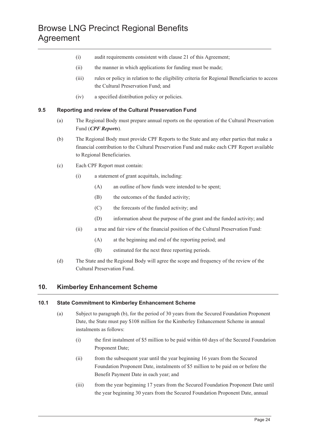- (i) audit requirements consistent with clause 21 of this Agreement;
- (ii) the manner in which applications for funding must be made;
- (iii) rules or policy in relation to the eligibility criteria for Regional Beneficiaries to access the Cultural Preservation Fund; and
- (iv) a specified distribution policy or policies.

#### **9.5 Reporting and review of the Cultural Preservation Fund**

- (a) The Regional Body must prepare annual reports on the operation of the Cultural Preservation Fund (*CPF Reports*).
- (b) The Regional Body must provide CPF Reports to the State and any other parties that make a financial contribution to the Cultural Preservation Fund and make each CPF Report available to Regional Beneficiaries.
- (c) Each CPF Report must contain:
	- (i) a statement of grant acquittals, including:
		- (A) an outline of how funds were intended to be spent;
		- (B) the outcomes of the funded activity;
		- (C) the forecasts of the funded activity; and
		- (D) information about the purpose of the grant and the funded activity; and
	- (ii) a true and fair view of the financial position of the Cultural Preservation Fund:
		- (A) at the beginning and end of the reporting period; and
		- (B) estimated for the next three reporting periods.
- (d) The State and the Regional Body will agree the scope and frequency of the review of the Cultural Preservation Fund.

#### **10. Kimberley Enhancement Scheme**

#### **10.1 State Commitment to Kimberley Enhancement Scheme**

- (a) Subject to paragraph (b), for the period of 30 years from the Secured Foundation Proponent Date, the State must pay \$108 million for the Kimberley Enhancement Scheme in annual instalments as follows:
	- (i) the first instalment of \$5 million to be paid within 60 days of the Secured Foundation Proponent Date;
	- (ii) from the subsequent year until the year beginning 16 years from the Secured Foundation Proponent Date, instalments of \$5 million to be paid on or before the Benefit Payment Date in each year; and
	- (iii) from the year beginning 17 years from the Secured Foundation Proponent Date until the year beginning 30 years from the Secured Foundation Proponent Date, annual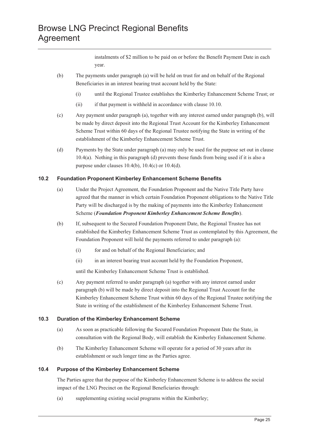instalments of \$2 million to be paid on or before the Benefit Payment Date in each year.

- (b) The payments under paragraph (a) will be held on trust for and on behalf of the Regional Beneficiaries in an interest bearing trust account held by the State:
	- (i) until the Regional Trustee establishes the Kimberley Enhancement Scheme Trust; or
	- (ii) if that payment is withheld in accordance with clause 10.10.
- (c) Any payment under paragraph (a), together with any interest earned under paragraph (b), will be made by direct deposit into the Regional Trust Account for the Kimberley Enhancement Scheme Trust within 60 days of the Regional Trustee notifying the State in writing of the establishment of the Kimberley Enhancement Scheme Trust.
- (d) Payments by the State under paragraph (a) may only be used for the purpose set out in clause 10.4(a). Nothing in this paragraph (d) prevents those funds from being used if it is also a purpose under clauses 10.4(b), 10.4(c) or 10.4(d).

#### **10.2 Foundation Proponent Kimberley Enhancement Scheme Benefits**

- (a) Under the Project Agreement, the Foundation Proponent and the Native Title Party have agreed that the manner in which certain Foundation Proponent obligations to the Native Title Party will be discharged is by the making of payments into the Kimberley Enhancement Scheme (*Foundation Proponent Kimberley Enhancement Scheme Benefits*).
- (b) If, subsequent to the Secured Foundation Proponent Date, the Regional Trustee has not established the Kimberley Enhancement Scheme Trust as contemplated by this Agreement, the Foundation Proponent will hold the payments referred to under paragraph (a):
	- (i) for and on behalf of the Regional Beneficiaries; and
	- (ii) in an interest bearing trust account held by the Foundation Proponent,

until the Kimberley Enhancement Scheme Trust is established.

(c) Any payment referred to under paragraph (a) together with any interest earned under paragraph (b) will be made by direct deposit into the Regional Trust Account for the Kimberley Enhancement Scheme Trust within 60 days of the Regional Trustee notifying the State in writing of the establishment of the Kimberley Enhancement Scheme Trust.

#### **10.3 Duration of the Kimberley Enhancement Scheme**

- (a) As soon as practicable following the Secured Foundation Proponent Date the State, in consultation with the Regional Body, will establish the Kimberley Enhancement Scheme.
- (b) The Kimberley Enhancement Scheme will operate for a period of 30 years after its establishment or such longer time as the Parties agree.

#### **10.4 Purpose of the Kimberley Enhancement Scheme**

The Parties agree that the purpose of the Kimberley Enhancement Scheme is to address the social impact of the LNG Precinct on the Regional Beneficiaries through:

(a) supplementing existing social programs within the Kimberley;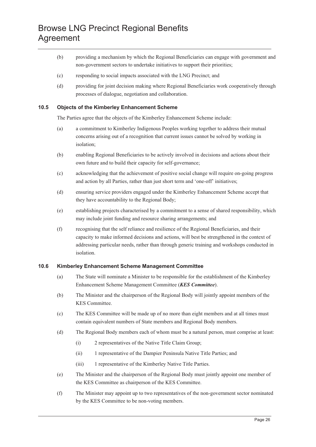- (b) providing a mechanism by which the Regional Beneficiaries can engage with government and non-government sectors to undertake initiatives to support their priorities;
- (c) responding to social impacts associated with the LNG Precinct; and
- (d) providing for joint decision making where Regional Beneficiaries work cooperatively through processes of dialogue, negotiation and collaboration.

#### **10.5 Objects of the Kimberley Enhancement Scheme**

The Parties agree that the objects of the Kimberley Enhancement Scheme include:

- (a) a commitment to Kimberley Indigenous Peoples working together to address their mutual concerns arising out of a recognition that current issues cannot be solved by working in isolation;
- (b) enabling Regional Beneficiaries to be actively involved in decisions and actions about their own future and to build their capacity for self-governance;
- (c) acknowledging that the achievement of positive social change will require on-going progress and action by all Parties, rather than just short term and 'one-off' initiatives;
- (d) ensuring service providers engaged under the Kimberley Enhancement Scheme accept that they have accountability to the Regional Body;
- (e) establishing projects characterised by a commitment to a sense of shared responsibility, which may include joint funding and resource sharing arrangements; and
- (f) recognising that the self reliance and resilience of the Regional Beneficiaries, and their capacity to make informed decisions and actions, will best be strengthened in the context of addressing particular needs, rather than through generic training and workshops conducted in isolation.

#### **10.6 Kimberley Enhancement Scheme Management Committee**

- (a) The State will nominate a Minister to be responsible for the establishment of the Kimberley Enhancement Scheme Management Committee (*KES Committee*).
- (b) The Minister and the chairperson of the Regional Body will jointly appoint members of the KES Committee.
- (c) The KES Committee will be made up of no more than eight members and at all times must contain equivalent numbers of State members and Regional Body members.
- (d) The Regional Body members each of whom must be a natural person, must comprise at least:
	- (i) 2 representatives of the Native Title Claim Group;
	- (ii) 1 representative of the Dampier Peninsula Native Title Parties; and
	- (iii) 1 representative of the Kimberley Native Title Parties.
- (e) The Minister and the chairperson of the Regional Body must jointly appoint one member of the KES Committee as chairperson of the KES Committee.
- (f) The Minister may appoint up to two representatives of the non-government sector nominated by the KES Committee to be non-voting members.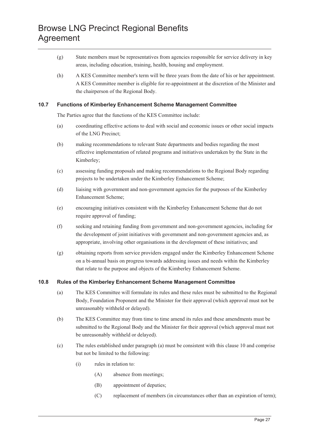- (g) State members must be representatives from agencies responsible for service delivery in key areas, including education, training, health, housing and employment.
- (h) A KES Committee member's term will be three years from the date of his or her appointment. A KES Committee member is eligible for re-appointment at the discretion of the Minister and the chairperson of the Regional Body.

#### **10.7 Functions of Kimberley Enhancement Scheme Management Committee**

The Parties agree that the functions of the KES Committee include:

- (a) coordinating effective actions to deal with social and economic issues or other social impacts of the LNG Precinct;
- (b) making recommendations to relevant State departments and bodies regarding the most effective implementation of related programs and initiatives undertaken by the State in the Kimberley;
- (c) assessing funding proposals and making recommendations to the Regional Body regarding projects to be undertaken under the Kimberley Enhancement Scheme;
- (d) liaising with government and non-government agencies for the purposes of the Kimberley Enhancement Scheme;
- (e) encouraging initiatives consistent with the Kimberley Enhancement Scheme that do not require approval of funding;
- (f) seeking and retaining funding from government and non-government agencies, including for the development of joint initiatives with government and non-government agencies and, as appropriate, involving other organisations in the development of these initiatives; and
- (g) obtaining reports from service providers engaged under the Kimberley Enhancement Scheme on a bi-annual basis on progress towards addressing issues and needs within the Kimberley that relate to the purpose and objects of the Kimberley Enhancement Scheme.

#### **10.8 Rules of the Kimberley Enhancement Scheme Management Committee**

- (a) The KES Committee will formulate its rules and these rules must be submitted to the Regional Body, Foundation Proponent and the Minister for their approval (which approval must not be unreasonably withheld or delayed).
- (b) The KES Committee may from time to time amend its rules and these amendments must be submitted to the Regional Body and the Minister for their approval (which approval must not be unreasonably withheld or delayed).
- (c) The rules established under paragraph (a) must be consistent with this clause 10 and comprise but not be limited to the following:
	- (i) rules in relation to:
		- (A) absence from meetings;
		- (B) appointment of deputies;
		- (C) replacement of members (in circumstances other than an expiration of term);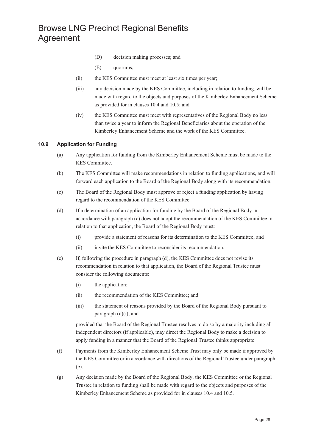- (D) decision making processes; and
- (E) quorums;
- (ii) the KES Committee must meet at least six times per year;
- (iii) any decision made by the KES Committee, including in relation to funding, will be made with regard to the objects and purposes of the Kimberley Enhancement Scheme as provided for in clauses 10.4 and 10.5; and
- (iv) the KES Committee must meet with representatives of the Regional Body no less than twice a year to inform the Regional Beneficiaries about the operation of the Kimberley Enhancement Scheme and the work of the KES Committee.

#### **10.9 Application for Funding**

- (a) Any application for funding from the Kimberley Enhancement Scheme must be made to the KES Committee.
- (b) The KES Committee will make recommendations in relation to funding applications, and will forward each application to the Board of the Regional Body along with its recommendation.
- (c) The Board of the Regional Body must approve or reject a funding application by having regard to the recommendation of the KES Committee.
- (d) If a determination of an application for funding by the Board of the Regional Body in accordance with paragraph (c) does not adopt the recommendation of the KES Committee in relation to that application, the Board of the Regional Body must:
	- (i) provide a statement of reasons for its determination to the KES Committee; and
	- (ii) invite the KES Committee to reconsider its recommendation.
- (e) If, following the procedure in paragraph (d), the KES Committee does not revise its recommendation in relation to that application, the Board of the Regional Trustee must consider the following documents:
	- (i) the application;
	- (ii) the recommendation of the KES Committee; and
	- (iii) the statement of reasons provided by the Board of the Regional Body pursuant to paragraph (d)(i), and

provided that the Board of the Regional Trustee resolves to do so by a majority including all independent directors (if applicable), may direct the Regional Body to make a decision to apply funding in a manner that the Board of the Regional Trustee thinks appropriate.

- (f) Payments from the Kimberley Enhancement Scheme Trust may only be made if approved by the KES Committee or in accordance with directions of the Regional Trustee under paragraph (e).
- (g) Any decision made by the Board of the Regional Body, the KES Committee or the Regional Trustee in relation to funding shall be made with regard to the objects and purposes of the Kimberley Enhancement Scheme as provided for in clauses 10.4 and 10.5.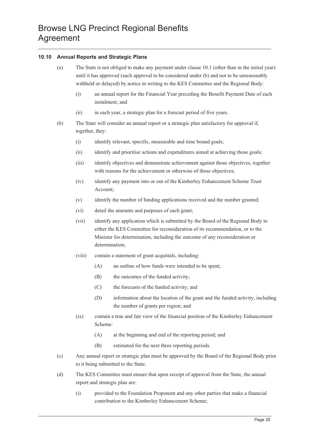#### **10.10 Annual Reports and Strategic Plans**

- (a) The State is not obliged to make any payment under clause 10.1 (other than in the initial year) until it has approved (such approval to be considered under (b) and not to be unreasonably withheld or delayed) by notice in writing to the KES Committee and the Regional Body:
	- (i) an annual report for the Financial Year preceding the Benefit Payment Date of each instalment; and
	- (ii) in each year, a strategic plan for a forecast period of five years.
- (b) The State will consider an annual report or a strategic plan satisfactory for approval if, together, they:
	- (i) identify relevant, specific, measurable and time bound goals;
	- (ii) identify and prioritise actions and expenditures aimed at achieving those goals;
	- (iii) identify objectives and demonstrate achievement against those objectives, together with reasons for the achievement or otherwise of those objectives;
	- (iv) identify any payment into or out of the Kimberley Enhancement Scheme Trust Account;
	- (v) identify the number of funding applications received and the number granted;
	- (vi) detail the amounts and purposes of each grant;
	- (vii) identify any application which is submitted by the Board of the Regional Body to either the KES Committee for reconsideration of its recommendation, or to the Minister for determination, including the outcome of any reconsideration or determination;
	- (viii) contain a statement of grant acquittals, including:
		- (A) an outline of how funds were intended to be spent;
		- (B) the outcomes of the funded activity;
		- (C) the forecasts of the funded activity; and
		- (D) information about the location of the grant and the funded activity, including the number of grants per region; and
	- (ix) contain a true and fair view of the financial position of the Kimberley Enhancement Scheme:
		- (A) at the beginning and end of the reporting period; and
		- (B) estimated for the next three reporting periods.
- (c) Any annual report or strategic plan must be approved by the Board of the Regional Body prior to it being submitted to the State.
- (d) The KES Committee must ensure that upon receipt of approval from the State, the annual report and strategic plan are:
	- (i) provided to the Foundation Proponent and any other parties that make a financial contribution to the Kimberley Enhancement Scheme;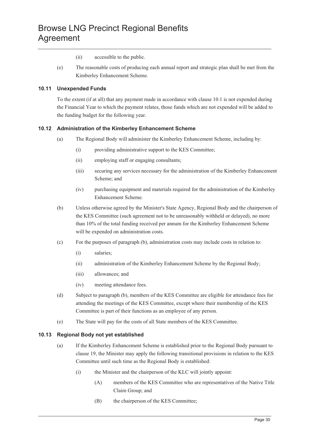- (ii) accessible to the public.
- (e) The reasonable costs of producing each annual report and strategic plan shall be met from the Kimberley Enhancement Scheme.

## **10.11 Unexpended Funds**

To the extent (if at all) that any payment made in accordance with clause 10.1 is not expended during the Financial Year to which the payment relates, those funds which are not expended will be added to the funding budget for the following year.

## **10.12 Administration of the Kimberley Enhancement Scheme**

- (a) The Regional Body will administer the Kimberley Enhancement Scheme, including by:
	- (i) providing administrative support to the KES Committee;
	- (ii) employing staff or engaging consultants;
	- (iii) securing any services necessary for the administration of the Kimberley Enhancement Scheme; and
	- (iv) purchasing equipment and materials required for the administration of the Kimberley Enhancement Scheme.
- (b) Unless otherwise agreed by the Minister's State Agency, Regional Body and the chairperson of the KES Committee (such agreement not to be unreasonably withheld or delayed), no more than 10% of the total funding received per annum for the Kimberley Enhancement Scheme will be expended on administration costs.
- (c) For the purposes of paragraph (b), administration costs may include costs in relation to:
	- (i) salaries;
	- (ii) administration of the Kimberley Enhancement Scheme by the Regional Body;
	- (iii) allowances; and
	- (iv) meeting attendance fees.
- (d) Subject to paragraph (b), members of the KES Committee are eligible for attendance fees for attending the meetings of the KES Committee, except where their membership of the KES Committee is part of their functions as an employee of any person.
- (e) The State will pay for the costs of all State members of the KES Committee.

#### **10.13 Regional Body not yet established**

- (a) If the Kimberley Enhancement Scheme is established prior to the Regional Body pursuant to clause 19, the Minister may apply the following transitional provisions in relation to the KES Committee until such time as the Regional Body is established:
	- (i) the Minister and the chairperson of the KLC will jointly appoint:
		- (A) members of the KES Committee who are representatives of the Native Title Claim Group; and
		- (B) the chairperson of the KES Committee;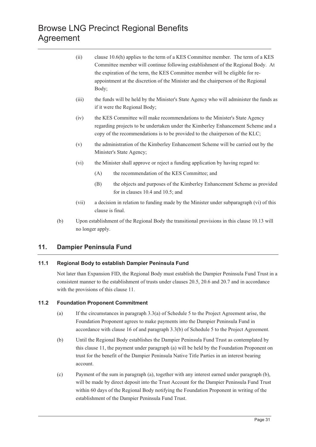- (ii) clause 10.6(h) applies to the term of a KES Committee member. The term of a KES Committee member will continue following establishment of the Regional Body. At the expiration of the term, the KES Committee member will be eligible for reappointment at the discretion of the Minister and the chairperson of the Regional Body;
- (iii) the funds will be held by the Minister's State Agency who will administer the funds as if it were the Regional Body;
- (iv) the KES Committee will make recommendations to the Minister's State Agency regarding projects to be undertaken under the Kimberley Enhancement Scheme and a copy of the recommendations is to be provided to the chairperson of the KLC;
- (v) the administration of the Kimberley Enhancement Scheme will be carried out by the Minister's State Agency;
- (vi) the Minister shall approve or reject a funding application by having regard to:
	- (A) the recommendation of the KES Committee; and
	- (B) the objects and purposes of the Kimberley Enhancement Scheme as provided for in clauses 10.4 and 10.5; and
- (vii) a decision in relation to funding made by the Minister under subparagraph (vi) of this clause is final.
- (b) Upon establishment of the Regional Body the transitional provisions in this clause 10.13 will no longer apply.

# **11. Dampier Peninsula Fund**

# **11.1 Regional Body to establish Dampier Peninsula Fund**

Not later than Expansion FID, the Regional Body must establish the Dampier Peninsula Fund Trust in a consistent manner to the establishment of trusts under clauses 20.5, 20.6 and 20.7 and in accordance with the provisions of this clause 11.

# **11.2 Foundation Proponent Commitment**

- (a) If the circumstances in paragraph 3.3(a) of Schedule 5 to the Project Agreement arise, the Foundation Proponent agrees to make payments into the Dampier Peninsula Fund in accordance with clause 16 of and paragraph 3.3(b) of Schedule 5 to the Project Agreement.
- (b) Until the Regional Body establishes the Dampier Peninsula Fund Trust as contemplated by this clause 11, the payment under paragraph (a) will be held by the Foundation Proponent on trust for the benefit of the Dampier Peninsula Native Title Parties in an interest bearing account.
- (c) Payment of the sum in paragraph (a), together with any interest earned under paragraph (b), will be made by direct deposit into the Trust Account for the Dampier Peninsula Fund Trust within 60 days of the Regional Body notifying the Foundation Proponent in writing of the establishment of the Dampier Peninsula Fund Trust.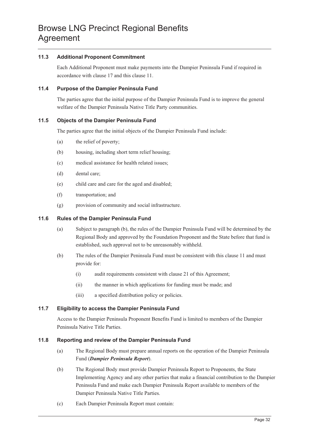# **11.3 Additional Proponent Commitment**

Each Additional Proponent must make payments into the Dampier Peninsula Fund if required in accordance with clause 17 and this clause 11.

## **11.4 Purpose of the Dampier Peninsula Fund**

The parties agree that the initial purpose of the Dampier Peninsula Fund is to improve the general welfare of the Dampier Peninsula Native Title Party communities.

# **11.5 Objects of the Dampier Peninsula Fund**

The parties agree that the initial objects of the Dampier Peninsula Fund include:

- (a) the relief of poverty;
- (b) housing, including short term relief housing;
- (c) medical assistance for health related issues;
- (d) dental care;
- (e) child care and care for the aged and disabled;
- (f) transportation; and
- (g) provision of community and social infrastructure.

## **11.6 Rules of the Dampier Peninsula Fund**

- (a) Subject to paragraph (b), the rules of the Dampier Peninsula Fund will be determined by the Regional Body and approved by the Foundation Proponent and the State before that fund is established, such approval not to be unreasonably withheld.
- (b) The rules of the Dampier Peninsula Fund must be consistent with this clause 11 and must provide for:
	- (i) audit requirements consistent with clause 21 of this Agreement;
	- (ii) the manner in which applications for funding must be made; and
	- (iii) a specified distribution policy or policies.

## **11.7 Eligibility to access the Dampier Peninsula Fund**

Access to the Dampier Peninsula Proponent Benefits Fund is limited to members of the Dampier Peninsula Native Title Parties.

## **11.8 Reporting and review of the Dampier Peninsula Fund**

- (a) The Regional Body must prepare annual reports on the operation of the Dampier Peninsula Fund (*Dampier Peninsula Report*).
- (b) The Regional Body must provide Dampier Peninsula Report to Proponents, the State Implementing Agency and any other parties that make a financial contribution to the Dampier Peninsula Fund and make each Dampier Peninsula Report available to members of the Dampier Peninsula Native Title Parties.
- (c) Each Dampier Peninsula Report must contain: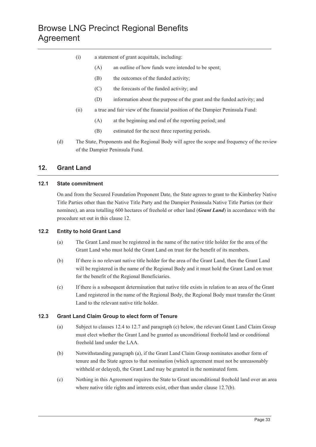- (i) a statement of grant acquittals, including:
	- (A) an outline of how funds were intended to be spent;
	- (B) the outcomes of the funded activity;
	- (C) the forecasts of the funded activity; and
	- (D) information about the purpose of the grant and the funded activity; and
- (ii) a true and fair view of the financial position of the Dampier Peninsula Fund:
	- (A) at the beginning and end of the reporting period; and
	- (B) estimated for the next three reporting periods.
- (d) The State, Proponents and the Regional Body will agree the scope and frequency of the review of the Dampier Peninsula Fund.

# **12. Grant Land**

# **12.1 State commitment**

On and from the Secured Foundation Proponent Date, the State agrees to grant to the Kimberley Native Title Parties other than the Native Title Party and the Dampier Peninsula Native Title Parties (or their nominee), an area totalling 600 hectares of freehold or other land (*Grant Land*) in accordance with the procedure set out in this clause 12.

# **12.2 Entity to hold Grant Land**

- (a) The Grant Land must be registered in the name of the native title holder for the area of the Grant Land who must hold the Grant Land on trust for the benefit of its members.
- (b) If there is no relevant native title holder for the area of the Grant Land, then the Grant Land will be registered in the name of the Regional Body and it must hold the Grant Land on trust for the benefit of the Regional Beneficiaries.
- (c) If there is a subsequent determination that native title exists in relation to an area of the Grant Land registered in the name of the Regional Body, the Regional Body must transfer the Grant Land to the relevant native title holder.

## **12.3 Grant Land Claim Group to elect form of Tenure**

- (a) Subject to clauses 12.4 to 12.7 and paragraph (c) below, the relevant Grant Land Claim Group must elect whether the Grant Land be granted as unconditional freehold land or conditional freehold land under the LAA.
- (b) Notwithstanding paragraph (a), if the Grant Land Claim Group nominates another form of tenure and the State agrees to that nomination (which agreement must not be unreasonably withheld or delayed), the Grant Land may be granted in the nominated form.
- (c) Nothing in this Agreement requires the State to Grant unconditional freehold land over an area where native title rights and interests exist, other than under clause 12.7(b).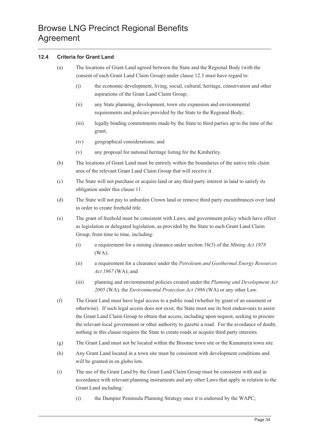## **12.4 Criteria for Grant Land**

- (a) The locations of Grant Land agreed between the State and the Regional Body (with the consent of each Grant Land Claim Group) under clause 12.3 must have regard to:
	- (i) the economic development, living, social, cultural, heritage, conservation and other aspirations of the Grant Land Claim Group;
	- (ii) any State planning, development, town site expansion and environmental requirements and policies provided by the State to the Regional Body;
	- (iii) legally binding commitments made by the State to third parties up to the time of the grant;
	- (iv) geographical considerations; and
	- (v) any proposal for national heritage listing for the Kimberley.
- (b) The locations of Grant Land must be entirely within the boundaries of the native title claim area of the relevant Grant Land Claim Group that will receive it.
- (c) The State will not purchase or acquire land or any third party interest in land to satisfy its obligation under this clause 11.
- (d) The State will not pay to unburden Crown land or remove third party encumbrances over land in order to create freehold title.
- (e) The grant of freehold must be consistent with Laws, and government policy which have effect as legislation or delegated legislation, as provided by the State to each Grant Land Claim Group, from time to time, including:
	- (i) a requirement for a mining clearance under section 16(3) of the *Mining Act 1978*  (WA);
	- (ii) a requirement for a clearance under the *Petroleum and Geothermal Energy Resources Act 1967* (WA); and
	- (iii) planning and environmental policies created under the *Planning and Development Act 2005* (WA)*,* the *Environmental Protection Act 1986* (WA) or any other Law.
- (f) The Grant Land must have legal access to a public road (whether by grant of an easement or otherwise). If such legal access does not exist, the State must use its best endeavours to assist the Grant Land Claim Group to obtain that access, including upon request, seeking to procure the relevant local government or other authority to gazette a road. For the avoidance of doubt, nothing in this clause requires the State to create roads or acquire third party interests.
- (g) The Grant Land must not be located within the Broome town site or the Kununurra town site.
- (h) Any Grant Land located in a town site must be consistent with development conditions and will be granted in en globo lots.
- (i) The use of the Grant Land by the Grant Land Claim Group must be consistent with and in accordance with relevant planning instruments and any other Laws that apply in relation to the Grant Land including:
	- (i) the Dampier Peninsula Planning Strategy once it is endorsed by the WAPC;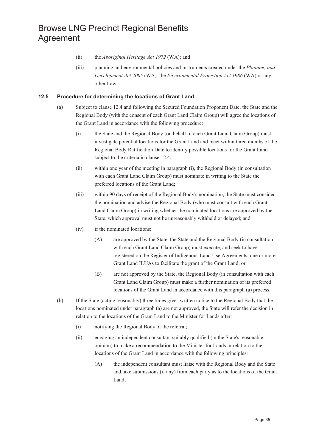- (ii) the *Aboriginal Heritage Act 1972* (WA); and
- (iii) planning and environmental policies and instruments created under the *Planning and Development Act 2005* (WA)*,* the *Environmental Protection Act 1986* (WA) or any other Law.

# **12.5 Procedure for determining the locations of Grant Land**

- (a) Subject to clause 12.4 and following the Secured Foundation Proponent Date, the State and the Regional Body (with the consent of each Grant Land Claim Group) will agree the locations of the Grant Land in accordance with the following procedure:
	- (i) the State and the Regional Body (on behalf of each Grant Land Claim Group) must investigate potential locations for the Grant Land and meet within three months of the Regional Body Ratification Date to identify possible locations for the Grant Land subject to the criteria in clause 12.4;
	- (ii) within one year of the meeting in paragraph (i), the Regional Body (in consultation with each Grant Land Claim Group) must nominate in writing to the State the preferred locations of the Grant Land;
	- (iii) within 90 days of receipt of the Regional Body's nomination, the State must consider the nomination and advise the Regional Body (who must consult with each Grant Land Claim Group) in writing whether the nominated locations are approved by the State, which approval must not be unreasonably withheld or delayed; and
	- (iv) if the nominated locations:
		- (A) are approved by the State, the State and the Regional Body (in consultation with each Grant Land Claim Group) must execute, and seek to have registered on the Register of Indigenous Land Use Agreements, one or more Grant Land ILUAs to facilitate the grant of the Grant Land; or
		- (B) are not approved by the State, the Regional Body (in consultation with each Grant Land Claim Group) must make a further nomination of its preferred locations of the Grant Land in accordance with this paragraph (a) process.
- (b) If the State (acting reasonably) three times gives written notice to the Regional Body that the locations nominated under paragraph (a) are not approved, the State will refer the decision in relation to the locations of the Grant Land to the Minister for Lands after:
	- (i) notifying the Regional Body of the referral;
	- (ii) engaging an independent consultant suitably qualified (in the State's reasonable opinion) to make a recommendation to the Minister for Lands in relation to the locations of the Grant Land in accordance with the following principles:
		- (A) the independent consultant must liaise with the Regional Body and the State and take submissions (if any) from each party as to the locations of the Grant Land;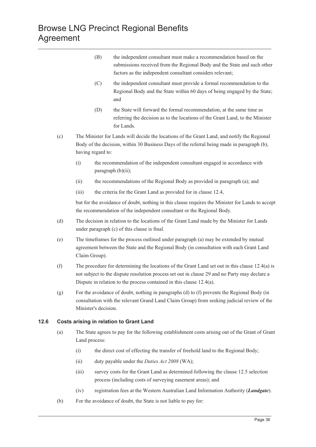- (B) the independent consultant must make a recommendation based on the submissions received from the Regional Body and the State and such other factors as the independent consultant considers relevant;
- (C) the independent consultant must provide a formal recommendation to the Regional Body and the State within 60 days of being engaged by the State; and
- (D) the State will forward the formal recommendation, at the same time as referring the decision as to the locations of the Grant Land, to the Minister for Lands.
- (c) The Minister for Lands will decide the locations of the Grant Land, and notify the Regional Body of the decision, within 30 Business Days of the referral being made in paragraph (b), having regard to:
	- (i) the recommendation of the independent consultant engaged in accordance with paragraph (b)(ii);
	- (ii) the recommendations of the Regional Body as provided in paragraph (a); and
	- (iii) the criteria for the Grant Land as provided for in clause 12.4,

but for the avoidance of doubt, nothing in this clause requires the Minister for Lands to accept the recommendation of the independent consultant or the Regional Body.

- (d) The decision in relation to the locations of the Grant Land made by the Minister for Lands under paragraph (c) of this clause is final.
- (e) The timeframes for the process outlined under paragraph (a) may be extended by mutual agreement between the State and the Regional Body (in consultation with each Grant Land Claim Group).
- (f) The procedure for determining the locations of the Grant Land set out in this clause 12.4(a) is not subject to the dispute resolution process set out in clause 29 and no Party may declare a Dispute in relation to the process contained in this clause 12.4(a).
- (g) For the avoidance of doubt, nothing in paragraphs (d) to (f) prevents the Regional Body (in consultation with the relevant Grand Land Claim Group) from seeking judicial review of the Minister's decision.

# **12.6 Costs arising in relation to Grant Land**

- (a) The State agrees to pay for the following establishment costs arising out of the Grant of Grant Land process:
	- (i) the direct cost of effecting the transfer of freehold land to the Regional Body;
	- (ii) duty payable under the *Duties Act 2008* (WA);
	- (iii) survey costs for the Grant Land as determined following the clause 12.5 selection process (including costs of surveying easement areas); and
	- (iv) registration fees at the Western Australian Land Information Authority (*Landgate*).
- (b) For the avoidance of doubt, the State is not liable to pay for: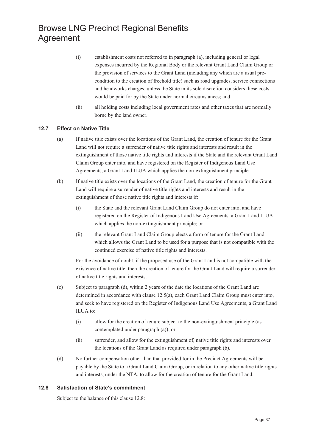- (i) establishment costs not referred to in paragraph (a), including general or legal expenses incurred by the Regional Body or the relevant Grant Land Claim Group or the provision of services to the Grant Land (including any which are a usual precondition to the creation of freehold title) such as road upgrades, service connections and headworks charges, unless the State in its sole discretion considers these costs would be paid for by the State under normal circumstances; and
- (ii) all holding costs including local government rates and other taxes that are normally borne by the land owner.

# **12.7 Effect on Native Title**

- (a) If native title exists over the locations of the Grant Land, the creation of tenure for the Grant Land will not require a surrender of native title rights and interests and result in the extinguishment of those native title rights and interests if the State and the relevant Grant Land Claim Group enter into, and have registered on the Register of Indigenous Land Use Agreements, a Grant Land ILUA which applies the non-extinguishment principle.
- (b) If native title exists over the locations of the Grant Land, the creation of tenure for the Grant Land will require a surrender of native title rights and interests and result in the extinguishment of those native title rights and interests if:
	- (i) the State and the relevant Grant Land Claim Group do not enter into, and have registered on the Register of Indigenous Land Use Agreements, a Grant Land ILUA which applies the non-extinguishment principle; or
	- (ii) the relevant Grant Land Claim Group elects a form of tenure for the Grant Land which allows the Grant Land to be used for a purpose that is not compatible with the continued exercise of native title rights and interests.

For the avoidance of doubt, if the proposed use of the Grant Land is not compatible with the existence of native title, then the creation of tenure for the Grant Land will require a surrender of native title rights and interests.

- (c) Subject to paragraph (d), within 2 years of the date the locations of the Grant Land are determined in accordance with clause 12.5(a), each Grant Land Claim Group must enter into, and seek to have registered on the Register of Indigenous Land Use Agreements, a Grant Land ILUA to:
	- (i) allow for the creation of tenure subject to the non-extinguishment principle (as contemplated under paragraph (a)); or
	- (ii) surrender, and allow for the extinguishment of, native title rights and interests over the locations of the Grant Land as required under paragraph (b).
- (d) No further compensation other than that provided for in the Precinct Agreements will be payable by the State to a Grant Land Claim Group, or in relation to any other native title rights and interests, under the NTA, to allow for the creation of tenure for the Grant Land.

# **12.8 Satisfaction of State's commitment**

Subject to the balance of this clause 12.8: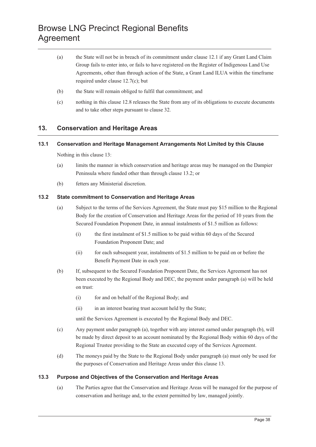- (a) the State will not be in breach of its commitment under clause 12.1 if any Grant Land Claim Group fails to enter into, or fails to have registered on the Register of Indigenous Land Use Agreements, other than through action of the State, a Grant Land ILUA within the timeframe required under clause 12.7(c); but
- (b) the State will remain obliged to fulfil that commitment; and
- (c) nothing in this clause 12.8 releases the State from any of its obligations to execute documents and to take other steps pursuant to clause 32.

# **13. Conservation and Heritage Areas**

# **13.1 Conservation and Heritage Management Arrangements Not Limited by this Clause**

Nothing in this clause 13:

- (a) limits the manner in which conservation and heritage areas may be managed on the Dampier Peninsula where funded other than through clause 13.2; or
- (b) fetters any Ministerial discretion.

## **13.2 State commitment to Conservation and Heritage Areas**

- (a) Subject to the terms of the Services Agreement, the State must pay \$15 million to the Regional Body for the creation of Conservation and Heritage Areas for the period of 10 years from the Secured Foundation Proponent Date, in annual instalments of \$1.5 million as follows:
	- (i) the first instalment of \$1.5 million to be paid within 60 days of the Secured Foundation Proponent Date; and
	- (ii) for each subsequent year, instalments of \$1.5 million to be paid on or before the Benefit Payment Date in each year.
- (b) If, subsequent to the Secured Foundation Proponent Date, the Services Agreement has not been executed by the Regional Body and DEC, the payment under paragraph (a) will be held on trust:
	- (i) for and on behalf of the Regional Body; and
	- (ii) in an interest bearing trust account held by the State;

until the Services Agreement is executed by the Regional Body and DEC.

- (c) Any payment under paragraph (a), together with any interest earned under paragraph (b), will be made by direct deposit to an account nominated by the Regional Body within 60 days of the Regional Trustee providing to the State an executed copy of the Services Agreement.
- (d) The moneys paid by the State to the Regional Body under paragraph (a) must only be used for the purposes of Conservation and Heritage Areas under this clause 13.

## **13.3 Purpose and Objectives of the Conservation and Heritage Areas**

(a) The Parties agree that the Conservation and Heritage Areas will be managed for the purpose of conservation and heritage and, to the extent permitted by law, managed jointly.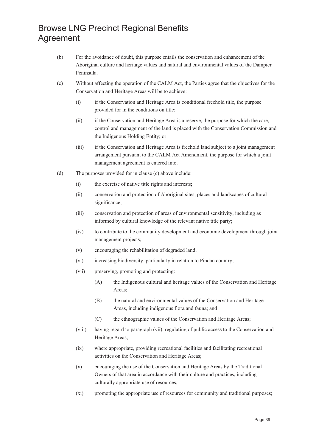- (b) For the avoidance of doubt, this purpose entails the conservation and enhancement of the Aboriginal culture and heritage values and natural and environmental values of the Dampier Peninsula.
- (c) Without affecting the operation of the CALM Act, the Parties agree that the objectives for the Conservation and Heritage Areas will be to achieve:
	- (i) if the Conservation and Heritage Area is conditional freehold title, the purpose provided for in the conditions on title;
	- (ii) if the Conservation and Heritage Area is a reserve, the purpose for which the care, control and management of the land is placed with the Conservation Commission and the Indigenous Holding Entity; or
	- (iii) if the Conservation and Heritage Area is freehold land subject to a joint management arrangement pursuant to the CALM Act Amendment, the purpose for which a joint management agreement is entered into.
- (d) The purposes provided for in clause (c) above include:
	- (i) the exercise of native title rights and interests;
	- (ii) conservation and protection of Aboriginal sites, places and landscapes of cultural significance:
	- (iii) conservation and protection of areas of environmental sensitivity, including as informed by cultural knowledge of the relevant native title party;
	- (iv) to contribute to the community development and economic development through joint management projects;
	- (v) encouraging the rehabilitation of degraded land;
	- (vi) increasing biodiversity, particularly in relation to Pindan country;
	- (vii) preserving, promoting and protecting:
		- (A) the Indigenous cultural and heritage values of the Conservation and Heritage Areas;
		- (B) the natural and environmental values of the Conservation and Heritage Areas, including indigenous flora and fauna; and
		- (C) the ethnographic values of the Conservation and Heritage Areas;
	- (viii) having regard to paragraph (vii), regulating of public access to the Conservation and Heritage Areas;
	- (ix) where appropriate, providing recreational facilities and facilitating recreational activities on the Conservation and Heritage Areas;
	- (x) encouraging the use of the Conservation and Heritage Areas by the Traditional Owners of that area in accordance with their culture and practices, including culturally appropriate use of resources;
	- (xi) promoting the appropriate use of resources for community and traditional purposes;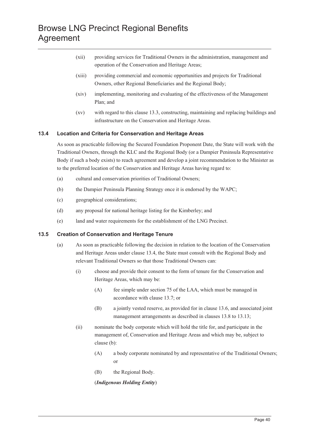- (xii) providing services for Traditional Owners in the administration, management and operation of the Conservation and Heritage Areas;
- (xiii) providing commercial and economic opportunities and projects for Traditional Owners, other Regional Beneficiaries and the Regional Body;
- (xiv) implementing, monitoring and evaluating of the effectiveness of the Management Plan; and
- (xv) with regard to this clause 13.3, constructing, maintaining and replacing buildings and infrastructure on the Conservation and Heritage Areas.

## **13.4 Location and Criteria for Conservation and Heritage Areas**

As soon as practicable following the Secured Foundation Proponent Date, the State will work with the Traditional Owners, through the KLC and the Regional Body (or a Dampier Peninsula Representative Body if such a body exists) to reach agreement and develop a joint recommendation to the Minister as to the preferred location of the Conservation and Heritage Areas having regard to:

- (a) cultural and conservation priorities of Traditional Owners;
- (b) the Dampier Peninsula Planning Strategy once it is endorsed by the WAPC;
- (c) geographical considerations;
- (d) any proposal for national heritage listing for the Kimberley; and
- (e) land and water requirements for the establishment of the LNG Precinct.

## **13.5 Creation of Conservation and Heritage Tenure**

- (a) As soon as practicable following the decision in relation to the location of the Conservation and Heritage Areas under clause 13.4, the State must consult with the Regional Body and relevant Traditional Owners so that those Traditional Owners can:
	- (i) choose and provide their consent to the form of tenure for the Conservation and Heritage Areas, which may be:
		- (A) fee simple under section 75 of the LAA, which must be managed in accordance with clause 13.7; or
		- (B) a jointly vested reserve, as provided for in clause 13.6, and associated joint management arrangements as described in clauses 13.8 to 13.13;
	- (ii) nominate the body corporate which will hold the title for, and participate in the management of, Conservation and Heritage Areas and which may be, subject to clause (b):
		- (A) a body corporate nominated by and representative of the Traditional Owners; or
		- (B) the Regional Body.

(*Indigenous Holding Entity*)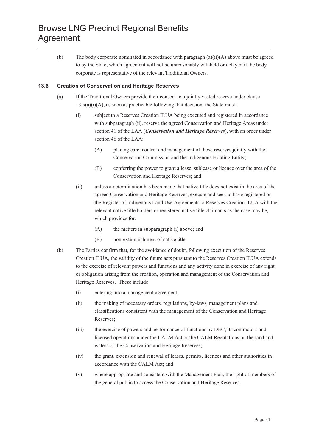(b) The body corporate nominated in accordance with paragraph  $(a)(ii)(A)$  above must be agreed to by the State, which agreement will not be unreasonably withheld or delayed if the body corporate is representative of the relevant Traditional Owners.

# **13.6 Creation of Conservation and Heritage Reserves**

- (a) If the Traditional Owners provide their consent to a jointly vested reserve under clause 13.5(a)(i)(A), as soon as practicable following that decision, the State must:
	- (i) subject to a Reserves Creation ILUA being executed and registered in accordance with subparagraph (ii), reserve the agreed Conservation and Heritage Areas under section 41 of the LAA (*Conservation and Heritage Reserves*), with an order under section 46 of the LAA:
		- (A) placing care, control and management of those reserves jointly with the Conservation Commission and the Indigenous Holding Entity;
		- (B) conferring the power to grant a lease, sublease or licence over the area of the Conservation and Heritage Reserves; and
	- (ii) unless a determination has been made that native title does not exist in the area of the agreed Conservation and Heritage Reserves, execute and seek to have registered on the Register of Indigenous Land Use Agreements, a Reserves Creation ILUA with the relevant native title holders or registered native title claimants as the case may be, which provides for:
		- (A) the matters in subparagraph (i) above; and
		- (B) non-extinguishment of native title.
- (b) The Parties confirm that, for the avoidance of doubt, following execution of the Reserves Creation ILUA, the validity of the future acts pursuant to the Reserves Creation ILUA extends to the exercise of relevant powers and functions and any activity done in exercise of any right or obligation arising from the creation, operation and management of the Conservation and Heritage Reserves. These include:
	- (i) entering into a management agreement;
	- (ii) the making of necessary orders, regulations, by-laws, management plans and classifications consistent with the management of the Conservation and Heritage Reserves;
	- (iii) the exercise of powers and performance of functions by DEC, its contractors and licensed operations under the CALM Act or the CALM Regulations on the land and waters of the Conservation and Heritage Reserves;
	- (iv) the grant, extension and renewal of leases, permits, licences and other authorities in accordance with the CALM Act; and
	- (v) where appropriate and consistent with the Management Plan, the right of members of the general public to access the Conservation and Heritage Reserves.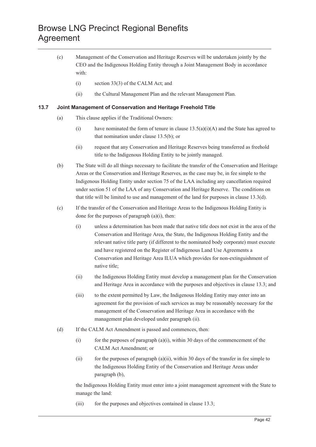- (c) Management of the Conservation and Heritage Reserves will be undertaken jointly by the CEO and the Indigenous Holding Entity through a Joint Management Body in accordance with:
	- (i) section 33(3) of the CALM Act; and
	- (ii) the Cultural Management Plan and the relevant Management Plan.

## **13.7 Joint Management of Conservation and Heritage Freehold Title**

- (a) This clause applies if the Traditional Owners:
	- (i) have nominated the form of tenure in clause  $13.5(a)(i)(A)$  and the State has agreed to that nomination under clause 13.5(b); or
	- (ii) request that any Conservation and Heritage Reserves being transferred as freehold title to the Indigenous Holding Entity to be jointly managed.
- (b) The State will do all things necessary to facilitate the transfer of the Conservation and Heritage Areas or the Conservation and Heritage Reserves, as the case may be, in fee simple to the Indigenous Holding Entity under section 75 of the LAA including any cancellation required under section 51 of the LAA of any Conservation and Heritage Reserve. The conditions on that title will be limited to use and management of the land for purposes in clause 13.3(d).
- (c) If the transfer of the Conservation and Heritage Areas to the Indigenous Holding Entity is done for the purposes of paragraph (a)(i), then:
	- (i) unless a determination has been made that native title does not exist in the area of the Conservation and Heritage Area, the State, the Indigenous Holding Entity and the relevant native title party (if different to the nominated body corporate) must execute and have registered on the Register of Indigenous Land Use Agreements a Conservation and Heritage Area ILUA which provides for non-extinguishment of native title;
	- (ii) the Indigenous Holding Entity must develop a management plan for the Conservation and Heritage Area in accordance with the purposes and objectives in clause 13.3; and
	- (iii) to the extent permitted by Law, the Indigenous Holding Entity may enter into an agreement for the provision of such services as may be reasonably necessary for the management of the Conservation and Heritage Area in accordance with the management plan developed under paragraph (ii).
- (d) If the CALM Act Amendment is passed and commences, then:
	- (i) for the purposes of paragraph  $(a)(i)$ , within 30 days of the commencement of the CALM Act Amendment; or
	- (ii) for the purposes of paragraph  $(a)(ii)$ , within 30 days of the transfer in fee simple to the Indigenous Holding Entity of the Conservation and Heritage Areas under paragraph (b),

the Indigenous Holding Entity must enter into a joint management agreement with the State to manage the land:

(iii) for the purposes and objectives contained in clause 13.3;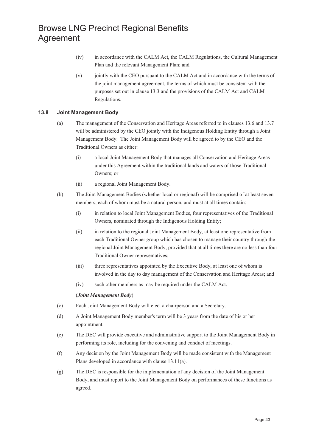- (iv) in accordance with the CALM Act, the CALM Regulations, the Cultural Management Plan and the relevant Management Plan; and
- (v) jointly with the CEO pursuant to the CALM Act and in accordance with the terms of the joint management agreement, the terms of which must be consistent with the purposes set out in clause 13.3 and the provisions of the CALM Act and CALM Regulations.

## **13.8 Joint Management Body**

- (a) The management of the Conservation and Heritage Areas referred to in clauses 13.6 and 13.7 will be administered by the CEO jointly with the Indigenous Holding Entity through a Joint Management Body. The Joint Management Body will be agreed to by the CEO and the Traditional Owners as either:
	- (i) a local Joint Management Body that manages all Conservation and Heritage Areas under this Agreement within the traditional lands and waters of those Traditional Owners; or
	- (ii) a regional Joint Management Body.
- (b) The Joint Management Bodies (whether local or regional) will be comprised of at least seven members, each of whom must be a natural person, and must at all times contain:
	- (i) in relation to local Joint Management Bodies, four representatives of the Traditional Owners, nominated through the Indigenous Holding Entity;
	- (ii) in relation to the regional Joint Management Body, at least one representative from each Traditional Owner group which has chosen to manage their country through the regional Joint Management Body, provided that at all times there are no less than four Traditional Owner representatives;
	- (iii) three representatives appointed by the Executive Body, at least one of whom is involved in the day to day management of the Conservation and Heritage Areas; and
	- (iv) such other members as may be required under the CALM Act.

## (*Joint Management Body*)

- (c) Each Joint Management Body will elect a chairperson and a Secretary.
- (d) A Joint Management Body member's term will be 3 years from the date of his or her appointment.
- (e) The DEC will provide executive and administrative support to the Joint Management Body in performing its role, including for the convening and conduct of meetings.
- (f) Any decision by the Joint Management Body will be made consistent with the Management Plans developed in accordance with clause 13.11(a).
- (g) The DEC is responsible for the implementation of any decision of the Joint Management Body, and must report to the Joint Management Body on performances of these functions as agreed.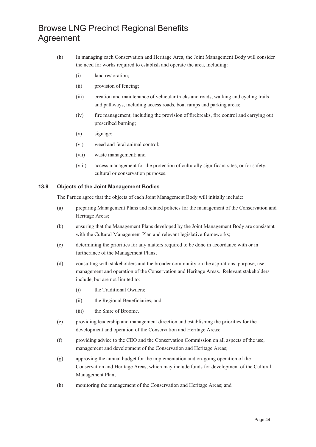- (h) In managing each Conservation and Heritage Area, the Joint Management Body will consider the need for works required to establish and operate the area, including:
	- (i) land restoration;
	- (ii) provision of fencing;
	- (iii) creation and maintenance of vehicular tracks and roads, walking and cycling trails and pathways, including access roads, boat ramps and parking areas;
	- (iv) fire management, including the provision of firebreaks, fire control and carrying out prescribed burning;
	- (v) signage;
	- (vi) weed and feral animal control;
	- (vii) waste management; and
	- (viii) access management for the protection of culturally significant sites, or for safety, cultural or conservation purposes.

## **13.9 Objects of the Joint Management Bodies**

The Parties agree that the objects of each Joint Management Body will initially include:

- (a) preparing Management Plans and related policies for the management of the Conservation and Heritage Areas;
- (b) ensuring that the Management Plans developed by the Joint Management Body are consistent with the Cultural Management Plan and relevant legislative frameworks;
- (c) determining the priorities for any matters required to be done in accordance with or in furtherance of the Management Plans;
- (d) consulting with stakeholders and the broader community on the aspirations, purpose, use, management and operation of the Conservation and Heritage Areas. Relevant stakeholders include, but are not limited to:
	- (i) the Traditional Owners;
	- (ii) the Regional Beneficiaries; and
	- (iii) the Shire of Broome.
- (e) providing leadership and management direction and establishing the priorities for the development and operation of the Conservation and Heritage Areas;
- (f) providing advice to the CEO and the Conservation Commission on all aspects of the use, management and development of the Conservation and Heritage Areas;
- (g) approving the annual budget for the implementation and on-going operation of the Conservation and Heritage Areas, which may include funds for development of the Cultural Management Plan;
- (h) monitoring the management of the Conservation and Heritage Areas; and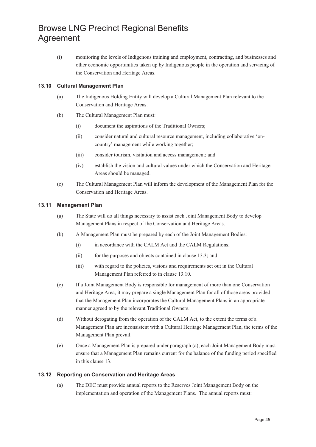(i) monitoring the levels of Indigenous training and employment, contracting, and businesses and other economic opportunities taken up by Indigenous people in the operation and servicing of the Conservation and Heritage Areas.

## **13.10 Cultural Management Plan**

- (a) The Indigenous Holding Entity will develop a Cultural Management Plan relevant to the Conservation and Heritage Areas.
- (b) The Cultural Management Plan must:
	- (i) document the aspirations of the Traditional Owners;
	- (ii) consider natural and cultural resource management, including collaborative 'oncountry' management while working together;
	- (iii) consider tourism, visitation and access management; and
	- (iv) establish the vision and cultural values under which the Conservation and Heritage Areas should be managed.
- (c) The Cultural Management Plan will inform the development of the Management Plan for the Conservation and Heritage Areas.

## **13.11 Management Plan**

- (a) The State will do all things necessary to assist each Joint Management Body to develop Management Plans in respect of the Conservation and Heritage Areas.
- (b) A Management Plan must be prepared by each of the Joint Management Bodies:
	- (i) in accordance with the CALM Act and the CALM Regulations;
	- (ii) for the purposes and objects contained in clause 13.3; and
	- (iii) with regard to the policies, visions and requirements set out in the Cultural Management Plan referred to in clause 13.10.
- (c) If a Joint Management Body is responsible for management of more than one Conservation and Heritage Area, it may prepare a single Management Plan for all of those areas provided that the Management Plan incorporates the Cultural Management Plans in an appropriate manner agreed to by the relevant Traditional Owners.
- (d) Without derogating from the operation of the CALM Act, to the extent the terms of a Management Plan are inconsistent with a Cultural Heritage Management Plan, the terms of the Management Plan prevail.
- (e) Once a Management Plan is prepared under paragraph (a), each Joint Management Body must ensure that a Management Plan remains current for the balance of the funding period specified in this clause 13.

# **13.12 Reporting on Conservation and Heritage Areas**

(a) The DEC must provide annual reports to the Reserves Joint Management Body on the implementation and operation of the Management Plans. The annual reports must: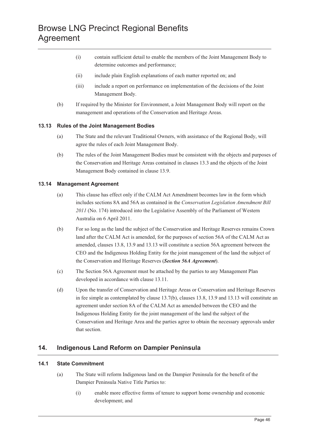- (i) contain sufficient detail to enable the members of the Joint Management Body to determine outcomes and performance;
- (ii) include plain English explanations of each matter reported on; and
- (iii) include a report on performance on implementation of the decisions of the Joint Management Body.
- (b) If required by the Minister for Environment, a Joint Management Body will report on the management and operations of the Conservation and Heritage Areas.

## **13.13 Rules of the Joint Management Bodies**

- (a) The State and the relevant Traditional Owners, with assistance of the Regional Body, will agree the rules of each Joint Management Body.
- (b) The rules of the Joint Management Bodies must be consistent with the objects and purposes of the Conservation and Heritage Areas contained in clauses 13.3 and the objects of the Joint Management Body contained in clause 13.9.

## **13.14 Management Agreement**

- (a) This clause has effect only if the CALM Act Amendment becomes law in the form which includes sections 8A and 56A as contained in the *Conservation Legislation Amendment Bill 2011* (No. 174) introduced into the Legislative Assembly of the Parliament of Western Australia on 6 April 2011.
- (b) For so long as the land the subject of the Conservation and Heritage Reserves remains Crown land after the CALM Act is amended, for the purposes of section 56A of the CALM Act as amended, clauses 13.8, 13.9 and 13.13 will constitute a section 56A agreement between the CEO and the Indigenous Holding Entity for the joint management of the land the subject of the Conservation and Heritage Reserves (*Section 56A Agreement*).
- (c) The Section 56A Agreement must be attached by the parties to any Management Plan developed in accordance with clause 13.11.
- (d) Upon the transfer of Conservation and Heritage Areas or Conservation and Heritage Reserves in fee simple as contemplated by clause 13.7(b), clauses 13.8, 13.9 and 13.13 will constitute an agreement under section 8A of the CALM Act as amended between the CEO and the Indigenous Holding Entity for the joint management of the land the subject of the Conservation and Heritage Area and the parties agree to obtain the necessary approvals under that section.

# **14. Indigenous Land Reform on Dampier Peninsula**

# **14.1 State Commitment**

- (a) The State will reform Indigenous land on the Dampier Peninsula for the benefit of the Dampier Peninsula Native Title Parties to:
	- (i) enable more effective forms of tenure to support home ownership and economic development; and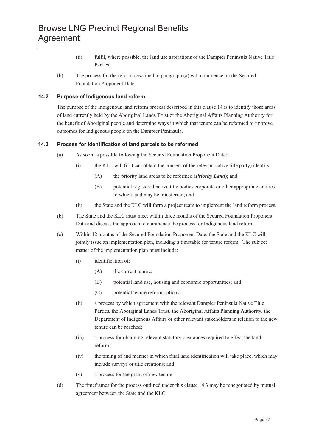- (ii) fulfil, where possible, the land use aspirations of the Dampier Peninsula Native Title Parties.
- (b) The process for the reform described in paragraph (a) will commence on the Secured Foundation Proponent Date.

# **14.2 Purpose of Indigenous land reform**

The purpose of the Indigenous land reform process described in this clause 14 is to identify those areas of land currently held by the Aboriginal Lands Trust or the Aboriginal Affairs Planning Authority for the benefit of Aboriginal people and determine ways in which that tenure can be reformed to improve outcomes for Indigenous people on the Dampier Peninsula.

# **14.3 Process for identification of land parcels to be reformed**

- (a) As soon as possible following the Secured Foundation Proponent Date:
	- (i) the KLC will (if it can obtain the consent of the relevant native title party) identify:
		- (A) the priority land areas to be reformed (*Priority Land*); and
		- (B) potential registered native title bodies corporate or other appropriate entities to which land may be transferred; and
	- (ii) the State and the KLC will form a project team to implement the land reform process.
- (b) The State and the KLC must meet within three months of the Secured Foundation Proponent Date and discuss the approach to commence the process for Indigenous land reform.
- (c) Within 12 months of the Secured Foundation Proponent Date, the State and the KLC will jointly issue an implementation plan, including a timetable for tenure reform. The subject matter of the implementation plan must include:
	- (i) identification of:
		- (A) the current tenure:
		- (B) potential land use, housing and economic opportunities; and
		- (C) potential tenure reform options;
	- (ii) a process by which agreement with the relevant Dampier Peninsula Native Title Parties, the Aboriginal Lands Trust, the Aboriginal Affairs Planning Authority, the Department of Indigenous Affairs or other relevant stakeholders in relation to the new tenure can be reached;
	- (iii) a process for obtaining relevant statutory clearances required to effect the land reform;
	- (iv) the timing of and manner in which final land identification will take place, which may include surveys or title creations; and
	- (v) a process for the grant of new tenure.
- (d) The timeframes for the process outlined under this clause 14.3 may be renegotiated by mutual agreement between the State and the KLC.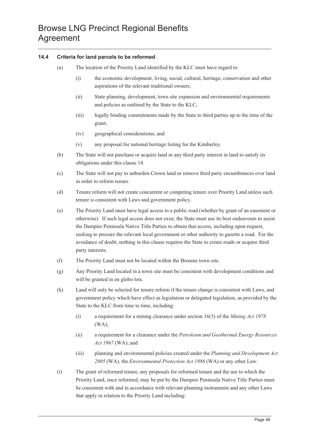## **14.4 Criteria for land parcels to be reformed**

- (a) The location of the Priority Land identified by the KLC must have regard to:
	- (i) the economic development, living, social, cultural, heritage, conservation and other aspirations of the relevant traditional owners;
	- (ii) State planning, development, town site expansion and environmental requirements and policies as outlined by the State to the KLC;
	- (iii) legally binding commitments made by the State to third parties up to the time of the grant;
	- (iv) geographical considerations; and
	- (v) any proposal for national heritage listing for the Kimberley.
- (b) The State will not purchase or acquire land or any third party interest in land to satisfy its obligations under this clause 14.
- (c) The State will not pay to unburden Crown land or remove third party encumbrances over land in order to reform tenure.
- (d) Tenure reform will not create concurrent or competing tenure over Priority Land unless such tenure is consistent with Laws and government policy.
- (e) The Priority Land must have legal access to a public road (whether by grant of an easement or otherwise). If such legal access does not exist, the State must use its best endeavours to assist the Dampier Peninsula Native Title Parties to obtain that access, including upon request, seeking to procure the relevant local government or other authority to gazette a road. For the avoidance of doubt, nothing in this clause requires the State to create roads or acquire third party interests.
- (f) The Priority Land must not be located within the Broome town site.
- (g) Any Priority Land located in a town site must be consistent with development conditions and will be granted in en globo lots.
- (h) Land will only be selected for tenure reform if the tenure change is consistent with Laws, and government policy which have effect as legislation or delegated legislation, as provided by the State to the KLC from time to time, including:
	- (i) a requirement for a mining clearance under section 16(3) of the *Mining Act 1978*  (WA);
	- (ii) a requirement for a clearance under the *Petroleum and Geothermal Energy Resources Act 1967* (WA); and
	- (iii) planning and environmental policies created under the *Planning and Development Act 2005* (WA)*,* the *Environmental Protection Act 1986* (WA) or any other Law.
- (i) The grant of reformed tenure, any proposals for reformed tenure and the use to which the Priority Land, once reformed, may be put by the Dampier Peninsula Native Title Parties must be consistent with and in accordance with relevant planning instruments and any other Laws that apply in relation to the Priority Land including: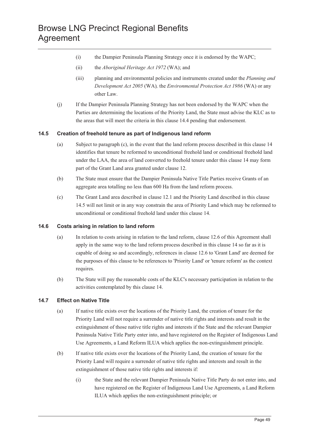- (i) the Dampier Peninsula Planning Strategy once it is endorsed by the WAPC;
- (ii) the *Aboriginal Heritage Act 1972* (WA); and
- (iii) planning and environmental policies and instruments created under the *Planning and Development Act 2005* (WA)*,* the *Environmental Protection Act 1986* (WA) or any other Law.
- (j) If the Dampier Peninsula Planning Strategy has not been endorsed by the WAPC when the Parties are determining the locations of the Priority Land, the State must advise the KLC as to the areas that will meet the criteria in this clause 14.4 pending that endorsement.

## **14.5 Creation of freehold tenure as part of Indigenous land reform**

- (a) Subject to paragraph (c), in the event that the land reform process described in this clause 14 identifies that tenure be reformed to unconditional freehold land or conditional freehold land under the LAA, the area of land converted to freehold tenure under this clause 14 may form part of the Grant Land area granted under clause 12.
- (b) The State must ensure that the Dampier Peninsula Native Title Parties receive Grants of an aggregate area totalling no less than 600 Ha from the land reform process.
- (c) The Grant Land area described in clause 12.1 and the Priority Land described in this clause 14.5 will not limit or in any way constrain the area of Priority Land which may be reformed to unconditional or conditional freehold land under this clause 14.

# **14.6 Costs arising in relation to land reform**

- (a) In relation to costs arising in relation to the land reform, clause 12.6 of this Agreement shall apply in the same way to the land reform process described in this clause 14 so far as it is capable of doing so and accordingly, references in clause 12.6 to 'Grant Land' are deemed for the purposes of this clause to be references to 'Priority Land' or 'tenure reform' as the context requires.
- (b) The State will pay the reasonable costs of the KLC's necessary participation in relation to the activities contemplated by this clause 14.

# **14.7 Effect on Native Title**

- (a) If native title exists over the locations of the Priority Land, the creation of tenure for the Priority Land will not require a surrender of native title rights and interests and result in the extinguishment of those native title rights and interests if the State and the relevant Dampier Peninsula Native Title Party enter into, and have registered on the Register of Indigenous Land Use Agreements, a Land Reform ILUA which applies the non-extinguishment principle.
- (b) If native title exists over the locations of the Priority Land, the creation of tenure for the Priority Land will require a surrender of native title rights and interests and result in the extinguishment of those native title rights and interests if:
	- (i) the State and the relevant Dampier Peninsula Native Title Party do not enter into, and have registered on the Register of Indigenous Land Use Agreements, a Land Reform ILUA which applies the non-extinguishment principle; or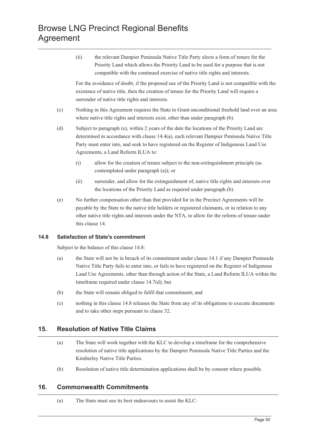(ii) the relevant Dampier Peninsula Native Title Party elects a form of tenure for the Priority Land which allows the Priority Land to be used for a purpose that is not compatible with the continued exercise of native title rights and interests.

For the avoidance of doubt, if the proposed use of the Priority Land is not compatible with the existence of native title, then the creation of tenure for the Priority Land will require a surrender of native title rights and interests.

- (c) Nothing in this Agreement requires the State to Grant unconditional freehold land over an area where native title rights and interests exist, other than under paragraph (b).
- (d) Subject to paragraph (e), within 2 years of the date the locations of the Priority Land are determined in accordance with clause 14.4(a), each relevant Dampier Peninsula Native Title Party must enter into, and seek to have registered on the Register of Indigenous Land Use Agreements, a Land Reform ILUA to:
	- (i) allow for the creation of tenure subject to the non-extinguishment principle (as contemplated under paragraph (a)); or
	- (ii) surrender, and allow for the extinguishment of, native title rights and interests over the locations of the Priority Land as required under paragraph (b).
- (e) No further compensation other than that provided for in the Precinct Agreements will be payable by the State to the native title holders or registered claimants, or in relation to any other native title rights and interests under the NTA, to allow for the reform of tenure under this clause 14.

# **14.8 Satisfaction of State's commitment**

Subject to the balance of this clause 14.8:

- (a) the State will not be in breach of its commitment under clause 14.1 if any Dampier Peninsula Native Title Party fails to enter into, or fails to have registered on the Register of Indigenous Land Use Agreements, other than through action of the State, a Land Reform ILUA within the timeframe required under clause 14.7(d); but
- (b) the State will remain obliged to fulfil that commitment; and
- (c) nothing in this clause 14.8 releases the State from any of its obligations to execute documents and to take other steps pursuant to clause 32.

# **15. Resolution of Native Title Claims**

- (a) The State will work together with the KLC to develop a timeframe for the comprehensive resolution of native title applications by the Dampier Peninsula Native Title Parties and the Kimberley Native Title Parties.
- (b) Resolution of native title determination applications shall be by consent where possible.

# **16. Commonwealth Commitments**

(a) The State must use its best endeavours to assist the KLC: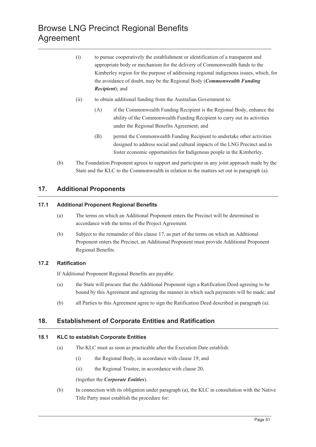- (i) to pursue cooperatively the establishment or identification of a transparent and appropriate body or mechanism for the delivery of Commonwealth funds to the Kimberley region for the purpose of addressing regional indigenous issues, which, for the avoidance of doubt, may be the Regional Body (*Commonwealth Funding Recipient*); and
- (ii) to obtain additional funding from the Australian Government to:
	- (A) if the Commonwealth Funding Recipient is the Regional Body, enhance the ability of the Commonwealth Funding Recipient to carry out its activities under the Regional Benefits Agreement; and
	- (B) permit the Commonwealth Funding Recipient to undertake other activities designed to address social and cultural impacts of the LNG Precinct and to foster economic opportunities for Indigenous people in the Kimberley.
- (b) The Foundation Proponent agrees to support and participate in any joint approach made by the State and the KLC to the Commonwealth in relation to the matters set out in paragraph (a).

# **17. Additional Proponents**

## **17.1 Additional Proponent Regional Benefits**

- (a) The terms on which an Additional Proponent enters the Precinct will be determined in accordance with the terms of the Project Agreement.
- (b) Subject to the remainder of this clause 17, as part of the terms on which an Additional Proponent enters the Precinct, an Additional Proponent must provide Additional Proponent Regional Benefits.

## **17.2 Ratification**

If Additional Proponent Regional Benefits are payable:

- (a) the State will procure that the Additional Proponent sign a Ratification Deed agreeing to be bound by this Agreement and agreeing the manner in which such payments will be made; and
- (b) all Parties to this Agreement agree to sign the Ratification Deed described in paragraph (a).

# **18. Establishment of Corporate Entities and Ratification**

## **18.1 KLC to establish Corporate Entities**

- (a) The KLC must as soon as practicable after the Execution Date establish:
	- (i) the Regional Body, in accordance with clause 19; and
	- (ii) the Regional Trustee, in accordance with clause 20,

(together the *Corporate Entities*).

(b) In connection with its obligation under paragraph (a), the KLC in consultation with the Native Title Party must establish the procedure for: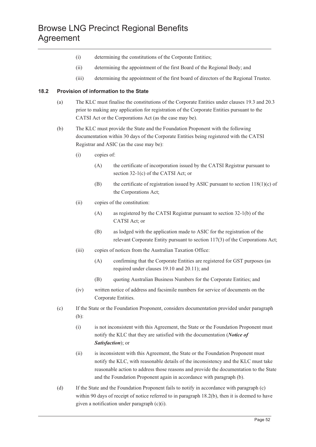- (i) determining the constitutions of the Corporate Entities;
- (ii) determining the appointment of the first Board of the Regional Body; and
- (iii) determining the appointment of the first board of directors of the Regional Trustee.

# **18.2 Provision of information to the State**

- (a) The KLC must finalise the constitutions of the Corporate Entities under clauses 19.3 and 20.3 prior to making any application for registration of the Corporate Entities pursuant to the CATSI Act or the Corporations Act (as the case may be).
- (b) The KLC must provide the State and the Foundation Proponent with the following documentation within 30 days of the Corporate Entities being registered with the CATSI Registrar and ASIC (as the case may be):
	- (i) copies of:
		- (A) the certificate of incorporation issued by the CATSI Registrar pursuant to section 32-1(c) of the CATSI Act; or
		- (B) the certificate of registration issued by ASIC pursuant to section  $118(1)(c)$  of the Corporations Act;
	- (ii) copies of the constitution:
		- (A) as registered by the CATSI Registrar pursuant to section 32-1(b) of the CATSI Act; or
		- (B) as lodged with the application made to ASIC for the registration of the relevant Corporate Entity pursuant to section 117(3) of the Corporations Act;
	- (iii) copies of notices from the Australian Taxation Office:
		- (A) confirming that the Corporate Entities are registered for GST purposes (as required under clauses 19.10 and 20.11); and
		- (B) quoting Australian Business Numbers for the Corporate Entities; and
	- (iv) written notice of address and facsimile numbers for service of documents on the Corporate Entities.
- (c) If the State or the Foundation Proponent, considers documentation provided under paragraph (b):
	- (i) is not inconsistent with this Agreement, the State or the Foundation Proponent must notify the KLC that they are satisfied with the documentation (*Notice of Satisfaction*); or
	- (ii) is inconsistent with this Agreement, the State or the Foundation Proponent must notify the KLC, with reasonable details of the inconsistency and the KLC must take reasonable action to address those reasons and provide the documentation to the State and the Foundation Proponent again in accordance with paragraph (b).
- (d) If the State and the Foundation Proponent fails to notify in accordance with paragraph (c) within 90 days of receipt of notice referred to in paragraph 18.2(b), then it is deemed to have given a notification under paragraph (c)(i).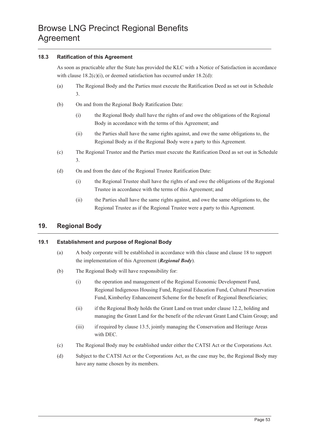# **18.3 Ratification of this Agreement**

As soon as practicable after the State has provided the KLC with a Notice of Satisfaction in accordance with clause  $18.2(c)(i)$ , or deemed satisfaction has occurred under  $18.2(d)$ :

- (a) The Regional Body and the Parties must execute the Ratification Deed as set out in Schedule 3.
- (b) On and from the Regional Body Ratification Date:
	- (i) the Regional Body shall have the rights of and owe the obligations of the Regional Body in accordance with the terms of this Agreement; and
	- (ii) the Parties shall have the same rights against, and owe the same obligations to, the Regional Body as if the Regional Body were a party to this Agreement.
- (c) The Regional Trustee and the Parties must execute the Ratification Deed as set out in Schedule 3.
- (d) On and from the date of the Regional Trustee Ratification Date:
	- (i) the Regional Trustee shall have the rights of and owe the obligations of the Regional Trustee in accordance with the terms of this Agreement; and
	- (ii) the Parties shall have the same rights against, and owe the same obligations to, the Regional Trustee as if the Regional Trustee were a party to this Agreement.

# **19. Regional Body**

# **19.1 Establishment and purpose of Regional Body**

- (a) A body corporate will be established in accordance with this clause and clause 18 to support the implementation of this Agreement (*Regional Body*).
- (b) The Regional Body will have responsibility for:
	- (i) the operation and management of the Regional Economic Development Fund, Regional Indigenous Housing Fund, Regional Education Fund, Cultural Preservation Fund, Kimberley Enhancement Scheme for the benefit of Regional Beneficiaries;
	- (ii) if the Regional Body holds the Grant Land on trust under clause 12.2, holding and managing the Grant Land for the benefit of the relevant Grant Land Claim Group; and
	- (iii) if required by clause 13.5, jointly managing the Conservation and Heritage Areas with DEC.
- (c) The Regional Body may be established under either the CATSI Act or the Corporations Act.
- (d) Subject to the CATSI Act or the Corporations Act, as the case may be, the Regional Body may have any name chosen by its members.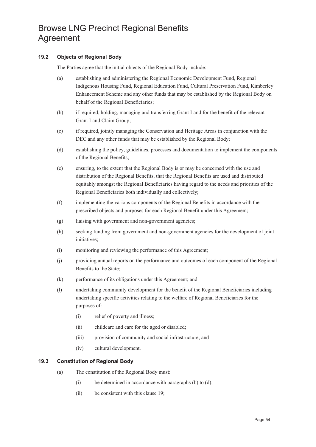## **19.2 Objects of Regional Body**

The Parties agree that the initial objects of the Regional Body include:

- (a) establishing and administering the Regional Economic Development Fund, Regional Indigenous Housing Fund, Regional Education Fund, Cultural Preservation Fund, Kimberley Enhancement Scheme and any other funds that may be established by the Regional Body on behalf of the Regional Beneficiaries;
- (b) if required, holding, managing and transferring Grant Land for the benefit of the relevant Grant Land Claim Group;
- (c) if required, jointly managing the Conservation and Heritage Areas in conjunction with the DEC and any other funds that may be established by the Regional Body;
- (d) establishing the policy, guidelines, processes and documentation to implement the components of the Regional Benefits;
- (e) ensuring, to the extent that the Regional Body is or may be concerned with the use and distribution of the Regional Benefits, that the Regional Benefits are used and distributed equitably amongst the Regional Beneficiaries having regard to the needs and priorities of the Regional Beneficiaries both individually and collectively;
- (f) implementing the various components of the Regional Benefits in accordance with the prescribed objects and purposes for each Regional Benefit under this Agreement;
- (g) liaising with government and non-government agencies;
- (h) seeking funding from government and non-government agencies for the development of joint initiatives;
- (i) monitoring and reviewing the performance of this Agreement;
- (j) providing annual reports on the performance and outcomes of each component of the Regional Benefits to the State;
- (k) performance of its obligations under this Agreement; and
- (l) undertaking community development for the benefit of the Regional Beneficiaries including undertaking specific activities relating to the welfare of Regional Beneficiaries for the purposes of:
	- (i) relief of poverty and illness;
	- (ii) childcare and care for the aged or disabled;
	- (iii) provision of community and social infrastructure; and
	- (iv) cultural development.

## **19.3 Constitution of Regional Body**

- (a) The constitution of the Regional Body must:
	- (i) be determined in accordance with paragraphs (b) to (d);
	- (ii) be consistent with this clause 19;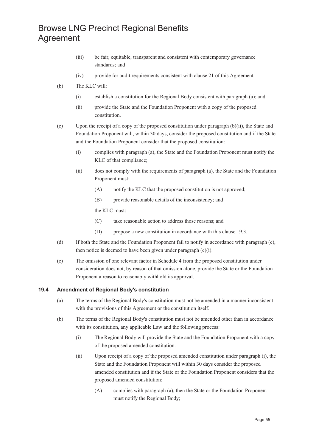- (iii) be fair, equitable, transparent and consistent with contemporary governance standards; and
- (iv) provide for audit requirements consistent with clause 21 of this Agreement.
- (b) The KLC will:
	- (i) establish a constitution for the Regional Body consistent with paragraph (a); and
	- (ii) provide the State and the Foundation Proponent with a copy of the proposed constitution.
- (c) Upon the receipt of a copy of the proposed constitution under paragraph (b)(ii), the State and Foundation Proponent will, within 30 days, consider the proposed constitution and if the State and the Foundation Proponent consider that the proposed constitution:
	- (i) complies with paragraph (a), the State and the Foundation Proponent must notify the KLC of that compliance;
	- (ii) does not comply with the requirements of paragraph (a), the State and the Foundation Proponent must:
		- (A) notify the KLC that the proposed constitution is not approved;
		- (B) provide reasonable details of the inconsistency; and

the KLC must:

- (C) take reasonable action to address those reasons; and
- (D) propose a new constitution in accordance with this clause 19.3.
- (d) If both the State and the Foundation Proponent fail to notify in accordance with paragraph (c), then notice is deemed to have been given under paragraph (c)(i).
- (e) The omission of one relevant factor in Schedule 4 from the proposed constitution under consideration does not, by reason of that omission alone, provide the State or the Foundation Proponent a reason to reasonably withhold its approval.

# **19.4 Amendment of Regional Body's constitution**

- (a) The terms of the Regional Body's constitution must not be amended in a manner inconsistent with the provisions of this Agreement or the constitution itself.
- (b) The terms of the Regional Body's constitution must not be amended other than in accordance with its constitution, any applicable Law and the following process:
	- (i) The Regional Body will provide the State and the Foundation Proponent with a copy of the proposed amended constitution.
	- (ii) Upon receipt of a copy of the proposed amended constitution under paragraph (i), the State and the Foundation Proponent will within 30 days consider the proposed amended constitution and if the State or the Foundation Proponent considers that the proposed amended constitution:
		- (A) complies with paragraph (a), then the State or the Foundation Proponent must notify the Regional Body;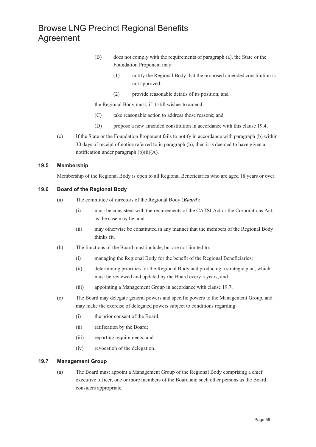- (B) does not comply with the requirements of paragraph (a), the State or the Foundation Proponent may:
	- (1) notify the Regional Body that the proposed amended constitution is not approved;
	- (2) provide reasonable details of its position; and

the Regional Body must, if it still wishes to amend:

- (C) take reasonable action to address those reasons; and
- (D) propose a new amended constitution in accordance with this clause 19.4.
- (c) If the State or the Foundation Proponent fails to notify in accordance with paragraph (b) within 30 days of receipt of notice referred to in paragraph (b), then it is deemed to have given a notification under paragraph (b)(ii)(A).

# **19.5 Membership**

Membership of the Regional Body is open to all Regional Beneficiaries who are aged 18 years or over.

#### **19.6 Board of the Regional Body**

- (a) The committee of directors of the Regional Body (*Board*):
	- (i) must be consistent with the requirements of the CATSI Act or the Corporations Act, as the case may be; and
	- (ii) may otherwise be constituted in any manner that the members of the Regional Body thinks fit.
- (b) The functions of the Board must include, but are not limited to:
	- (i) managing the Regional Body for the benefit of the Regional Beneficiaries;
	- (ii) determining priorities for the Regional Body and producing a strategic plan, which must be reviewed and updated by the Board every 5 years; and
	- (iii) appointing a Management Group in accordance with clause 19.7.
- (c) The Board may delegate general powers and specific powers to the Management Group, and may make the exercise of delegated powers subject to conditions regarding:
	- (i) the prior consent of the Board;
	- (ii) ratification by the Board;
	- (iii) reporting requirements; and
	- (iv) revocation of the delegation.

#### **19.7 Management Group**

(a) The Board must appoint a Management Group of the Regional Body comprising a chief executive officer, one or more members of the Board and such other persons as the Board considers appropriate.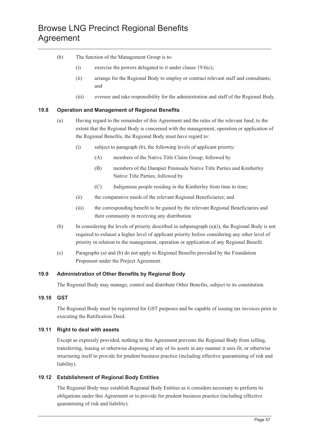- (b) The function of the Management Group is to:
	- (i) exercise the powers delegated to it under clause  $19.6(c)$ ;
	- (ii) arrange for the Regional Body to employ or contract relevant staff and consultants; and
	- (iii) oversee and take responsibility for the administration and staff of the Regional Body.

#### **19.8 Operation and Management of Regional Benefits**

- (a) Having regard to the remainder of this Agreement and the rules of the relevant fund, to the extent that the Regional Body is concerned with the management, operation or application of the Regional Benefits, the Regional Body must have regard to:
	- (i) subject to paragraph (b), the following levels of applicant priority:
		- (A) members of the Native Title Claim Group; followed by
		- (B) members of the Dampier Peninsula Native Title Parties and Kimberley Native Title Parties; followed by
		- (C) Indigenous people residing in the Kimberley from time to time;
	- (ii) the comparative needs of the relevant Regional Beneficiaries; and
	- (iii) the corresponding benefit to be gained by the relevant Regional Beneficiaries and their community in receiving any distribution.
- (b) In considering the levels of priority described in subparagraph (a)(i), the Regional Body is not required to exhaust a higher level of applicant priority before considering any other level of priority in relation to the management, operation or application of any Regional Benefit.
- (c) Paragraphs (a) and (b) do not apply to Regional Benefits provided by the Foundation Proponent under the Project Agreement.

## **19.9 Administration of Other Benefits by Regional Body**

The Regional Body may manage, control and distribute Other Benefits, subject to its constitution.

## **19.10 GST**

The Regional Body must be registered for GST purposes and be capable of issuing tax invoices prior to executing the Ratification Deed.

## **19.11 Right to deal with assets**

Except as expressly provided, nothing in this Agreement prevents the Regional Body from selling, transferring, leasing or otherwise disposing of any of its assets in any manner it sees fit, or otherwise structuring itself to provide for prudent business practice (including effective quarantining of risk and liability).

## **19.12 Establishment of Regional Body Entities**

The Regional Body may establish Regional Body Entities as it considers necessary to perform its obligations under this Agreement or to provide for prudent business practice (including effective quarantining of risk and liability).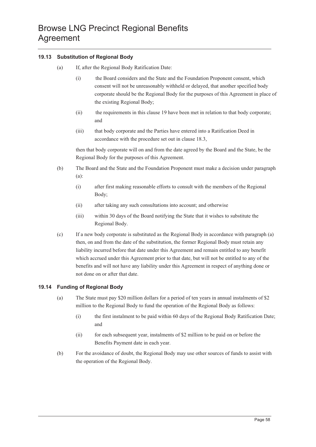# **19.13 Substitution of Regional Body**

- (a) If, after the Regional Body Ratification Date:
	- (i) the Board considers and the State and the Foundation Proponent consent, which consent will not be unreasonably withheld or delayed, that another specified body corporate should be the Regional Body for the purposes of this Agreement in place of the existing Regional Body;
	- (ii) the requirements in this clause 19 have been met in relation to that body corporate; and
	- (iii) that body corporate and the Parties have entered into a Ratification Deed in accordance with the procedure set out in clause 18.3,

then that body corporate will on and from the date agreed by the Board and the State, be the Regional Body for the purposes of this Agreement.

- (b) The Board and the State and the Foundation Proponent must make a decision under paragraph (a):
	- (i) after first making reasonable efforts to consult with the members of the Regional Body;
	- (ii) after taking any such consultations into account; and otherwise
	- (iii) within 30 days of the Board notifying the State that it wishes to substitute the Regional Body.
- (c) If a new body corporate is substituted as the Regional Body in accordance with paragraph (a) then, on and from the date of the substitution, the former Regional Body must retain any liability incurred before that date under this Agreement and remain entitled to any benefit which accrued under this Agreement prior to that date, but will not be entitled to any of the benefits and will not have any liability under this Agreement in respect of anything done or not done on or after that date.

# **19.14 Funding of Regional Body**

- (a) The State must pay \$20 million dollars for a period of ten years in annual instalments of \$2 million to the Regional Body to fund the operation of the Regional Body as follows:
	- (i) the first instalment to be paid within 60 days of the Regional Body Ratification Date; and
	- (ii) for each subsequent year, instalments of \$2 million to be paid on or before the Benefits Payment date in each year.
- (b) For the avoidance of doubt, the Regional Body may use other sources of funds to assist with the operation of the Regional Body.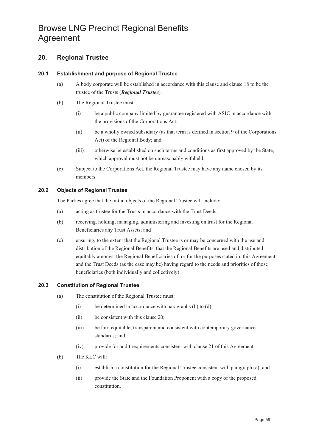# **20. Regional Trustee**

# **20.1 Establishment and purpose of Regional Trustee**

- (a) A body corporate will be established in accordance with this clause and clause 18 to be the trustee of the Trusts (*Regional Trustee*).
- (b) The Regional Trustee must:
	- (i) be a public company limited by guarantee registered with ASIC in accordance with the provisions of the Corporations Act;
	- (ii) be a wholly owned subsidiary (as that term is defined in section 9 of the Corporations Act) of the Regional Body; and
	- (iii) otherwise be established on such terms and conditions as first approved by the State, which approval must not be unreasonably withheld.
- (c) Subject to the Corporations Act, the Regional Trustee may have any name chosen by its members.

# **20.2 Objects of Regional Trustee**

The Parties agree that the initial objects of the Regional Trustee will include:

- (a) acting as trustee for the Trusts in accordance with the Trust Deeds;
- (b) receiving, holding, managing, administering and investing on trust for the Regional Beneficiaries any Trust Assets; and
- (c) ensuring, to the extent that the Regional Trustee is or may be concerned with the use and distribution of the Regional Benefits, that the Regional Benefits are used and distributed equitably amongst the Regional Beneficiaries of, or for the purposes stated in, this Agreement and the Trust Deeds (as the case may be) having regard to the needs and priorities of those beneficiaries (both individually and collectively).

## **20.3 Constitution of Regional Trustee**

- (a) The constitution of the Regional Trustee must:
	- (i) be determined in accordance with paragraphs (b) to (d);
	- (ii) be consistent with this clause 20;
	- (iii) be fair, equitable, transparent and consistent with contemporary governance standards; and
	- (iv) provide for audit requirements consistent with clause 21 of this Agreement.
- (b) The KLC will:
	- (i) establish a constitution for the Regional Trustee consistent with paragraph (a); and
	- (ii) provide the State and the Foundation Proponent with a copy of the proposed constitution.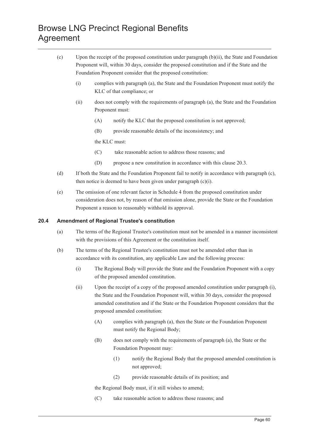- (c) Upon the receipt of the proposed constitution under paragraph (b)(ii), the State and Foundation Proponent will, within 30 days, consider the proposed constitution and if the State and the Foundation Proponent consider that the proposed constitution:
	- (i) complies with paragraph (a), the State and the Foundation Proponent must notify the KLC of that compliance; or
	- (ii) does not comply with the requirements of paragraph (a), the State and the Foundation Proponent must:
		- (A) notify the KLC that the proposed constitution is not approved;
		- (B) provide reasonable details of the inconsistency; and

the KLC must:

- (C) take reasonable action to address those reasons; and
- (D) propose a new constitution in accordance with this clause 20.3.
- (d) If both the State and the Foundation Proponent fail to notify in accordance with paragraph (c), then notice is deemed to have been given under paragraph (c)(i).
- (e) The omission of one relevant factor in Schedule 4 from the proposed constitution under consideration does not, by reason of that omission alone, provide the State or the Foundation Proponent a reason to reasonably withhold its approval.

## **20.4 Amendment of Regional Trustee's constitution**

- (a) The terms of the Regional Trustee's constitution must not be amended in a manner inconsistent with the provisions of this Agreement or the constitution itself.
- (b) The terms of the Regional Trustee's constitution must not be amended other than in accordance with its constitution, any applicable Law and the following process:
	- (i) The Regional Body will provide the State and the Foundation Proponent with a copy of the proposed amended constitution.
	- (ii) Upon the receipt of a copy of the proposed amended constitution under paragraph (i), the State and the Foundation Proponent will, within 30 days, consider the proposed amended constitution and if the State or the Foundation Proponent considers that the proposed amended constitution:
		- (A) complies with paragraph (a), then the State or the Foundation Proponent must notify the Regional Body;
		- (B) does not comply with the requirements of paragraph (a), the State or the Foundation Proponent may:
			- (1) notify the Regional Body that the proposed amended constitution is not approved;
			- (2) provide reasonable details of its position; and

the Regional Body must, if it still wishes to amend;

(C) take reasonable action to address those reasons; and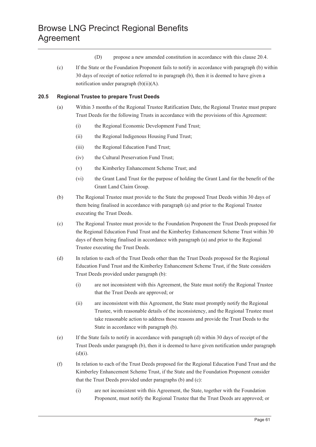- (D) propose a new amended constitution in accordance with this clause 20.4.
- (c) If the State or the Foundation Proponent fails to notify in accordance with paragraph (b) within 30 days of receipt of notice referred to in paragraph (b), then it is deemed to have given a notification under paragraph (b)(ii)(A).

## **20.5 Regional Trustee to prepare Trust Deeds**

- (a) Within 3 months of the Regional Trustee Ratification Date, the Regional Trustee must prepare Trust Deeds for the following Trusts in accordance with the provisions of this Agreement:
	- (i) the Regional Economic Development Fund Trust;
	- (ii) the Regional Indigenous Housing Fund Trust;
	- (iii) the Regional Education Fund Trust;
	- (iv) the Cultural Preservation Fund Trust;
	- (v) the Kimberley Enhancement Scheme Trust; and
	- (vi) the Grant Land Trust for the purpose of holding the Grant Land for the benefit of the Grant Land Claim Group.
- (b) The Regional Trustee must provide to the State the proposed Trust Deeds within 30 days of them being finalised in accordance with paragraph (a) and prior to the Regional Trustee executing the Trust Deeds.
- (c) The Regional Trustee must provide to the Foundation Proponent the Trust Deeds proposed for the Regional Education Fund Trust and the Kimberley Enhancement Scheme Trust within 30 days of them being finalised in accordance with paragraph (a) and prior to the Regional Trustee executing the Trust Deeds.
- (d) In relation to each of the Trust Deeds other than the Trust Deeds proposed for the Regional Education Fund Trust and the Kimberley Enhancement Scheme Trust, if the State considers Trust Deeds provided under paragraph (b):
	- (i) are not inconsistent with this Agreement, the State must notify the Regional Trustee that the Trust Deeds are approved; or
	- (ii) are inconsistent with this Agreement, the State must promptly notify the Regional Trustee, with reasonable details of the inconsistency, and the Regional Trustee must take reasonable action to address those reasons and provide the Trust Deeds to the State in accordance with paragraph (b).
- (e) If the State fails to notify in accordance with paragraph (d) within 30 days of receipt of the Trust Deeds under paragraph (b), then it is deemed to have given notification under paragraph  $(d)(i)$ .
- (f) In relation to each of the Trust Deeds proposed for the Regional Education Fund Trust and the Kimberley Enhancement Scheme Trust, if the State and the Foundation Proponent consider that the Trust Deeds provided under paragraphs (b) and (c):
	- (i) are not inconsistent with this Agreement, the State, together with the Foundation Proponent, must notify the Regional Trustee that the Trust Deeds are approved; or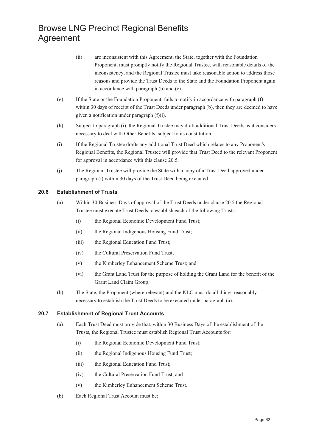- (ii) are inconsistent with this Agreement, the State, together with the Foundation Proponent, must promptly notify the Regional Trustee, with reasonable details of the inconsistency, and the Regional Trustee must take reasonable action to address those reasons and provide the Trust Deeds to the State and the Foundation Proponent again in accordance with paragraph (b) and (c).
- (g) If the State or the Foundation Proponent, fails to notify in accordance with paragraph (f) within 30 days of receipt of the Trust Deeds under paragraph (b), then they are deemed to have given a notification under paragraph (f)(i).
- (h) Subject to paragraph (i), the Regional Trustee may draft additional Trust Deeds as it considers necessary to deal with Other Benefits, subject to its constitution.
- (i) If the Regional Trustee drafts any additional Trust Deed which relates to any Proponent's Regional Benefits, the Regional Trustee will provide that Trust Deed to the relevant Proponent for approval in accordance with this clause 20.5.
- (j) The Regional Trustee will provide the State with a copy of a Trust Deed approved under paragraph (i) within 30 days of the Trust Deed being executed.

# **20.6 Establishment of Trusts**

- (a) Within 30 Business Days of approval of the Trust Deeds under clause 20.5 the Regional Trustee must execute Trust Deeds to establish each of the following Trusts:
	- (i) the Regional Economic Development Fund Trust;
	- (ii) the Regional Indigenous Housing Fund Trust;
	- (iii) the Regional Education Fund Trust;
	- (iv) the Cultural Preservation Fund Trust;
	- (v) the Kimberley Enhancement Scheme Trust; and
	- (vi) the Grant Land Trust for the purpose of holding the Grant Land for the benefit of the Grant Land Claim Group.
- (b) The State, the Proponent (where relevant) and the KLC must do all things reasonably necessary to establish the Trust Deeds to be executed under paragraph (a).

## **20.7 Establishment of Regional Trust Accounts**

- (a) Each Trust Deed must provide that, within 30 Business Days of the establishment of the Trusts, the Regional Trustee must establish Regional Trust Accounts for:
	- (i) the Regional Economic Development Fund Trust;
	- (ii) the Regional Indigenous Housing Fund Trust;
	- (iii) the Regional Education Fund Trust;
	- (iv) the Cultural Preservation Fund Trust; and
	- (v) the Kimberley Enhancement Scheme Trust.
- (b) Each Regional Trust Account must be: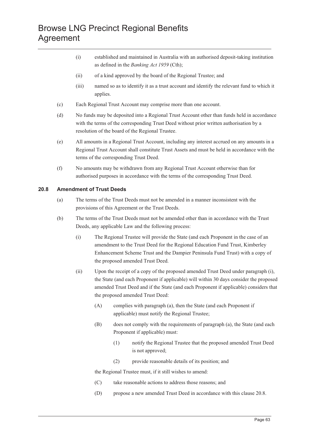- (i) established and maintained in Australia with an authorised deposit-taking institution as defined in the *Banking Act 1959* (Cth);
- (ii) of a kind approved by the board of the Regional Trustee; and
- (iii) named so as to identify it as a trust account and identify the relevant fund to which it applies.
- (c) Each Regional Trust Account may comprise more than one account.
- (d) No funds may be deposited into a Regional Trust Account other than funds held in accordance with the terms of the corresponding Trust Deed without prior written authorisation by a resolution of the board of the Regional Trustee.
- (e) All amounts in a Regional Trust Account, including any interest accrued on any amounts in a Regional Trust Account shall constitute Trust Assets and must be held in accordance with the terms of the corresponding Trust Deed.
- (f) No amounts may be withdrawn from any Regional Trust Account otherwise than for authorised purposes in accordance with the terms of the corresponding Trust Deed.

## **20.8 Amendment of Trust Deeds**

- (a) The terms of the Trust Deeds must not be amended in a manner inconsistent with the provisions of this Agreement or the Trust Deeds.
- (b) The terms of the Trust Deeds must not be amended other than in accordance with the Trust Deeds, any applicable Law and the following process:
	- (i) The Regional Trustee will provide the State (and each Proponent in the case of an amendment to the Trust Deed for the Regional Education Fund Trust, Kimberley Enhancement Scheme Trust and the Dampier Peninsula Fund Trust) with a copy of the proposed amended Trust Deed.
	- (ii) Upon the receipt of a copy of the proposed amended Trust Deed under paragraph (i), the State (and each Proponent if applicable) will within 30 days consider the proposed amended Trust Deed and if the State (and each Proponent if applicable) considers that the proposed amended Trust Deed:
		- (A) complies with paragraph (a), then the State (and each Proponent if applicable) must notify the Regional Trustee;
		- (B) does not comply with the requirements of paragraph (a), the State (and each Proponent if applicable) must:
			- (1) notify the Regional Trustee that the proposed amended Trust Deed is not approved;
			- (2) provide reasonable details of its position; and

the Regional Trustee must, if it still wishes to amend:

- (C) take reasonable actions to address those reasons; and
- (D) propose a new amended Trust Deed in accordance with this clause 20.8.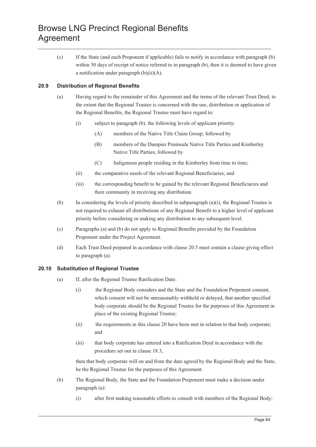(c) If the State (and each Proponent if applicable) fails to notify in accordance with paragraph (b) within 30 days of receipt of notice referred to in paragraph (b), then it is deemed to have given a notification under paragraph  $(b)(ii)(A)$ .

# **20.9 Distribution of Regional Benefits**

- (a) Having regard to the remainder of this Agreement and the terms of the relevant Trust Deed, to the extent that the Regional Trustee is concerned with the use, distribution or application of the Regional Benefits, the Regional Trustee must have regard to:
	- (i) subject to paragraph (b), the following levels of applicant priority:
		- (A) members of the Native Title Claim Group; followed by
		- (B) members of the Dampier Peninsula Native Title Parties and Kimberley Native Title Parties; followed by
		- (C) Indigenous people residing in the Kimberley from time to time;
	- (ii) the comparative needs of the relevant Regional Beneficiaries; and
	- (iii) the corresponding benefit to be gained by the relevant Regional Beneficiaries and their community in receiving any distribution.
- (b) In considering the levels of priority described in subparagraph  $(a)(i)$ , the Regional Trustee is not required to exhaust all distributions of any Regional Benefit to a higher level of applicant priority before considering or making any distribution to any subsequent level.
- (c) Paragraphs (a) and (b) do not apply to Regional Benefits provided by the Foundation Proponent under the Project Agreement.
- (d) Each Trust Deed prepared in accordance with clause 20.5 must contain a clause giving effect to paragraph (a).

## **20.10 Substitution of Regional Trustee**

- (a) If, after the Regional Trustee Ratification Date:
	- (i) the Regional Body considers and the State and the Foundation Proponent consent, which consent will not be unreasonably withheld or delayed, that another specified body corporate should be the Regional Trustee for the purposes of this Agreement in place of the existing Regional Trustee;
	- (ii) the requirements in this clause 20 have been met in relation to that body corporate; and
	- (iii) that body corporate has entered into a Ratification Deed in accordance with the procedure set out in clause 18.3,

then that body corporate will on and from the date agreed by the Regional Body and the State, be the Regional Trustee for the purposes of this Agreement.

- (b) The Regional Body, the State and the Foundation Proponent must make a decision under paragraph (a):
	- (i) after first making reasonable efforts to consult with members of the Regional Body;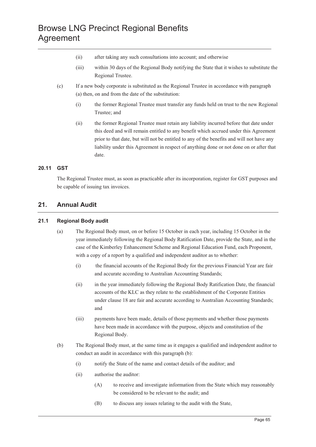- (ii) after taking any such consultations into account; and otherwise
- (iii) within 30 days of the Regional Body notifying the State that it wishes to substitute the Regional Trustee.
- (c) If a new body corporate is substituted as the Regional Trustee in accordance with paragraph (a) then, on and from the date of the substitution:
	- (i) the former Regional Trustee must transfer any funds held on trust to the new Regional Trustee; and
	- (ii) the former Regional Trustee must retain any liability incurred before that date under this deed and will remain entitled to any benefit which accrued under this Agreement prior to that date, but will not be entitled to any of the benefits and will not have any liability under this Agreement in respect of anything done or not done on or after that date.

## **20.11 GST**

The Regional Trustee must, as soon as practicable after its incorporation, register for GST purposes and be capable of issuing tax invoices.

# **21. Annual Audit**

## **21.1 Regional Body audit**

- (a) The Regional Body must, on or before 15 October in each year, including 15 October in the year immediately following the Regional Body Ratification Date, provide the State, and in the case of the Kimberley Enhancement Scheme and Regional Education Fund, each Proponent, with a copy of a report by a qualified and independent auditor as to whether:
	- (i) the financial accounts of the Regional Body for the previous Financial Year are fair and accurate according to Australian Accounting Standards;
	- (ii) in the year immediately following the Regional Body Ratification Date, the financial accounts of the KLC as they relate to the establishment of the Corporate Entities under clause 18 are fair and accurate according to Australian Accounting Standards; and
	- (iii) payments have been made, details of those payments and whether those payments have been made in accordance with the purpose, objects and constitution of the Regional Body.
- (b) The Regional Body must, at the same time as it engages a qualified and independent auditor to conduct an audit in accordance with this paragraph (b):
	- (i) notify the State of the name and contact details of the auditor; and
	- (ii) authorise the auditor:
		- (A) to receive and investigate information from the State which may reasonably be considered to be relevant to the audit; and
		- (B) to discuss any issues relating to the audit with the State,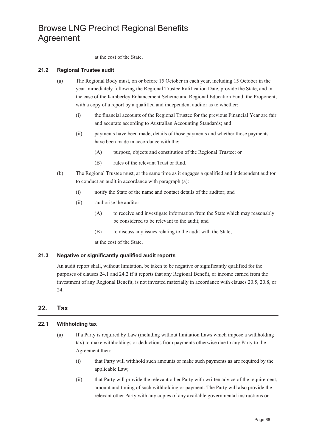at the cost of the State.

#### **21.2 Regional Trustee audit**

- (a) The Regional Body must, on or before 15 October in each year, including 15 October in the year immediately following the Regional Trustee Ratification Date, provide the State, and in the case of the Kimberley Enhancement Scheme and Regional Education Fund, the Proponent, with a copy of a report by a qualified and independent auditor as to whether:
	- (i) the financial accounts of the Regional Trustee for the previous Financial Year are fair and accurate according to Australian Accounting Standards; and
	- (ii) payments have been made, details of those payments and whether those payments have been made in accordance with the:
		- (A) purpose, objects and constitution of the Regional Trustee; or
		- (B) rules of the relevant Trust or fund.
- (b) The Regional Trustee must, at the same time as it engages a qualified and independent auditor to conduct an audit in accordance with paragraph (a):
	- (i) notify the State of the name and contact details of the auditor; and
	- (ii) authorise the auditor:
		- (A) to receive and investigate information from the State which may reasonably be considered to be relevant to the audit; and
			- (B) to discuss any issues relating to the audit with the State,

at the cost of the State.

#### **21.3 Negative or significantly qualified audit reports**

An audit report shall, without limitation, be taken to be negative or significantly qualified for the purposes of clauses 24.1 and 24.2 if it reports that any Regional Benefit, or income earned from the investment of any Regional Benefit, is not invested materially in accordance with clauses 20.5, 20.8, or 24.

# **22. Tax**

#### **22.1 Withholding tax**

- (a) If a Party is required by Law (including without limitation Laws which impose a withholding tax) to make withholdings or deductions from payments otherwise due to any Party to the Agreement then:
	- (i) that Party will withhold such amounts or make such payments as are required by the applicable Law;
	- (ii) that Party will provide the relevant other Party with written advice of the requirement, amount and timing of such withholding or payment. The Party will also provide the relevant other Party with any copies of any available governmental instructions or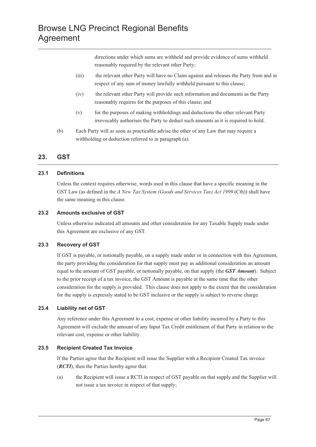directions under which sums are withheld and provide evidence of sums withheld reasonably required by the relevant other Party;

- (iii) the relevant other Party will have no Claim against and releases the Party from and in respect of any sum of money lawfully withheld pursuant to this clause;
- (iv) the relevant other Party will provide such information and documents as the Party reasonably requires for the purposes of this clause; and
- (v) for the purposes of making withholdings and deductions the other relevant Party irrevocably authorises the Party to deduct such amounts as it is required to hold.
- (b) Each Party will as soon as practicable advise the other of any Law that may require a withholding or deduction referred to in paragraph (a).

# **23. GST**

#### **23.1 Definitions**

Unless the context requires otherwise, words used in this clause that have a specific meaning in the GST Law (as defined in the *A New Tax System (Goods and Services Tax) Act 1999* (Cth)) shall have the same meaning in this clause.

# **23.2 Amounts exclusive of GST**

Unless otherwise indicated all amounts and other consideration for any Taxable Supply made under this Agreement are exclusive of any GST.

#### **23.3 Recovery of GST**

If GST is payable, or notionally payable, on a supply made under or in connection with this Agreement, the party providing the consideration for that supply must pay as additional consideration an amount equal to the amount of GST payable, or notionally payable, on that supply (the *GST Amount*). Subject to the prior receipt of a tax invoice, the GST Amount is payable at the same time that the other consideration for the supply is provided. This clause does not apply to the extent that the consideration for the supply is expressly stated to be GST inclusive or the supply is subject to reverse charge.

#### **23.4 Liability net of GST**

Any reference under this Agreement to a cost, expense or other liability incurred by a Party to this Agreement will exclude the amount of any Input Tax Credit entitlement of that Party in relation to the relevant cost, expense or other liability.

#### **23.5 Recipient Created Tax Invoice**

If the Parties agree that the Recipient will issue the Supplier with a Recipient Created Tax invoice (*RCTI*), then the Parties hereby agree that:

(a) the Recipient will issue a RCTI in respect of GST payable on that supply and the Supplier will not issue a tax invoice in respect of that supply;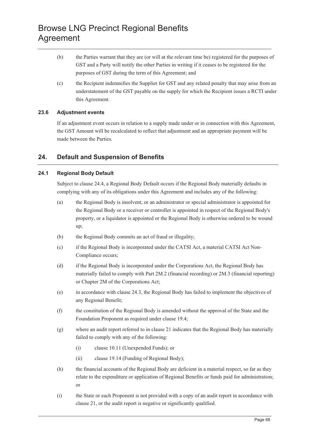- (b) the Parties warrant that they are (or will at the relevant time be) registered for the purposes of GST and a Party will notify the other Parties in writing if it ceases to be registered for the purposes of GST during the term of this Agreement; and
- (c) the Recipient indemnifies the Supplier for GST and any related penalty that may arise from an understatement of the GST payable on the supply for which the Recipient issues a RCTI under this Agreement.

#### **23.6 Adjustment events**

If an adjustment event occurs in relation to a supply made under or in connection with this Agreement, the GST Amount will be recalculated to reflect that adjustment and an appropriate payment will be made between the Parties.

# **24. Default and Suspension of Benefits**

#### **24.1 Regional Body Default**

Subject to clause 24.4, a Regional Body Default occurs if the Regional Body materially defaults in complying with any of its obligations under this Agreement and includes any of the following:

- (a) the Regional Body is insolvent, or an administrator or special administrator is appointed for the Regional Body or a receiver or controller is appointed in respect of the Regional Body's property, or a liquidator is appointed or the Regional Body is otherwise ordered to be wound up;
- (b) the Regional Body commits an act of fraud or illegality;
- (c) if the Regional Body is incorporated under the CATSI Act, a material CATSI Act Non-Compliance occurs;
- (d) if the Regional Body is incorporated under the Corporations Act, the Regional Body has materially failed to comply with Part 2M.2 (financial recording) or 2M.3 (financial reporting) or Chapter 2M of the Corporations Act;
- (e) in accordance with clause 24.3, the Regional Body has failed to implement the objectives of any Regional Benefit;
- (f) the constitution of the Regional Body is amended without the approval of the State and the Foundation Proponent as required under clause 19.4;
- (g) where an audit report referred to in clause 21 indicates that the Regional Body has materially failed to comply with any of the following:
	- (i) clause 10.11 (Unexpended Funds); or
	- (ii) clause 19.14 (Funding of Regional Body);
- (h) the financial accounts of the Regional Body are deficient in a material respect, so far as they relate to the expenditure or application of Regional Benefits or funds paid for administration; or
- (i) the State or each Proponent is not provided with a copy of an audit report in accordance with clause 21, or the audit report is negative or significantly qualified.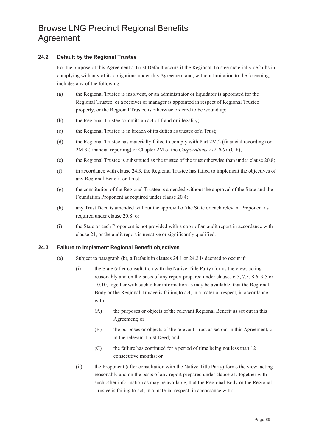#### **24.2 Default by the Regional Trustee**

For the purpose of this Agreement a Trust Default occurs if the Regional Trustee materially defaults in complying with any of its obligations under this Agreement and, without limitation to the foregoing, includes any of the following:

- (a) the Regional Trustee is insolvent, or an administrator or liquidator is appointed for the Regional Trustee, or a receiver or manager is appointed in respect of Regional Trustee property, or the Regional Trustee is otherwise ordered to be wound up;
- (b) the Regional Trustee commits an act of fraud or illegality;
- (c) the Regional Trustee is in breach of its duties as trustee of a Trust;
- (d) the Regional Trustee has materially failed to comply with Part 2M.2 (financial recording) or 2M.3 (financial reporting) or Chapter 2M of the *Corporations Act 2001* (Cth);
- (e) the Regional Trustee is substituted as the trustee of the trust otherwise than under clause 20.8;
- (f) in accordance with clause 24.3, the Regional Trustee has failed to implement the objectives of any Regional Benefit or Trust;
- (g) the constitution of the Regional Trustee is amended without the approval of the State and the Foundation Proponent as required under clause 20.4;
- (h) any Trust Deed is amended without the approval of the State or each relevant Proponent as required under clause 20.8; or
- (i) the State or each Proponent is not provided with a copy of an audit report in accordance with clause 21, or the audit report is negative or significantly qualified.

#### **24.3 Failure to implement Regional Benefit objectives**

- (a) Subject to paragraph (b), a Default in clauses 24.1 or 24.2 is deemed to occur if:
	- (i) the State (after consultation with the Native Title Party) forms the view, acting reasonably and on the basis of any report prepared under clauses 6.5, 7.5, 8.6, 9.5 or 10.10, together with such other information as may be available, that the Regional Body or the Regional Trustee is failing to act, in a material respect, in accordance with:
		- (A) the purposes or objects of the relevant Regional Benefit as set out in this Agreement; or
		- (B) the purposes or objects of the relevant Trust as set out in this Agreement, or in the relevant Trust Deed; and
		- (C) the failure has continued for a period of time being not less than 12 consecutive months; or
	- (ii) the Proponent (after consultation with the Native Title Party) forms the view, acting reasonably and on the basis of any report prepared under clause 21, together with such other information as may be available, that the Regional Body or the Regional Trustee is failing to act, in a material respect, in accordance with: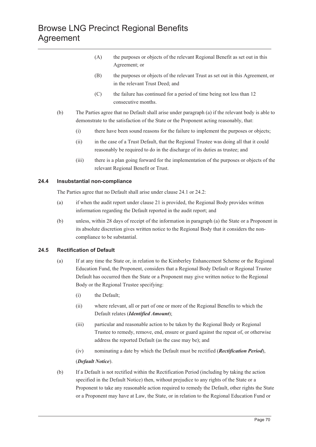- (A) the purposes or objects of the relevant Regional Benefit as set out in this Agreement; or
- (B) the purposes or objects of the relevant Trust as set out in this Agreement, or in the relevant Trust Deed; and
- (C) the failure has continued for a period of time being not less than 12 consecutive months.
- (b) The Parties agree that no Default shall arise under paragraph (a) if the relevant body is able to demonstrate to the satisfaction of the State or the Proponent acting reasonably, that:
	- (i) there have been sound reasons for the failure to implement the purposes or objects;
	- (ii) in the case of a Trust Default, that the Regional Trustee was doing all that it could reasonably be required to do in the discharge of its duties as trustee; and
	- (iii) there is a plan going forward for the implementation of the purposes or objects of the relevant Regional Benefit or Trust.

#### **24.4 Insubstantial non-compliance**

The Parties agree that no Default shall arise under clause 24.1 or 24.2:

- (a) if when the audit report under clause 21 is provided, the Regional Body provides written information regarding the Default reported in the audit report; and
- (b) unless, within 28 days of receipt of the information in paragraph (a) the State or a Proponent in its absolute discretion gives written notice to the Regional Body that it considers the noncompliance to be substantial.

#### **24.5 Rectification of Default**

- (a) If at any time the State or, in relation to the Kimberley Enhancement Scheme or the Regional Education Fund, the Proponent, considers that a Regional Body Default or Regional Trustee Default has occurred then the State or a Proponent may give written notice to the Regional Body or the Regional Trustee specifying:
	- (i) the Default;
	- (ii) where relevant, all or part of one or more of the Regional Benefits to which the Default relates (*Identified Amount*);
	- (iii) particular and reasonable action to be taken by the Regional Body or Regional Trustee to remedy, remove, end, ensure or guard against the repeat of, or otherwise address the reported Default (as the case may be); and
	- (iv) nominating a date by which the Default must be rectified (*Rectification Period*),

#### (*Default Notice*).

(b) If a Default is not rectified within the Rectification Period (including by taking the action specified in the Default Notice) then, without prejudice to any rights of the State or a Proponent to take any reasonable action required to remedy the Default, other rights the State or a Proponent may have at Law, the State, or in relation to the Regional Education Fund or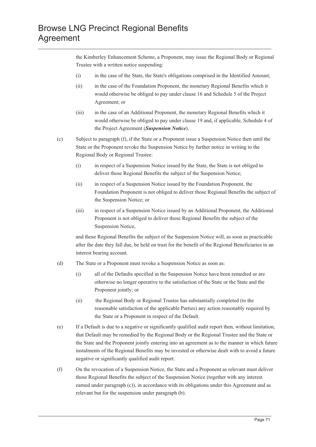the Kimberley Enhancement Scheme, a Proponent, may issue the Regional Body or Regional Trustee with a written notice suspending:

- (i) in the case of the State, the State's obligations comprised in the Identified Amount;
- (ii) in the case of the Foundation Proponent, the monetary Regional Benefits which it would otherwise be obliged to pay under clause 16 and Schedule 5 of the Project Agreement; or
- (iii) in the case of an Additional Proponent, the monetary Regional Benefits which it would otherwise be obliged to pay under clause 19 and, if applicable, Schedule 4 of the Project Agreement (*Suspension Notice*).
- (c) Subject to paragraph (f), if the State or a Proponent issue a Suspension Notice then until the State or the Proponent revoke the Suspension Notice by further notice in writing to the Regional Body or Regional Trustee:
	- (i) in respect of a Suspension Notice issued by the State, the State is not obliged to deliver those Regional Benefits the subject of the Suspension Notice;
	- (ii) in respect of a Suspension Notice issued by the Foundation Proponent, the Foundation Proponent is not obliged to deliver those Regional Benefits the subject of the Suspension Notice; or
	- (iii) in respect of a Suspension Notice issued by an Additional Proponent, the Additional Proponent is not obliged to deliver those Regional Benefits the subject of the Suspension Notice,

and those Regional Benefits the subject of the Suspension Notice will, as soon as practicable after the date they fall due, be held on trust for the benefit of the Regional Beneficiaries in an interest bearing account.

- (d) The State or a Proponent must revoke a Suspension Notice as soon as:
	- (i) all of the Defaults specified in the Suspension Notice have been remedied or are otherwise no longer operative to the satisfaction of the State or the State and the Proponent jointly; or
	- (ii) the Regional Body or Regional Trustee has substantially completed (to the reasonable satisfaction of the applicable Parties) any action reasonably required by the State or a Proponent in respect of the Default.
- (e) If a Default is due to a negative or significantly qualified audit report then, without limitation, that Default may be remedied by the Regional Body or the Regional Trustee and the State or the State and the Proponent jointly entering into an agreement as to the manner in which future instalments of the Regional Benefits may be invested or otherwise dealt with to avoid a future negative or significantly qualified audit report.
- (f) On the revocation of a Suspension Notice, the State and a Proponent as relevant must deliver those Regional Benefits the subject of the Suspension Notice (together with any interest earned under paragraph (c)), in accordance with its obligations under this Agreement and as relevant but for the suspension under paragraph (b).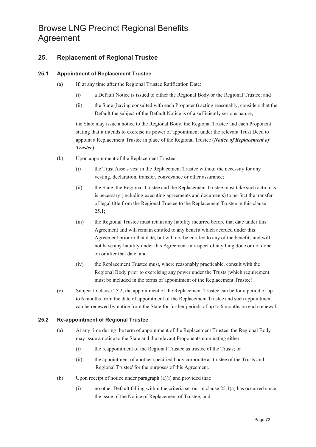# **25. Replacement of Regional Trustee**

#### **25.1 Appointment of Replacement Trustee**

- (a) If, at any time after the Regional Trustee Ratification Date:
	- (i) a Default Notice is issued to either the Regional Body or the Regional Trustee; and
	- (ii) the State (having consulted with each Proponent) acting reasonably, considers that the Default the subject of the Default Notice is of a sufficiently serious nature,

the State may issue a notice to the Regional Body, the Regional Trustee and each Proponent stating that it intends to exercise its power of appointment under the relevant Trust Deed to appoint a Replacement Trustee in place of the Regional Trustee (*Notice of Replacement of Trustee*).

- (b) Upon appointment of the Replacement Trustee:
	- (i) the Trust Assets vest in the Replacement Trustee without the necessity for any vesting, declaration, transfer, conveyance or other assurance;
	- (ii) the State, the Regional Trustee and the Replacement Trustee must take such action as is necessary (including executing agreements and documents) to perfect the transfer of legal title from the Regional Trustee to the Replacement Trustee in this clause 25.1;
	- (iii) the Regional Trustee must retain any liability incurred before that date under this Agreement and will remain entitled to any benefit which accrued under this Agreement prior to that date, but will not be entitled to any of the benefits and will not have any liability under this Agreement in respect of anything done or not done on or after that date; and
	- (iv) the Replacement Trustee must, where reasonably practicable, consult with the Regional Body prior to exercising any power under the Trusts (which requirement must be included in the terms of appointment of the Replacement Trustee).
- (c) Subject to clause 25.2, the appointment of the Replacement Trustee can be for a period of up to 6 months from the date of appointment of the Replacement Trustee and such appointment can be renewed by notice from the State for further periods of up to 6 months on each renewal.

#### **25.2 Re-appointment of Regional Trustee**

- (a) At any time during the term of appointment of the Replacement Trustee, the Regional Body may issue a notice to the State and the relevant Proponents nominating either:
	- (i) the reappointment of the Regional Trustee as trustee of the Trusts; or
	- (ii) the appointment of another specified body corporate as trustee of the Trusts and 'Regional Trustee' for the purposes of this Agreement.
- (b) Upon receipt of notice under paragraph (a)(i) and provided that:
	- (i) no other Default falling within the criteria set out in clause 25.1(a) has occurred since the issue of the Notice of Replacement of Trustee; and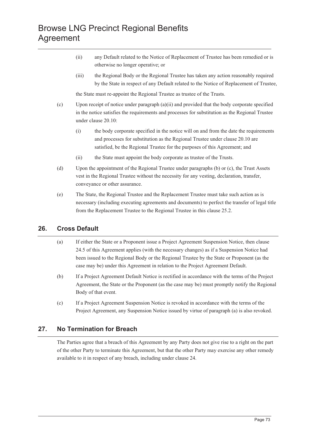# Browse LNG Precinct Regional Benefits Agreement

- (ii) any Default related to the Notice of Replacement of Trustee has been remedied or is otherwise no longer operative; or
- (iii) the Regional Body or the Regional Trustee has taken any action reasonably required by the State in respect of any Default related to the Notice of Replacement of Trustee,

the State must re-appoint the Regional Trustee as trustee of the Trusts.

- (c) Upon receipt of notice under paragraph (a)(ii) and provided that the body corporate specified in the notice satisfies the requirements and processes for substitution as the Regional Trustee under clause 20.10:
	- (i) the body corporate specified in the notice will on and from the date the requirements and processes for substitution as the Regional Trustee under clause 20.10 are satisfied, be the Regional Trustee for the purposes of this Agreement; and
	- (ii) the State must appoint the body corporate as trustee of the Trusts.
- (d) Upon the appointment of the Regional Trustee under paragraphs (b) or (c), the Trust Assets vest in the Regional Trustee without the necessity for any vesting, declaration, transfer, conveyance or other assurance.
- (e) The State, the Regional Trustee and the Replacement Trustee must take such action as is necessary (including executing agreements and documents) to perfect the transfer of legal title from the Replacement Trustee to the Regional Trustee in this clause 25.2.

# **26. Cross Default**

- (a) If either the State or a Proponent issue a Project Agreement Suspension Notice, then clause 24.5 of this Agreement applies (with the necessary changes) as if a Suspension Notice had been issued to the Regional Body or the Regional Trustee by the State or Proponent (as the case may be) under this Agreement in relation to the Project Agreement Default.
- (b) If a Project Agreement Default Notice is rectified in accordance with the terms of the Project Agreement, the State or the Proponent (as the case may be) must promptly notify the Regional Body of that event.
- (c) If a Project Agreement Suspension Notice is revoked in accordance with the terms of the Project Agreement, any Suspension Notice issued by virtue of paragraph (a) is also revoked.

# **27. No Termination for Breach**

The Parties agree that a breach of this Agreement by any Party does not give rise to a right on the part of the other Party to terminate this Agreement, but that the other Party may exercise any other remedy available to it in respect of any breach, including under clause 24.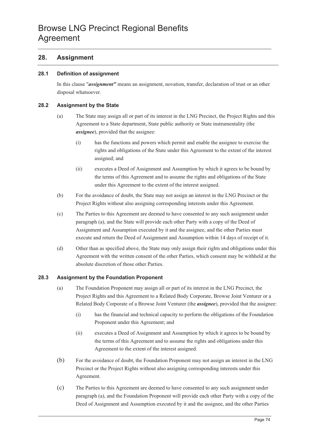# **28. Assignment**

#### **28.1 Definition of assignment**

In this clause "*assignment"* means an assignment, novation, transfer, declaration of trust or an other disposal whatsoever.

#### **28.2 Assignment by the State**

- (a) The State may assign all or part of its interest in the LNG Precinct, the Project Rights and this Agreement to a State department, State public authority or State instrumentality (the *assignee*), provided that the assignee:
	- (i) has the functions and powers which permit and enable the assignee to exercise the rights and obligations of the State under this Agreement to the extent of the interest assigned; and
	- (ii) executes a Deed of Assignment and Assumption by which it agrees to be bound by the terms of this Agreement and to assume the rights and obligations of the State under this Agreement to the extent of the interest assigned.
- (b) For the avoidance of doubt, the State may not assign an interest in the LNG Precinct or the Project Rights without also assigning corresponding interests under this Agreement.
- (c) The Parties to this Agreement are deemed to have consented to any such assignment under paragraph (a), and the State will provide each other Party with a copy of the Deed of Assignment and Assumption executed by it and the assignee, and the other Parties must execute and return the Deed of Assignment and Assumption within 14 days of receipt of it.
- (d) Other than as specified above, the State may only assign their rights and obligations under this Agreement with the written consent of the other Parties, which consent may be withheld at the absolute discretion of those other Parties.

#### **28.3 Assignment by the Foundation Proponent**

- (a) The Foundation Proponent may assign all or part of its interest in the LNG Precinct, the Project Rights and this Agreement to a Related Body Corporate, Browse Joint Venturer or a Related Body Corporate of a Browse Joint Venturer (the *assignee*), provided that the assignee:
	- (i) has the financial and technical capacity to perform the obligations of the Foundation Proponent under this Agreement; and
	- (ii) executes a Deed of Assignment and Assumption by which it agrees to be bound by the terms of this Agreement and to assume the rights and obligations under this Agreement to the extent of the interest assigned.
- (b) For the avoidance of doubt, the Foundation Proponent may not assign an interest in the LNG Precinct or the Project Rights without also assigning corresponding interests under this Agreement.
- (c) The Parties to this Agreement are deemed to have consented to any such assignment under paragraph (a), and the Foundation Proponent will provide each other Party with a copy of the Deed of Assignment and Assumption executed by it and the assignee, and the other Parties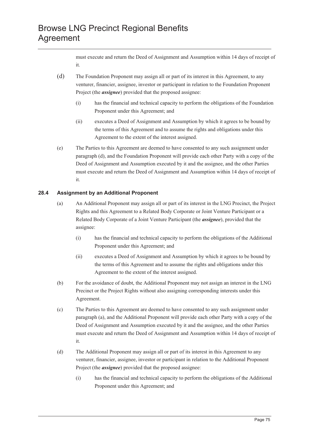must execute and return the Deed of Assignment and Assumption within 14 days of receipt of it.

- (d) The Foundation Proponent may assign all or part of its interest in this Agreement, to any venturer, financier, assignee, investor or participant in relation to the Foundation Proponent Project (the *assignee*) provided that the proposed assignee:
	- (i) has the financial and technical capacity to perform the obligations of the Foundation Proponent under this Agreement; and
	- (ii) executes a Deed of Assignment and Assumption by which it agrees to be bound by the terms of this Agreement and to assume the rights and obligations under this Agreement to the extent of the interest assigned.
- (e) The Parties to this Agreement are deemed to have consented to any such assignment under paragraph (d), and the Foundation Proponent will provide each other Party with a copy of the Deed of Assignment and Assumption executed by it and the assignee, and the other Parties must execute and return the Deed of Assignment and Assumption within 14 days of receipt of it.

# **28.4 Assignment by an Additional Proponent**

- (a) An Additional Proponent may assign all or part of its interest in the LNG Precinct, the Project Rights and this Agreement to a Related Body Corporate or Joint Venture Participant or a Related Body Corporate of a Joint Venture Participant (the *assignee*), provided that the assignee:
	- (i) has the financial and technical capacity to perform the obligations of the Additional Proponent under this Agreement; and
	- (ii) executes a Deed of Assignment and Assumption by which it agrees to be bound by the terms of this Agreement and to assume the rights and obligations under this Agreement to the extent of the interest assigned.
- (b) For the avoidance of doubt, the Additional Proponent may not assign an interest in the LNG Precinct or the Project Rights without also assigning corresponding interests under this Agreement.
- (c) The Parties to this Agreement are deemed to have consented to any such assignment under paragraph (a), and the Additional Proponent will provide each other Party with a copy of the Deed of Assignment and Assumption executed by it and the assignee, and the other Parties must execute and return the Deed of Assignment and Assumption within 14 days of receipt of it.
- (d) The Additional Proponent may assign all or part of its interest in this Agreement to any venturer, financier, assignee, investor or participant in relation to the Additional Proponent Project (the *assignee*) provided that the proposed assignee:
	- (i) has the financial and technical capacity to perform the obligations of the Additional Proponent under this Agreement; and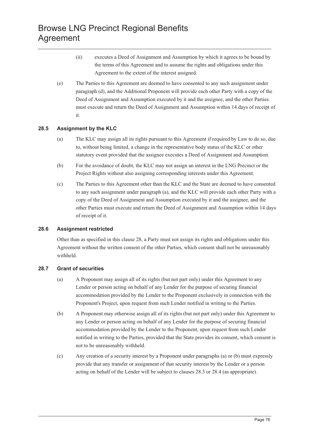- (ii) executes a Deed of Assignment and Assumption by which it agrees to be bound by the terms of this Agreement and to assume the rights and obligations under this Agreement to the extent of the interest assigned.
- (e) The Parties to this Agreement are deemed to have consented to any such assignment under paragraph (d), and the Additional Proponent will provide each other Party with a copy of the Deed of Assignment and Assumption executed by it and the assignee, and the other Parties must execute and return the Deed of Assignment and Assumption within 14 days of receipt of it.

### **28.5 Assignment by the KLC**

- (a) The KLC may assign all its rights pursuant to this Agreement if required by Law to do so, due to, without being limited, a change in the representative body status of the KLC or other statutory event provided that the assignee executes a Deed of Assignment and Assumption.
- (b) For the avoidance of doubt, the KLC may not assign an interest in the LNG Precinct or the Project Rights without also assigning corresponding interests under this Agreement.
- (c) The Parties to this Agreement other than the KLC and the State are deemed to have consented to any such assignment under paragraph (a), and the KLC will provide each other Party with a copy of the Deed of Assignment and Assumption executed by it and the assignee, and the other Parties must execute and return the Deed of Assignment and Assumption within 14 days of receipt of it.

#### **28.6 Assignment restricted**

Other than as specified in this clause 28, a Party must not assign its rights and obligations under this Agreement without the written consent of the other Parties, which consent shall not be unreasonably withheld.

#### **28.7 Grant of securities**

- (a) A Proponent may assign all of its rights (but not part only) under this Agreement to any Lender or person acting on behalf of any Lender for the purpose of securing financial accommodation provided by the Lender to the Proponent exclusively in connection with the Proponent's Project, upon request from such Lender notified in writing to the Parties.
- (b) A Proponent may otherwise assign all of its rights (but not part only) under this Agreement to any Lender or person acting on behalf of any Lender for the purpose of securing financial accommodation provided by the Lender to the Proponent, upon request from such Lender notified in writing to the Parties, provided that the State provides its consent, which consent is not to be unreasonably withheld.
- (c) Any creation of a security interest by a Proponent under paragraphs (a) or (b) must expressly provide that any transfer or assignment of that security interest by the Lender or a person acting on behalf of the Lender will be subject to clauses 28.3 or 28.4 (as appropriate).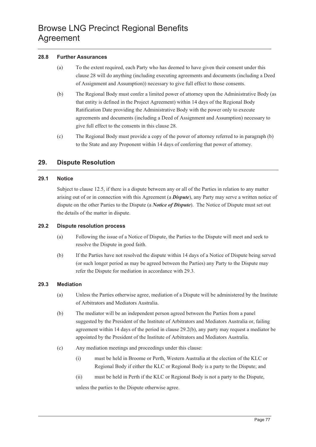#### **28.8 Further Assurances**

- (a) To the extent required, each Party who has deemed to have given their consent under this clause 28 will do anything (including executing agreements and documents (including a Deed of Assignment and Assumption)) necessary to give full effect to those consents.
- (b) The Regional Body must confer a limited power of attorney upon the Administrative Body (as that entity is defined in the Project Agreement) within 14 days of the Regional Body Ratification Date providing the Administrative Body with the power only to execute agreements and documents (including a Deed of Assignment and Assumption) necessary to give full effect to the consents in this clause 28.
- (c) The Regional Body must provide a copy of the power of attorney referred to in paragraph (b) to the State and any Proponent within 14 days of conferring that power of attorney.

# **29. Dispute Resolution**

#### **29.1 Notice**

Subject to clause 12.5, if there is a dispute between any or all of the Parties in relation to any matter arising out of or in connection with this Agreement (a *Dispute*), any Party may serve a written notice of dispute on the other Parties to the Dispute (a *Notice of Dispute*). The Notice of Dispute must set out the details of the matter in dispute.

#### **29.2 Dispute resolution process**

- (a) Following the issue of a Notice of Dispute, the Parties to the Dispute will meet and seek to resolve the Dispute in good faith.
- (b) If the Parties have not resolved the dispute within 14 days of a Notice of Dispute being served (or such longer period as may be agreed between the Parties) any Party to the Dispute may refer the Dispute for mediation in accordance with 29.3.

#### **29.3 Mediation**

- (a) Unless the Parties otherwise agree, mediation of a Dispute will be administered by the Institute of Arbitrators and Mediators Australia.
- (b) The mediator will be an independent person agreed between the Parties from a panel suggested by the President of the Institute of Arbitrators and Mediators Australia or, failing agreement within 14 days of the period in clause 29.2(b), any party may request a mediator be appointed by the President of the Institute of Arbitrators and Mediators Australia.
- (c) Any mediation meetings and proceedings under this clause:
	- (i) must be held in Broome or Perth, Western Australia at the election of the KLC or Regional Body if either the KLC or Regional Body is a party to the Dispute; and
	- (ii) must be held in Perth if the KLC or Regional Body is not a party to the Dispute,

unless the parties to the Dispute otherwise agree.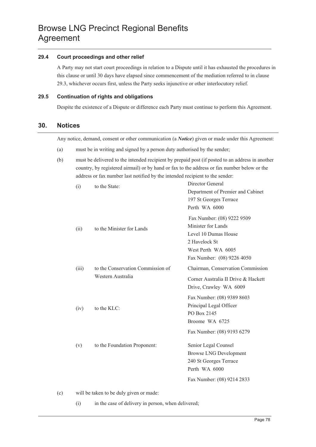#### **29.4 Court proceedings and other relief**

A Party may not start court proceedings in relation to a Dispute until it has exhausted the procedures in this clause or until 30 days have elapsed since commencement of the mediation referred to in clause 29.3, whichever occurs first, unless the Party seeks injunctive or other interlocutory relief.

#### **29.5 Continuation of rights and obligations**

Despite the existence of a Dispute or difference each Party must continue to perform this Agreement.

# **30. Notices**

Any notice, demand, consent or other communication (a *Notice*) given or made under this Agreement:

- (a) must be in writing and signed by a person duty authorised by the sender;
- (b) must be delivered to the intended recipient by prepaid post (if posted to an address in another country, by registered airmail) or by hand or fax to the address or fax number below or the address or fax number last notified by the intended recipient to the sender:

| (i)   | to the State:                                          | Director General<br>Department of Premier and Cabinet<br>197 St Georges Terrace<br>Perth WA 6000                                                             |
|-------|--------------------------------------------------------|--------------------------------------------------------------------------------------------------------------------------------------------------------------|
| (ii)  | to the Minister for Lands                              | Fax Number: (08) 9222 9509<br>Minister for Lands<br>Level 10 Dumas House<br>2 Havelock St<br>West Perth WA 6005<br>Fax Number: (08) 9226 4050                |
| (iii) | to the Conservation Commission of<br>Western Australia | Chairman, Conservation Commission<br>Corner Australia II Drive & Hackett<br>Drive, Crawley WA 6009                                                           |
| (iv)  | to the KLC:                                            | Fax Number: (08) 9389 8603<br>Principal Legal Officer<br>PO Box 2145<br>Broome WA 6725                                                                       |
| (v)   | to the Foundation Proponent:                           | Fax Number: (08) 9193 6279<br>Senior Legal Counsel<br><b>Browse LNG Development</b><br>240 St Georges Terrace<br>Perth WA 6000<br>Fax Number: (08) 9214 2833 |
|       |                                                        |                                                                                                                                                              |

(c) will be taken to be duly given or made:

(i) in the case of delivery in person, when delivered;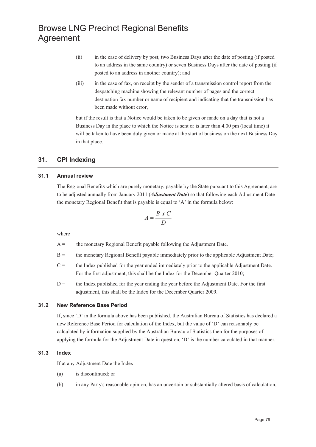- (ii) in the case of delivery by post, two Business Days after the date of posting (if posted to an address in the same country) or seven Business Days after the date of posting (if posted to an address in another country); and
- (iii) in the case of fax, on receipt by the sender of a transmission control report from the despatching machine showing the relevant number of pages and the correct destination fax number or name of recipient and indicating that the transmission has been made without error,

but if the result is that a Notice would be taken to be given or made on a day that is not a Business Day in the place to which the Notice is sent or is later than 4.00 pm (local time) it will be taken to have been duly given or made at the start of business on the next Business Day in that place.

# **31. CPI Indexing**

#### **31.1 Annual review**

The Regional Benefits which are purely monetary, payable by the State pursuant to this Agreement, are to be adjusted annually from January 2011 (*Adjustment Date*) so that following each Adjustment Date the monetary Regional Benefit that is payable is equal to 'A' in the formula below:

$$
A = \frac{B \times C}{D}
$$

where

 $A =$  the monetary Regional Benefit payable following the Adjustment Date.

- B = the monetary Regional Benefit payable immediately prior to the applicable Adjustment Date;
- $C =$  the Index published for the year ended immediately prior to the applicable Adjustment Date. For the first adjustment, this shall be the Index for the December Quarter 2010;
- $D =$  the Index published for the year ending the year before the Adjustment Date. For the first adjustment, this shall be the Index for the December Quarter 2009.

#### **31.2 New Reference Base Period**

If, since 'D' in the formula above has been published, the Australian Bureau of Statistics has declared a new Reference Base Period for calculation of the Index, but the value of 'D' can reasonably be calculated by information supplied by the Australian Bureau of Statistics then for the purposes of applying the formula for the Adjustment Date in question, 'D' is the number calculated in that manner.

#### **31.3 Index**

If at any Adjustment Date the Index:

- (a) is discontinued; or
- (b) in any Party's reasonable opinion, has an uncertain or substantially altered basis of calculation,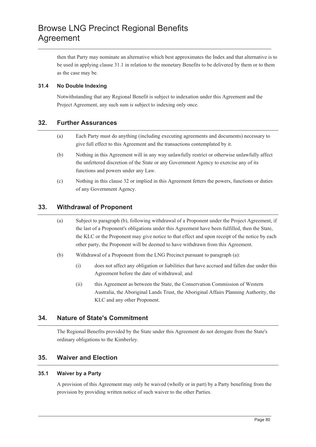then that Party may nominate an alternative which best approximates the Index and that alternative is to be used in applying clause 31.1 in relation to the monetary Benefits to be delivered by them or to them as the case may be.

#### **31.4 No Double Indexing**

Notwithstanding that any Regional Benefit is subject to indexation under this Agreement and the Project Agreement, any such sum is subject to indexing only once.

# **32. Further Assurances**

- (a) Each Party must do anything (including executing agreements and documents) necessary to give full effect to this Agreement and the transactions contemplated by it.
- (b) Nothing in this Agreement will in any way unlawfully restrict or otherwise unlawfully affect the unfettered discretion of the State or any Government Agency to exercise any of its functions and powers under any Law.
- (c) Nothing in this clause 32 or implied in this Agreement fetters the powers, functions or duties of any Government Agency.

### **33. Withdrawal of Proponent**

- (a) Subject to paragraph (b), following withdrawal of a Proponent under the Project Agreement, if the last of a Proponent's obligations under this Agreement have been fulfilled, then the State, the KLC or the Proponent may give notice to that effect and upon receipt of the notice by each other party, the Proponent will be deemed to have withdrawn from this Agreement.
- (b) Withdrawal of a Proponent from the LNG Precinct pursuant to paragraph (a):
	- (i) does not affect any obligation or liabilities that have accrued and fallen due under this Agreement before the date of withdrawal; and
	- (ii) this Agreement as between the State, the Conservation Commission of Western Australia, the Aboriginal Lands Trust, the Aboriginal Affairs Planning Authority, the KLC and any other Proponent.

### **34. Nature of State's Commitment**

The Regional Benefits provided by the State under this Agreement do not derogate from the State's ordinary obligations to the Kimberley.

# **35. Waiver and Election**

#### **35.1 Waiver by a Party**

A provision of this Agreement may only be waived (wholly or in part) by a Party benefiting from the provision by providing written notice of such waiver to the other Parties.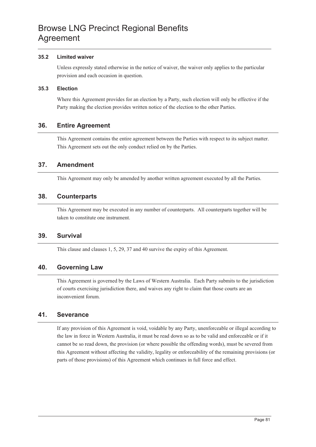#### **35.2 Limited waiver**

Unless expressly stated otherwise in the notice of waiver, the waiver only applies to the particular provision and each occasion in question.

#### **35.3 Election**

Where this Agreement provides for an election by a Party, such election will only be effective if the Party making the election provides written notice of the election to the other Parties.

# **36. Entire Agreement**

This Agreement contains the entire agreement between the Parties with respect to its subject matter. This Agreement sets out the only conduct relied on by the Parties.

#### **37. Amendment**

This Agreement may only be amended by another written agreement executed by all the Parties.

# **38. Counterparts**

This Agreement may be executed in any number of counterparts. All counterparts together will be taken to constitute one instrument.

# **39. Survival**

This clause and clauses 1, 5, 29, 37 and 40 survive the expiry of this Agreement.

# **40. Governing Law**

This Agreement is governed by the Laws of Western Australia. Each Party submits to the jurisdiction of courts exercising jurisdiction there, and waives any right to claim that those courts are an inconvenient forum.

### **41. Severance**

If any provision of this Agreement is void, voidable by any Party, unenforceable or illegal according to the law in force in Western Australia, it must be read down so as to be valid and enforceable or if it cannot be so read down, the provision (or where possible the offending words), must be severed from this Agreement without affecting the validity, legality or enforceability of the remaining provisions (or parts of those provisions) of this Agreement which continues in full force and effect.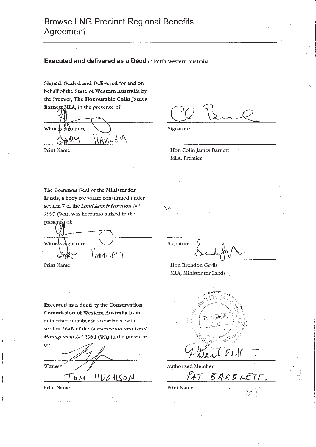# **Browse LNG Precinct Regional Benefits Agreement**

# **Executed and delivered as a Deed** in Perth Western Australia.

Signed, Sealed and Delivered for and on behalf of the State of Western Australia by the Premier, The Honourable Colin James Barnett MLA, in the presence of:

Witness Signature HANLEV Print Name

Signature

Hon Colin James Barnett MLA, Premier

The Common Seal of the Minister for Lands, a body corporate constituted under section 7 of the *Land Administration Act 1997* (WA), was hereunto affixed in the

presence of: Witness Signature  $H$ AMLE

Print Name

Executed as a deed by the Conservation Commission of Western Australia by an authorised member in accordance with section 26AB of the *Conservation and Land* 

*Management Act 1984* (WA) in the presence of:  $\overline{w_{\text{intess}}$   $\overline{w_{\text{intess}}$  $HUAHSON$  $6M$ 

Print Name

Signature

Hon Brendon Grylls MLA, Minister for Lands



 $PAT$  BARBLE

Print Name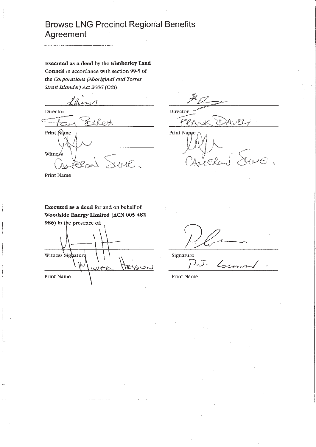# Browse **LNG** Precinct Regional Benefits Agreement

Executed as a deed by the Kimberley Land Council in accordance with section 99-5 of the *Corporations (Aboriginal and Torres Strait Islander) Act 2006* (Cth):

Director  $\sigma$  H Print Name Witness telar

Print Name

Executed as a deed for and on behalf of Woodside Energy Limited (ACN 005 482 986) in the presence of:

Witness Sighature  $S$ Print Name Print Name

'e Ca

AVÉL

Signature

Director

**Print Name** 

 $pJ-$  Lorenand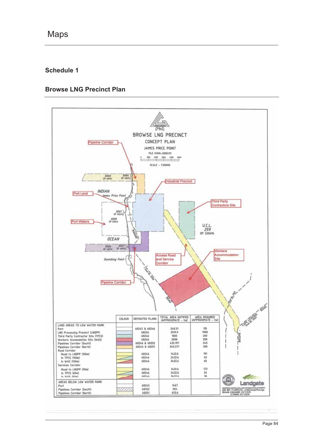# **Browse LNG Precinct Plan**

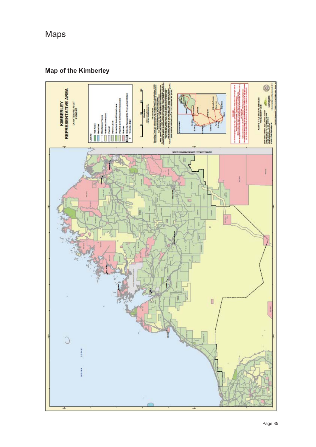**Map of the Kimberley** 

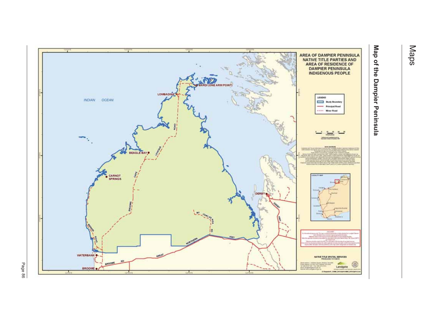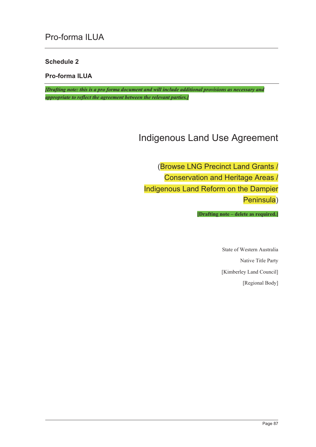**Pro-forma ILUA** 

*[Drafting note: this is a pro forma document and will include additional provisions as necessary and appropriate to reflect the agreement between the relevant parties.]* 

# Indigenous Land Use Agreement

(Browse LNG Precinct Land Grants / Conservation and Heritage Areas / Indigenous Land Reform on the Dampier Peninsula)

**[Drafting note – delete as required.]**

State of Western Australia Native Title Party [Kimberley Land Council] [Regional Body]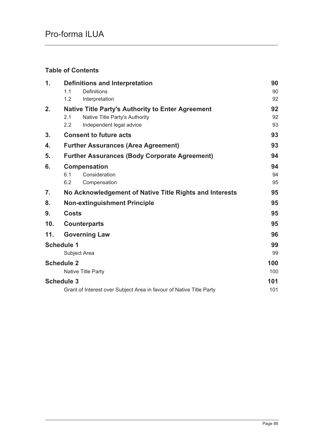# **Table of Contents**

| $\mathbf 1$ .     | <b>Definitions and Interpretation</b><br><b>Definitions</b><br>1.1                                | 90<br>90       |
|-------------------|---------------------------------------------------------------------------------------------------|----------------|
|                   | 1.2<br>Interpretation                                                                             | 92             |
| 2.                | <b>Native Title Party's Authority to Enter Agreement</b><br>Native Title Party's Authority<br>2.1 | 92<br>92       |
|                   | $2.2\phantom{0}$<br>Independent legal advice                                                      | 93             |
| 3.                | <b>Consent to future acts</b>                                                                     | 93             |
| 4.                | 93<br><b>Further Assurances (Area Agreement)</b>                                                  |                |
| 5.                | <b>Further Assurances (Body Corporate Agreement)</b>                                              | 94             |
| 6.                | <b>Compensation</b><br>Consideration<br>6.1<br>6.2<br>Compensation                                | 94<br>94<br>95 |
| 7.                | No Acknowledgement of Native Title Rights and Interests                                           | 95             |
| 8.                | <b>Non-extinguishment Principle</b>                                                               | 95             |
| 9.                | <b>Costs</b>                                                                                      |                |
| 10.               | <b>Counterparts</b>                                                                               | 95             |
| 11.               | <b>Governing Law</b>                                                                              | 96             |
| <b>Schedule 1</b> |                                                                                                   | 99             |
|                   | Subject Area                                                                                      | 99             |
| <b>Schedule 2</b> |                                                                                                   | 100            |
|                   | Native Title Party                                                                                | 100            |
| <b>Schedule 3</b> |                                                                                                   | 101            |
|                   | Grant of Interest over Subject Area in favour of Native Title Party                               | 101            |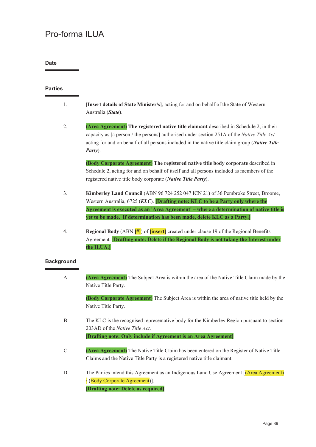# Pro-forma ILUA

| <b>Date</b>       |                                                                                                                                                                                                                                                                                                                                                  |  |
|-------------------|--------------------------------------------------------------------------------------------------------------------------------------------------------------------------------------------------------------------------------------------------------------------------------------------------------------------------------------------------|--|
| <b>Parties</b>    |                                                                                                                                                                                                                                                                                                                                                  |  |
| 1.                | [Insert details of State Minister/s], acting for and on behalf of the State of Western<br>Australia (State).                                                                                                                                                                                                                                     |  |
| 2.                | (Area Agreement) The registered native title claimant described in Schedule 2, in their<br>capacity as [a person / the persons] authorised under section 251A of the <i>Native Title Act</i><br>acting for and on behalf of all persons included in the native title claim group (Native Title<br>Party).                                        |  |
|                   | (Body Corporate Agreement) The registered native title body corporate described in<br>Schedule 2, acting for and on behalf of itself and all persons included as members of the<br>registered native title body corporate (Native Title Party).                                                                                                  |  |
| 3.                | Kimberley Land Council (ABN 96 724 252 047 ICN 21) of 36 Pembroke Street, Broome,<br>Western Australia, 6725 (KLC). <b>Drafting note: KLC to be a Party only where the</b><br>Agreement is executed as an 'Area Agreement' - where a determination of native title is<br>yet to be made. If determination has been made, delete KLC as a Party.] |  |
| 4.                | <b>Regional Body</b> (ABN [#]) of <b>[insert]</b> created under clause 19 of the Regional Benefits<br>Agreement. <b>[Drafting note: Delete if the Regional Body is not taking the Interest under</b><br>the ILUA.]                                                                                                                               |  |
| <b>Background</b> |                                                                                                                                                                                                                                                                                                                                                  |  |
| A                 | (Area Agreement) The Subject Area is within the area of the Native Title Claim made by the<br>Native Title Party.<br>(Body Corporate Agreement) The Subject Area is within the area of native title held by the                                                                                                                                  |  |
|                   | Native Title Party.                                                                                                                                                                                                                                                                                                                              |  |
| $\, {\bf B}$      | The KLC is the recognised representative body for the Kimberley Region pursuant to section<br>203AD of the Native Title Act.<br>[Drafting note: Only include if Agreement is an Area Agreement]                                                                                                                                                  |  |
| $\mathcal{C}$     | (Area Agreement) The Native Title Claim has been entered on the Register of Native Title<br>Claims and the Native Title Party is a registered native title claimant.                                                                                                                                                                             |  |
| $\mathbf D$       | The Parties intend this Agreement as an Indigenous Land Use Agreement [(Area Agreement)<br>/ (Body Corporate Agreement)].<br>[Drafting note: Delete as required]                                                                                                                                                                                 |  |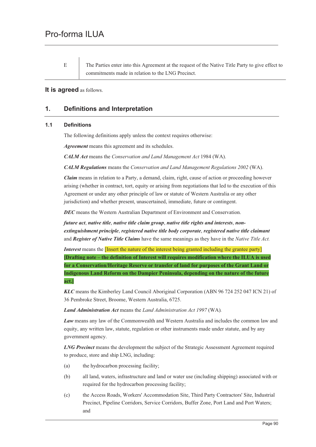E The Parties enter into this Agreement at the request of the Native Title Party to give effect to commitments made in relation to the LNG Precinct.

#### **It is agreed** as follows.

# **1. Definitions and Interpretation**

#### **1.1 Definitions**

The following definitions apply unless the context requires otherwise:

*Agreement* means this agreement and its schedules.

*CALM Act* means the *Conservation and Land Management Act* 1984 (WA).

*CALM Regulations* means the *Conservation and Land Management Regulations 2002* (WA).

*Claim* means in relation to a Party, a demand, claim, right, cause of action or proceeding however arising (whether in contract, tort, equity or arising from negotiations that led to the execution of this Agreement or under any other principle of law or statute of Western Australia or any other jurisdiction) and whether present, unascertained, immediate, future or contingent.

*DEC* means the Western Australian Department of Environment and Conservation.

*future act*, *native title*, *native title claim group*, *native title rights and interests*, *nonextinguishment principle*, *registered native title body corporate*, *registered native title claimant*  and *Register of Native Title Claims* have the same meanings as they have in the *Native Title Act.* 

*Interest* means the **Insert** the nature of the interest being granted including the grantee party **[Drafting note – the definition of Interest will requires modification where the ILUA is used for a Conservation/Heritage Reserve or transfer of land for purposes of the Grant Land or Indigenous Land Reform on the Dampier Peninsula, depending on the nature of the future act.]** 

*KLC* means the Kimberley Land Council Aboriginal Corporation (ABN 96 724 252 047 ICN 21) of 36 Pembroke Street, Broome, Western Australia, 6725.

*Land Administration Act* means the *Land Administration Act 1997* (WA)*.* 

*Law* means any law of the Commonwealth and Western Australia and includes the common law and equity, any written law, statute, regulation or other instruments made under statute, and by any government agency.

*LNG Precinct* means the development the subject of the Strategic Assessment Agreement required to produce, store and ship LNG, including:

- (a) the hydrocarbon processing facility;
- (b) all land, waters, infrastructure and land or water use (including shipping) associated with or required for the hydrocarbon processing facility;
- (c) the Access Roads, Workers' Accommodation Site, Third Party Contractors' Site, Industrial Precinct, Pipeline Corridors, Service Corridors, Buffer Zone, Port Land and Port Waters; and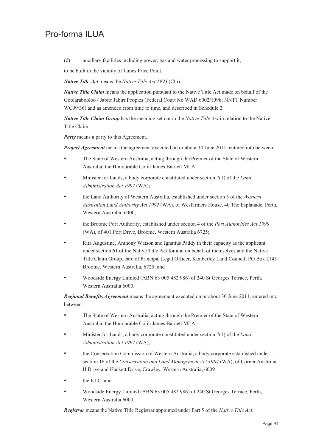(d) ancillary facilities including power, gas and water processing to support it,

to be built in the vicinity of James Price Point.

*Native Title Act* means the *Native Title Act 1993* (Cth).

*Native Title Claim* means the application pursuant to the Native Title Act made on behalf of the Goolarabooloo / Jabirr Jabirr Peoples (Federal Court No WAD 6002/1998; NNTT Number WC99/36) and as amended from time to time, and described in Schedule 2.

*Native Title Claim Group* has the meaning set out in the *Native Title Act* in relation to the Native Title Claim.

*Party* means a party to this Agreement.

*Project Agreement* means the agreement executed on or about 30 June 2011, entered into between:

- The State of Western Australia, acting through the Premier of the State of Western Australia, the Honourable Colin James Barnett MLA
- Minister for Lands, a body corporate constituted under section 7(1) of the *Land Administration Act 1997* (WA);
- the Land Authority of Western Australia, established under section 5 of the *Western Australian Land Authority Act 1992* (WA), of Wesfarmers House, 40 The Esplanade, Perth, Western Australia, 6000;
- the Broome Port Authority, established under section 4 of the *Port Authorities Act 1999* (WA), of 401 Port Drive, Broome, Western Australia 6725;
- Rita Augustine, Anthony Watson and Ignatius Paddy in their capacity as the applicant under section 61 of the Native Title Act for and on behalf of themselves and the Native Title Claim Group, care of Principal Legal Officer, Kimberley Land Council, PO Box 2145 Broome, Western Australia, 6725; and
- Woodside Energy Limited (ABN 63 005 482 986) of 240 St Georges Terrace, Perth, Western Australia 6000.

*Regional Benefits Agreement* means the agreement executed on or about 30 June 2011, entered into between:

- The State of Western Australia, acting through the Premier of the State of Western Australia, the Honourable Colin James Barnett MLA
- Minister for Lands, a body corporate constituted under section 7(1) of the *Land Administration Act 1997* (WA);
- the Conservation Commission of Western Australia, a body corporate established under section 18 of the *Conservation and Land Management Act 1984* (WA), of Corner Australia II Drive and Hackett Drive, Crawley, Western Australia, 6009
- the KLC; and
- Woodside Energy Limited (ABN 63 005 482 986) of 240 St Georges Terrace, Perth, Western Australia 6000.

*Registrar* means the Native Title Registrar appointed under Part 5 of the *Native Title Act*.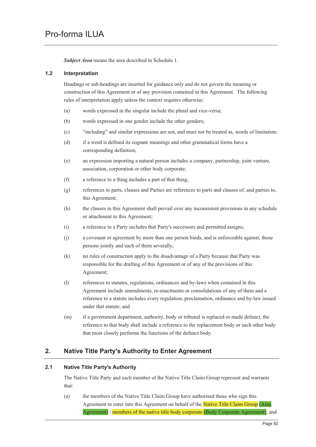*Subject Area* means the area described in Schedule 1.

#### **1.2 Interpretation**

Headings or sub-headings are inserted for guidance only and do not govern the meaning or construction of this Agreement or of any provision contained in this Agreement. The following rules of interpretation apply unless the context requires otherwise.

- (a) words expressed in the singular include the plural and vice-versa;
- (b) words expressed in one gender include the other genders;
- (c) "including" and similar expressions are not, and must not be treated as, words of limitation;
- (d) if a word is defined its cognate meanings and other grammatical forms have a corresponding definition;
- (e) an expression importing a natural person includes a company, partnership, joint venture, association, corporation or other body corporate;
- (f) a reference to a thing includes a part of that thing;
- (g) references to parts, clauses and Parties are references to parts and clauses of, and parties to, this Agreement;
- (h) the clauses in this Agreement shall prevail over any inconsistent provisions in any schedule or attachment to this Agreement;
- (i) a reference to a Party includes that Party's successors and permitted assigns;
- (j) a covenant or agreement by more than one person binds, and is enforceable against, those persons jointly and each of them severally;
- (k) no rules of construction apply to the disadvantage of a Party because that Party was responsible for the drafting of this Agreement or of any of the provisions of this Agreement;
- (l) references to statutes, regulations, ordinances and by-laws when contained in this Agreement include amendments, re-enactments or consolidations of any of them and a reference to a statute includes every regulation, proclamation, ordinance and by-law issued under that statute; and
- (m) if a government department, authority, body or tribunal is replaced or made defunct, the reference to that body shall include a reference to the replacement body or such other body that most closely performs the functions of the defunct body.

# **2. Native Title Party's Authority to Enter Agreement**

#### **2.1 Native Title Party's Authority**

The Native Title Party and each member of the Native Title Claim Group represent and warrants that:

(a) the members of the Native Title Claim Group have authorised those who sign this Agreement to enter into this Agreement on behalf of the **Native Title Claim Group** (Area Agreement) / members of the native title body corporate (Body Corporate Agreement); and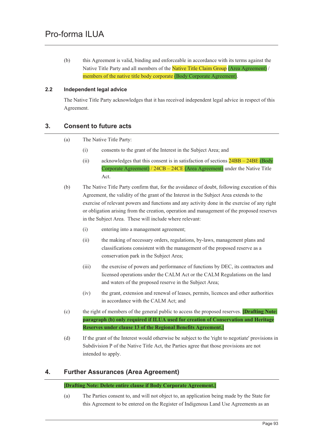(b) this Agreement is valid, binding and enforceable in accordance with its terms against the Native Title Party and all members of the Native Title Claim Group (Area Agreement) / members of the native title body corporate (Body Corporate Agreement).

#### **2.2 Independent legal advice**

The Native Title Party acknowledges that it has received independent legal advice in respect of this Agreement.

# **3. Consent to future acts**

- (a) The Native Title Party:
	- (i) consents to the grant of the Interest in the Subject Area; and
	- (ii) acknowledges that this consent is in satisfaction of sections  $\overline{24BB 24BE}$  (Body Corporate Agreement) /  $24CB - 24CE$  (Area Agreement) under the Native Title Act.
- (b) The Native Title Party confirm that, for the avoidance of doubt, following execution of this Agreement, the validity of the grant of the Interest in the Subject Area extends to the exercise of relevant powers and functions and any activity done in the exercise of any right or obligation arising from the creation, operation and management of the proposed reserves in the Subject Area. These will include where relevant:
	- (i) entering into a management agreement;
	- (ii) the making of necessary orders, regulations, by-laws, management plans and classifications consistent with the management of the proposed reserve as a conservation park in the Subject Area;
	- (iii) the exercise of powers and performance of functions by DEC, its contractors and licensed operations under the CALM Act or the CALM Regulations on the land and waters of the proposed reserve in the Subject Area;
	- (iv) the grant, extension and renewal of leases, permits, licences and other authorities in accordance with the CALM Act; and
- (c) the right of members of the general public to access the proposed reserves. **[Drafting Note: paragraph (b) only required if ILUA used for creation of Conservation and Heritage Reserves under clause 13 of the Regional Benefits Agreement.]**
- (d) If the grant of the Interest would otherwise be subject to the 'right to negotiate' provisions in Subdivision P of the Native Title Act, the Parties agree that those provisions are not intended to apply.

# **4. Further Assurances (Area Agreement)**

#### **[Drafting Note: Delete entire clause if Body Corporate Agreement.]**

(a) The Parties consent to, and will not object to, an application being made by the State for this Agreement to be entered on the Register of Indigenous Land Use Agreements as an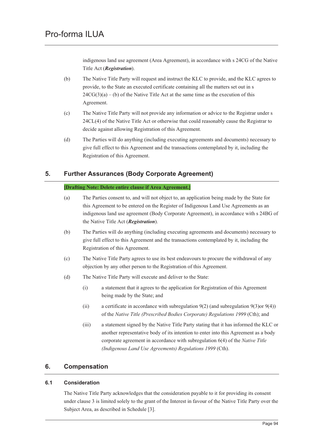indigenous land use agreement (Area Agreement), in accordance with s 24CG of the Native Title Act (*Registration*).

- (b) The Native Title Party will request and instruct the KLC to provide, and the KLC agrees to provide, to the State an executed certificate containing all the matters set out in s  $24CG(3)(a) - (b)$  of the Native Title Act at the same time as the execution of this Agreement.
- (c) The Native Title Party will not provide any information or advice to the Registrar under s 24CL(4) of the Native Title Act or otherwise that could reasonably cause the Registrar to decide against allowing Registration of this Agreement.
- (d) The Parties will do anything (including executing agreements and documents) necessary to give full effect to this Agreement and the transactions contemplated by it, including the Registration of this Agreement.

# **5. Further Assurances (Body Corporate Agreement)**

#### **[Drafting Note: Delete entire clause if Area Agreement.]**

- (a) The Parties consent to, and will not object to, an application being made by the State for this Agreement to be entered on the Register of Indigenous Land Use Agreements as an indigenous land use agreement (Body Corporate Agreement), in accordance with s 24BG of the Native Title Act (*Registration*).
- (b) The Parties will do anything (including executing agreements and documents) necessary to give full effect to this Agreement and the transactions contemplated by it, including the Registration of this Agreement.
- (c) The Native Title Party agrees to use its best endeavours to procure the withdrawal of any objection by any other person to the Registration of this Agreement.
- (d) The Native Title Party will execute and deliver to the State:
	- (i) a statement that it agrees to the application for Registration of this Agreement being made by the State; and
	- (ii) a certificate in accordance with subregulation  $9(2)$  (and subregulation  $9(3)$ or  $9(4)$ ) of the *Native Title (Prescribed Bodies Corporate) Regulations 1999* (Cth); and
	- (iii) a statement signed by the Native Title Party stating that it has informed the KLC or another representative body of its intention to enter into this Agreement as a body corporate agreement in accordance with subregulation 6(4) of the *Native Title (Indigenous Land Use Agreements) Regulations 1999* (Cth).

# **6. Compensation**

### **6.1 Consideration**

The Native Title Party acknowledges that the consideration payable to it for providing its consent under clause 3 is limited solely to the grant of the Interest in favour of the Native Title Party over the Subject Area, as described in Schedule [3].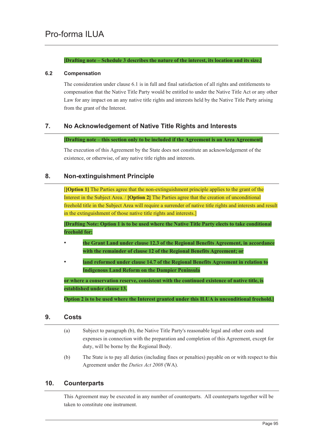#### **[Drafting note – Schedule 3 describes the nature of the interest, its location and its size.]**

#### **6.2 Compensation**

The consideration under clause 6.1 is in full and final satisfaction of all rights and entitlements to compensation that the Native Title Party would be entitled to under the Native Title Act or any other Law for any impact on an any native title rights and interests held by the Native Title Party arising from the grant of the Interest.

# **7. No Acknowledgement of Native Title Rights and Interests**

**[Drafting note – this section only to be included if the Agreement is an Area Agreement]** 

The execution of this Agreement by the State does not constitute an acknowledgement of the existence, or otherwise, of any native title rights and interests.

# **8. Non-extinguishment Principle**

[**[Option 1]** The Parties agree that the non-extinguishment principle applies to the grant of the Interest in the Subject Area. / **[Option 2]** The Parties agree that the creation of unconditional freehold title in the Subject Area will require a surrender of native title rights and interests and result in the extinguishment of those native title rights and interests.]

**[Drafting Note: Option 1 is to be used where the Native Title Party elects to take conditional freehold for:** 

- **the Grant Land under clause 12.3 of the Regional Benefits Agreement, in accordance with the remainder of clause 12 of the Regional Benefits Agreement; or**
- **land reformed under clause 14.7 of the Regional Benefits Agreement in relation to Indigenous Land Reform on the Dampier Peninsula**

**or where a conservation reserve, consistent with the continued existence of native title, is established under clause 13.** 

**Option 2 is to be used where the Interest granted under this ILUA is unconditional freehold.]** 

# **9. Costs**

- (a) Subject to paragraph (b), the Native Title Party's reasonable legal and other costs and expenses in connection with the preparation and completion of this Agreement, except for duty, will be borne by the Regional Body.
- (b) The State is to pay all duties (including fines or penalties) payable on or with respect to this Agreement under the *Duties Act 2008* (WA).

# **10. Counterparts**

This Agreement may be executed in any number of counterparts. All counterparts together will be taken to constitute one instrument.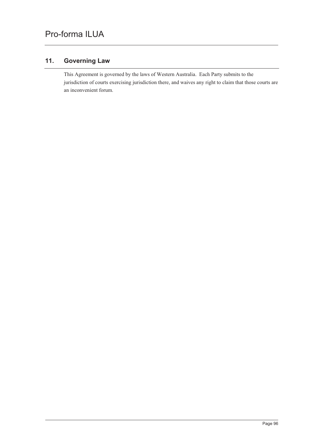# **11. Governing Law**

This Agreement is governed by the laws of Western Australia. Each Party submits to the jurisdiction of courts exercising jurisdiction there, and waives any right to claim that those courts are an inconvenient forum.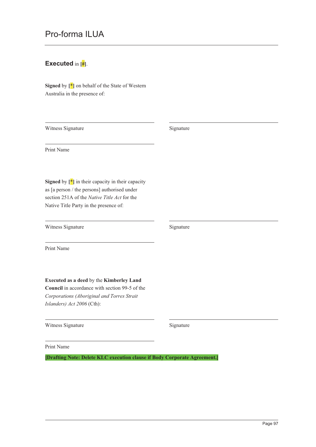# **Executed** in **[#]**.

**Signed** by **[\*]** on behalf of the State of Western Australia in the presence of:

| Witness Signature                                                                                                                                                                                                         | Signature |
|---------------------------------------------------------------------------------------------------------------------------------------------------------------------------------------------------------------------------|-----------|
| <b>Print Name</b>                                                                                                                                                                                                         |           |
| <b>Signed</b> by $\left[\frac{*}{n}\right]$ in their capacity in their capacity<br>as [a person / the persons] authorised under<br>section 251A of the Native Title Act for the<br>Native Title Party in the presence of: |           |
| Witness Signature                                                                                                                                                                                                         | Signature |
| Print Name                                                                                                                                                                                                                |           |
| Executed as a deed by the Kimberley Land<br>Council in accordance with section 99-5 of the<br>Corporations (Aboriginal and Torres Strait<br>Islanders) Act 2006 (Cth):                                                    |           |
| Witness Signature                                                                                                                                                                                                         | Signature |
| Print Name                                                                                                                                                                                                                |           |

**[Drafting Note: Delete KLC execution clause if Body Corporate Agreement.]**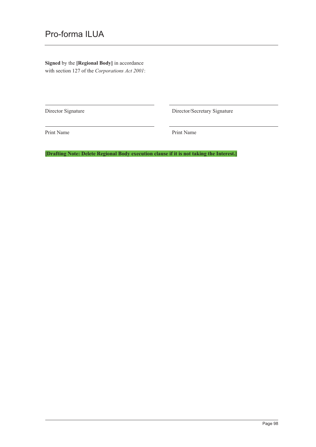**Signed** by the **[Regional Body]** in accordance with section 127 of the *Corporations Act 2001*:

Director Signature Director/Secretary Signature

Print Name Print Name

**[Drafting Note: Delete Regional Body execution clause if it is not taking the Interest.]**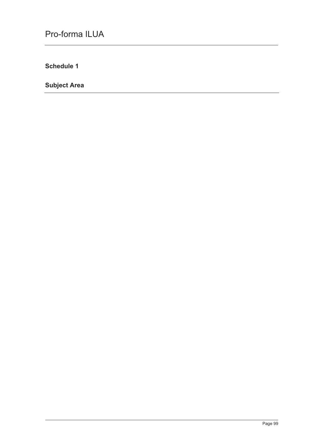**Subject Area**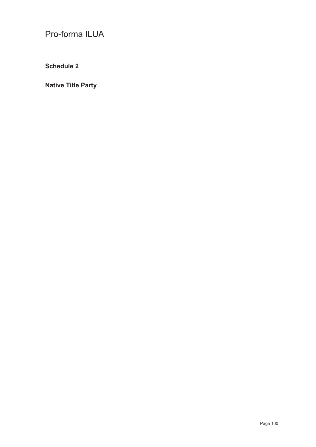**Native Title Party**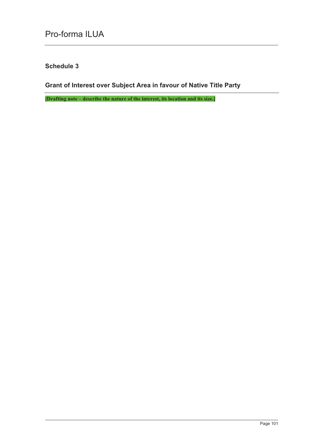**Grant of Interest over Subject Area in favour of Native Title Party** 

**[Drafting note – describe the nature of the interest, its location and its size.]**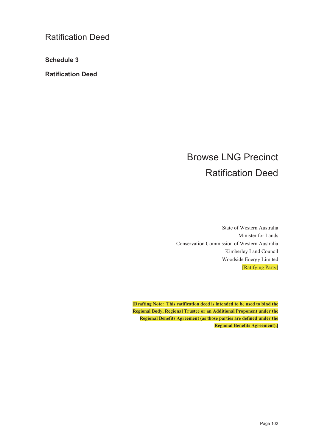# Ratification Deed

**Schedule 3** 

## **Ratification Deed**

# Browse LNG Precinct Ratification Deed

State of Western Australia Minister for Lands Conservation Commission of Western Australia Kimberley Land Council Woodside Energy Limited [Ratifying Party]

**[Drafting Note: This ratification deed is intended to be used to bind the Regional Body, Regional Trustee or an Additional Proponent under the Regional Benefits Agreement (as those parties are defined under the Regional Benefits Agreement).]**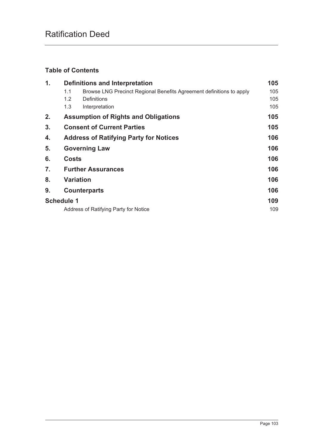## **Table of Contents**

| $\mathbf 1$ .     |                   | <b>Definitions and Interpretation</b>                                                                 | 105               |
|-------------------|-------------------|-------------------------------------------------------------------------------------------------------|-------------------|
|                   | 1.1<br>1.2<br>1.3 | Browse LNG Precinct Regional Benefits Agreement definitions to apply<br>Definitions<br>Interpretation | 105<br>105<br>105 |
| 2.                |                   | <b>Assumption of Rights and Obligations</b>                                                           | 105               |
| 3.                |                   | <b>Consent of Current Parties</b>                                                                     | 105               |
| 4.                |                   | <b>Address of Ratifying Party for Notices</b>                                                         | 106               |
| 5.                |                   | <b>Governing Law</b>                                                                                  | 106               |
| 6.                | <b>Costs</b>      |                                                                                                       | 106               |
| 7.                |                   | <b>Further Assurances</b>                                                                             | 106               |
| 8.                |                   | <b>Variation</b>                                                                                      | 106               |
| 9.                |                   | <b>Counterparts</b>                                                                                   | 106               |
| <b>Schedule 1</b> |                   | 109                                                                                                   |                   |
|                   |                   | Address of Ratifying Party for Notice                                                                 | 109               |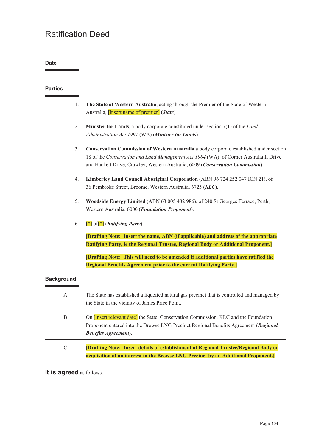# Ratification Deed

| <b>Date</b>       |                                                                                                                                                                                                                                                                     |
|-------------------|---------------------------------------------------------------------------------------------------------------------------------------------------------------------------------------------------------------------------------------------------------------------|
| <b>Parties</b>    |                                                                                                                                                                                                                                                                     |
| 1                 | The State of Western Australia, acting through the Premier of the State of Western<br>Australia, <i>[insert name of premier] (State)</i> .                                                                                                                          |
| 2                 | <b>Minister for Lands</b> , a body corporate constituted under section $7(1)$ of the <i>Land</i><br>Administration Act 1997 (WA) (Minister for Lands).                                                                                                              |
| 3                 | Conservation Commission of Western Australia a body corporate established under section<br>18 of the Conservation and Land Management Act 1984 (WA), of Corner Australia II Drive<br>and Hackett Drive, Crawley, Western Australia, 6009 (Conservation Commission). |
| 4.                | Kimberley Land Council Aboriginal Corporation (ABN 96 724 252 047 ICN 21), of<br>36 Pembroke Street, Broome, Western Australia, 6725 (KLC).                                                                                                                         |
| 5.                | Woodside Energy Limited (ABN 63 005 482 986), of 240 St Georges Terrace, Perth,<br>Western Australia, 6000 (Foundation Proponent).                                                                                                                                  |
| 6.                | $[*]$ of $[*]$ (Ratifying Party).                                                                                                                                                                                                                                   |
|                   | [Drafting Note: Insert the name, ABN (if applicable) and address of the appropriate<br>Ratifying Party, ie the Regional Trustee, Regional Body or Additional Proponent.<br>[Drafting Note: This will need to be amended if additional parties have ratified the     |
|                   | <b>Regional Benefits Agreement prior to the current Ratifying Party.]</b>                                                                                                                                                                                           |
| <b>Background</b> |                                                                                                                                                                                                                                                                     |
| A                 | The State has established a liquefied natural gas precinct that is controlled and managed by<br>the State in the vicinity of James Price Point.                                                                                                                     |
| $\mathbf B$       | On <i>[insert relevant date]</i> the State, Conservation Commission, KLC and the Foundation<br>Proponent entered into the Browse LNG Precinct Regional Benefits Agreement (Regional<br><b>Benefits Agreement</b> ).                                                 |
| $\mathcal{C}$     | [Drafting Note: Insert details of establishment of Regional Trustee/Regional Body or<br>acquisition of an interest in the Browse LNG Precinct by an Additional Proponent.]                                                                                          |

**It is agreed** as follows.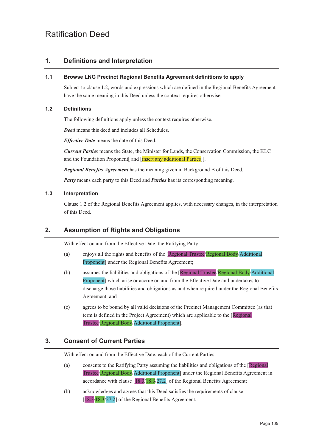## **1. Definitions and Interpretation**

#### **1.1 Browse LNG Precinct Regional Benefits Agreement definitions to apply**

Subject to clause 1.2, words and expressions which are defined in the Regional Benefits Agreement have the same meaning in this Deed unless the context requires otherwise.

#### **1.2 Definitions**

The following definitions apply unless the context requires otherwise.

*Deed* means this deed and includes all Schedules.

*Effective Date* means the date of this Deed.

*Current Parties* means the State, the Minister for Lands, the Conservation Commission, the KLC and the Foundation Proponent<sup>[</sup> and <sup>[</sup>insert any additional Parties<sup>]</sup>].

*Regional Benefits Agreement* has the meaning given in Background B of this Deed.

*Party* means each party to this Deed and *Parties* has its corresponding meaning.

#### **1.3 Interpretation**

Clause 1.2 of the Regional Benefits Agreement applies, with necessary changes, in the interpretation of this Deed.

### **2. Assumption of Rights and Obligations**

With effect on and from the Effective Date, the Ratifying Party:

- (a) enjoys all the rights and benefits of the [Regional Trustee/Regional Body/Additional Proponent] under the Regional Benefits Agreement;
- (b) assumes the liabilities and obligations of the [Regional Trustee/Regional Body/Additional Proponent] which arise or accrue on and from the Effective Date and undertakes to discharge those liabilities and obligations as and when required under the Regional Benefits Agreement; and
- (c) agrees to be bound by all valid decisions of the Precinct Management Committee (as that term is defined in the Project Agreement) which are applicable to the [Regional Trustee/Regional Body/Additional Proponent].

### **3. Consent of Current Parties**

With effect on and from the Effective Date, each of the Current Parties:

- (a) consents to the Ratifying Party assuming the liabilities and obligations of the [Regional Trustee/Regional Body/Additional Proponent] under the Regional Benefits Agreement in accordance with clause  $[18.3/18.3/27.2]$  of the Regional Benefits Agreement;
- (b) acknowledges and agrees that this Deed satisfies the requirements of clause [18.3/18.3/27.2] of the Regional Benefits Agreement;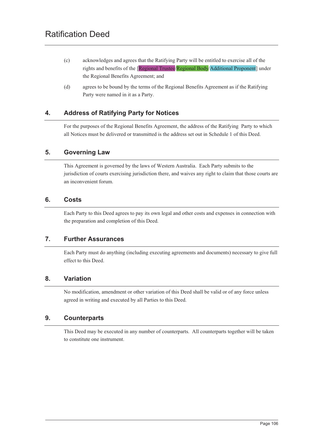- (c) acknowledges and agrees that the Ratifying Party will be entitled to exercise all of the rights and benefits of the [Regional Trustee/Regional Body/Additional Proponent] under the Regional Benefits Agreement; and
- (d) agrees to be bound by the terms of the Regional Benefits Agreement as if the Ratifying Party were named in it as a Party.

## **4. Address of Ratifying Party for Notices**

For the purposes of the Regional Benefits Agreement, the address of the Ratifying Party to which all Notices must be delivered or transmitted is the address set out in Schedule 1 of this Deed.

### **5. Governing Law**

This Agreement is governed by the laws of Western Australia. Each Party submits to the jurisdiction of courts exercising jurisdiction there, and waives any right to claim that those courts are an inconvenient forum.

#### **6. Costs**

Each Party to this Deed agrees to pay its own legal and other costs and expenses in connection with the preparation and completion of this Deed.

## **7. Further Assurances**

Each Party must do anything (including executing agreements and documents) necessary to give full effect to this Deed.

## **8. Variation**

No modification, amendment or other variation of this Deed shall be valid or of any force unless agreed in writing and executed by all Parties to this Deed.

## **9. Counterparts**

This Deed may be executed in any number of counterparts. All counterparts together will be taken to constitute one instrument.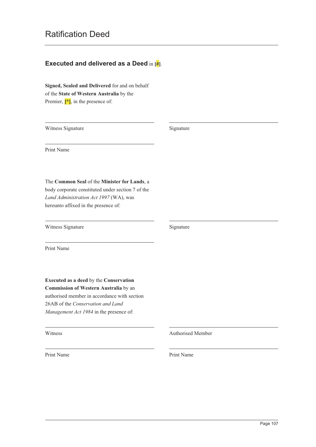# Ratification Deed

## **Executed and delivered as a Deed** in **[#]**.

**Signed, Sealed and Delivered** for and on behalf of the **State of Western Australia** by the Premier,  $[\cdot$ <sup>\*</sup>], in the presence of:

Witness Signature Signature Signature

Print Name

The **Common Seal** of the **Minister for Lands**, a body corporate constituted under section 7 of the *Land Administration Act 1997* (WA), was hereunto affixed in the presence of:

Witness Signature Signature Signature

Print Name

**Executed as a deed** by the **Conservation Commission of Western Australia** by an authorised member in accordance with section 26AB of the *Conservation and Land Management Act 1984* in the presence of:

Witness **Authorised Member** 

Print Name Print Name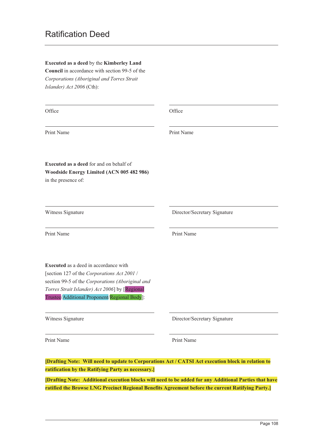# Ratification Deed

## **Executed as a deed** by the **Kimberley Land**

**Council** in accordance with section 99-5 of the *Corporations (Aboriginal and Torres Strait Islander) Act 2006* (Cth):

| Office                                                                                                                                                                                                                                            | Office                                                                                                 |
|---------------------------------------------------------------------------------------------------------------------------------------------------------------------------------------------------------------------------------------------------|--------------------------------------------------------------------------------------------------------|
| <b>Print Name</b>                                                                                                                                                                                                                                 | Print Name                                                                                             |
| <b>Executed as a deed for and on behalf of</b><br>Woodside Energy Limited (ACN 005 482 986)<br>in the presence of:                                                                                                                                |                                                                                                        |
| Witness Signature                                                                                                                                                                                                                                 | Director/Secretary Signature                                                                           |
| Print Name                                                                                                                                                                                                                                        | Print Name                                                                                             |
| <b>Executed</b> as a deed in accordance with<br>[section 127 of the Corporations Act 2001 /<br>section 99-5 of the Corporations (Aboriginal and<br>Torres Strait Islander) Act 2006] by [Regional<br>Trustee/Additional Proponent/Regional Body]: |                                                                                                        |
| Witness Signature                                                                                                                                                                                                                                 | Director/Secretary Signature                                                                           |
| <b>Print Name</b>                                                                                                                                                                                                                                 | Print Name                                                                                             |
| [Drafting Note: Will need to update to Corporations Act / CATSI Act execution block in relation to<br>ratification by the Ratifying Party as necessary.]                                                                                          |                                                                                                        |
| ratified the Browse LNG Precinct Regional Benefits Agreement before the current Ratifying Party.]                                                                                                                                                 | [Drafting Note: Additional execution blocks will need to be added for any Additional Parties that have |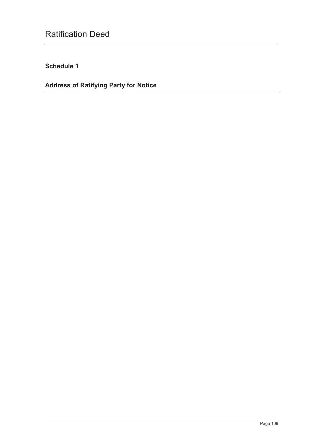**Schedule 1** 

**Address of Ratifying Party for Notice**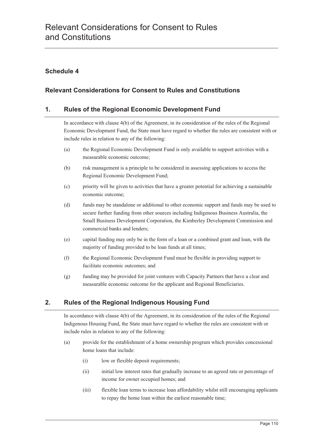## **Schedule 4**

## **Relevant Considerations for Consent to Rules and Constitutions**

#### **1. Rules of the Regional Economic Development Fund**

In accordance with clause 4(b) of the Agreement, in its consideration of the rules of the Regional Economic Development Fund, the State must have regard to whether the rules are consistent with or include rules in relation to any of the following:

- (a) the Regional Economic Development Fund is only available to support activities with a measurable economic outcome;
- (b) risk management is a principle to be considered in assessing applications to access the Regional Economic Development Fund;
- (c) priority will be given to activities that have a greater potential for achieving a sustainable economic outcome;
- (d) funds may be standalone or additional to other economic support and funds may be used to secure further funding from other sources including Indigenous Business Australia, the Small Business Development Corporation, the Kimberley Development Commission and commercial banks and lenders;
- (e) capital funding may only be in the form of a loan or a combined grant and loan, with the majority of funding provided to be loan funds at all times;
- (f) the Regional Economic Development Fund must be flexible in providing support to facilitate economic outcomes; and
- (g) funding may be provided for joint ventures with Capacity Partners that have a clear and measurable economic outcome for the applicant and Regional Beneficiaries.

## **2. Rules of the Regional Indigenous Housing Fund**

In accordance with clause 4(b) of the Agreement, in its consideration of the rules of the Regional Indigenous Housing Fund, the State must have regard to whether the rules are consistent with or include rules in relation to any of the following:

- (a) provide for the establishment of a home ownership program which provides concessional home loans that include:
	- (i) low or flexible deposit requirements;
	- (ii) initial low interest rates that gradually increase to an agreed rate or percentage of income for owner occupied homes; and
	- (iii) flexible loan terms to increase loan affordability whilst still encouraging applicants to repay the home loan within the earliest reasonable time;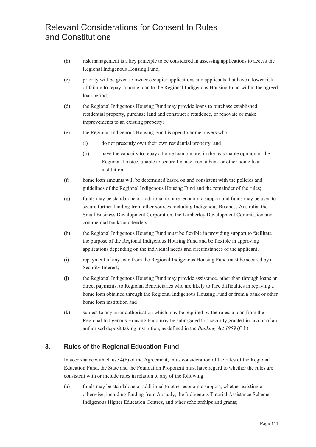- (b) risk management is a key principle to be considered in assessing applications to access the Regional Indigenous Housing Fund;
- (c) priority will be given to owner occupier applications and applicants that have a lower risk of failing to repay a home loan to the Regional Indigenous Housing Fund within the agreed loan period;
- (d) the Regional Indigenous Housing Fund may provide loans to purchase established residential property, purchase land and construct a residence, or renovate or make improvements to an existing property;
- (e) the Regional Indigenous Housing Fund is open to home buyers who:
	- (i) do not presently own their own residential property; and
	- (ii) have the capacity to repay a home loan but are, in the reasonable opinion of the Regional Trustee, unable to secure finance from a bank or other home loan institution;
- (f) home loan amounts will be determined based on and consistent with the policies and guidelines of the Regional Indigenous Housing Fund and the remainder of the rules;
- (g) funds may be standalone or additional to other economic support and funds may be used to secure further funding from other sources including Indigenous Business Australia, the Small Business Development Corporation, the Kimberley Development Commission and commercial banks and lenders;
- (h) the Regional Indigenous Housing Fund must be flexible in providing support to facilitate the purpose of the Regional Indigenous Housing Fund and be flexible in approving applications depending on the individual needs and circumstances of the applicant;
- (i) repayment of any loan from the Regional Indigenous Housing Fund must be secured by a Security Interest;
- (j) the Regional Indigenous Housing Fund may provide assistance, other than through loans or direct payments, to Regional Beneficiaries who are likely to face difficulties in repaying a home loan obtained through the Regional Indigenous Housing Fund or from a bank or other home loan institution and
- (k) subject to any prior authorisation which may be required by the rules, a loan from the Regional Indigenous Housing Fund may be subrogated to a security granted in favour of an authorised deposit taking institution, as defined in the *Banking Act 1959* (Cth).

## **3. Rules of the Regional Education Fund**

In accordance with clause 4(b) of the Agreement, in its consideration of the rules of the Regional Education Fund, the State and the Foundation Proponent must have regard to whether the rules are consistent with or include rules in relation to any of the following:

(a) funds may be standalone or additional to other economic support, whether existing or otherwise, including funding from Abstudy, the Indigenous Tutorial Assistance Scheme, Indigenous Higher Education Centres, and other scholarships and grants;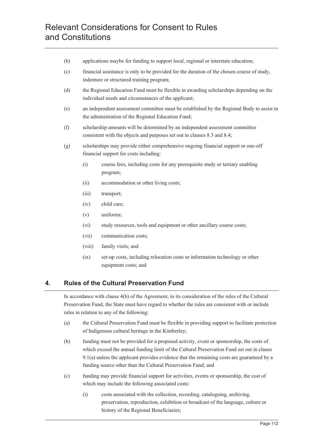- (b) applications maybe for funding to support local, regional or interstate education;
- (c) financial assistance is only to be provided for the duration of the chosen course of study, indenture or structured training program;
- (d) the Regional Education Fund must be flexible in awarding scholarships depending on the individual needs and circumstances of the applicant;
- (e) an independent assessment committee must be established by the Regional Body to assist in the administration of the Regional Education Fund;
- (f) scholarship amounts will be determined by an independent assessment committee consistent with the objects and purposes set out in clauses 8.3 and 8.4;
- (g) scholarships may provide either comprehensive ongoing financial support or one-off financial support for costs including:
	- (i) course fees, including costs for any prerequisite study or tertiary enabling program;
	- (ii) accommodation or other living costs;
	- (iii) transport;
	- (iv) child care;
	- (v) uniforms;
	- (vi) study resources, tools and equipment or other ancillary course costs;
	- (vii) communication costs;
	- (viii) family visits; and
	- (ix) set-up costs, including relocation costs or information technology or other equipment costs; and

## **4. Rules of the Cultural Preservation Fund**

In accordance with clause 4(b) of the Agreement, in its consideration of the rules of the Cultural Preservation Fund, the State must have regard to whether the rules are consistent with or include rules in relation to any of the following:

- (a) the Cultural Preservation Fund must be flexible in providing support to facilitate protection of Indigenous cultural heritage in the Kimberley;
- (b) funding must not be provided for a proposed activity, event or sponsorship, the costs of which exceed the annual funding limit of the Cultural Preservation Fund set out in clause 9.1(a) unless the applicant provides evidence that the remaining costs are guaranteed by a funding source other than the Cultural Preservation Fund; and
- (c) funding may provide financial support for activities, events or sponsorship, the cost of which may include the following associated costs:
	- (i) costs associated with the collection, recording, cataloguing, archiving, preservation, reproduction, exhibition or broadcast of the language, culture or history of the Regional Beneficiaries;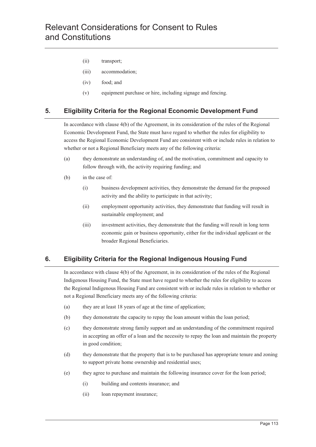- (ii) transport;
- (iii) accommodation;
- (iv) food; and
- (v) equipment purchase or hire, including signage and fencing.

## **5. Eligibility Criteria for the Regional Economic Development Fund**

In accordance with clause 4(b) of the Agreement, in its consideration of the rules of the Regional Economic Development Fund, the State must have regard to whether the rules for eligibility to access the Regional Economic Development Fund are consistent with or include rules in relation to whether or not a Regional Beneficiary meets any of the following criteria:

- (a) they demonstrate an understanding of, and the motivation, commitment and capacity to follow through with, the activity requiring funding; and
- (b) in the case of:
	- (i) business development activities, they demonstrate the demand for the proposed activity and the ability to participate in that activity;
	- (ii) employment opportunity activities, they demonstrate that funding will result in sustainable employment; and
	- (iii) investment activities, they demonstrate that the funding will result in long term economic gain or business opportunity, either for the individual applicant or the broader Regional Beneficiaries.

## **6. Eligibility Criteria for the Regional Indigenous Housing Fund**

In accordance with clause 4(b) of the Agreement, in its consideration of the rules of the Regional Indigenous Housing Fund, the State must have regard to whether the rules for eligibility to access the Regional Indigenous Housing Fund are consistent with or include rules in relation to whether or not a Regional Beneficiary meets any of the following criteria:

- (a) they are at least 18 years of age at the time of application;
- (b) they demonstrate the capacity to repay the loan amount within the loan period;
- (c) they demonstrate strong family support and an understanding of the commitment required in accepting an offer of a loan and the necessity to repay the loan and maintain the property in good condition;
- (d) they demonstrate that the property that is to be purchased has appropriate tenure and zoning to support private home ownership and residential uses;
- (e) they agree to purchase and maintain the following insurance cover for the loan period;
	- (i) building and contents insurance; and
	- (ii) loan repayment insurance;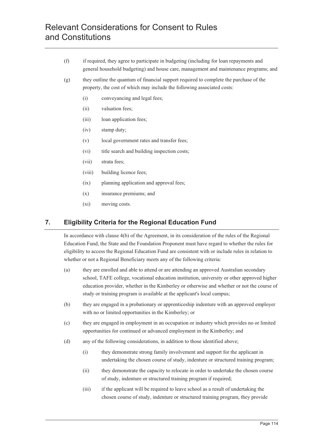- (f) if required, they agree to participate in budgeting (including for loan repayments and general household budgeting) and house care, management and maintenance programs; and
- (g) they outline the quantum of financial support required to complete the purchase of the property, the cost of which may include the following associated costs:
	- (i) conveyancing and legal fees;
	- (ii) valuation fees;
	- (iii) loan application fees;
	- (iv) stamp duty;
	- (v) local government rates and transfer fees;
	- (vi) title search and building inspection costs;
	- (vii) strata fees;
	- (viii) building licence fees;
	- (ix) planning application and approval fees;
	- (x) insurance premiums; and
	- (xi) moving costs.

## **7. Eligibility Criteria for the Regional Education Fund**

In accordance with clause 4(b) of the Agreement, in its consideration of the rules of the Regional Education Fund, the State and the Foundation Proponent must have regard to whether the rules for eligibility to access the Regional Education Fund are consistent with or include rules in relation to whether or not a Regional Beneficiary meets any of the following criteria:

- (a) they are enrolled and able to attend or are attending an approved Australian secondary school, TAFE college, vocational education institution, university or other approved higher education provider, whether in the Kimberley or otherwise and whether or not the course of study or training program is available at the applicant's local campus;
- (b) they are engaged in a probationary or apprenticeship indenture with an approved employer with no or limited opportunities in the Kimberley; or
- (c) they are engaged in employment in an occupation or industry which provides no or limited opportunities for continued or advanced employment in the Kimberley; and
- (d) any of the following considerations, in addition to those identified above;
	- (i) they demonstrate strong family involvement and support for the applicant in undertaking the chosen course of study, indenture or structured training program;
	- (ii) they demonstrate the capacity to relocate in order to undertake the chosen course of study, indenture or structured training program if required;
	- (iii) if the applicant will be required to leave school as a result of undertaking the chosen course of study, indenture or structured training program, they provide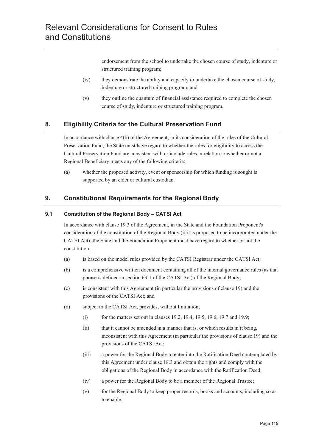endorsement from the school to undertake the chosen course of study, indenture or structured training program;

- (iv) they demonstrate the ability and capacity to undertake the chosen course of study, indenture or structured training program; and
- (v) they outline the quantum of financial assistance required to complete the chosen course of study, indenture or structured training program.

## **8. Eligibility Criteria for the Cultural Preservation Fund**

In accordance with clause 4(b) of the Agreement, in its consideration of the rules of the Cultural Preservation Fund, the State must have regard to whether the rules for eligibility to access the Cultural Preservation Fund are consistent with or include rules in relation to whether or not a Regional Beneficiary meets any of the following criteria:

(a) whether the proposed activity, event or sponsorship for which funding is sought is supported by an elder or cultural custodian.

## **9. Constitutional Requirements for the Regional Body**

#### **9.1 Constitution of the Regional Body – CATSI Act**

In accordance with clause 19.3 of the Agreement, in the State and the Foundation Proponent's consideration of the constitution of the Regional Body (if it is proposed to be incorporated under the CATSI Act), the State and the Foundation Proponent must have regard to whether or not the constitution:

- (a) is based on the model rules provided by the CATSI Registrar under the CATSI Act;
- (b) is a comprehensive written document containing all of the internal governance rules (as that phrase is defined in section 63-1 of the CATSI Act) of the Regional Body;
- (c) is consistent with this Agreement (in particular the provisions of clause 19) and the provisions of the CATSI Act; and
- (d) subject to the CATSI Act, provides, without limitation;
	- (i) for the matters set out in clauses 19.2, 19.4, 19.5, 19.6, 19.7 and 19.9;
	- (ii) that it cannot be amended in a manner that is, or which results in it being, inconsistent with this Agreement (in particular the provisions of clause 19) and the provisions of the CATSI Act;
	- (iii) a power for the Regional Body to enter into the Ratification Deed contemplated by this Agreement under clause 18.3 and obtain the rights and comply with the obligations of the Regional Body in accordance with the Ratification Deed;
	- (iv) a power for the Regional Body to be a member of the Regional Trustee;
	- (v) for the Regional Body to keep proper records, books and accounts, including so as to enable: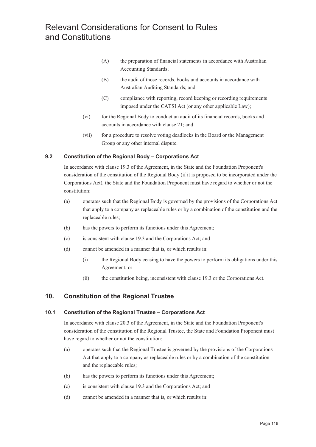- (A) the preparation of financial statements in accordance with Australian Accounting Standards;
- (B) the audit of those records, books and accounts in accordance with Australian Auditing Standards; and
- (C) compliance with reporting, record keeping or recording requirements imposed under the CATSI Act (or any other applicable Law);
- (vi) for the Regional Body to conduct an audit of its financial records, books and accounts in accordance with clause 21; and
- (vii) for a procedure to resolve voting deadlocks in the Board or the Management Group or any other internal dispute.

#### **9.2 Constitution of the Regional Body – Corporations Act**

In accordance with clause 19.3 of the Agreement, in the State and the Foundation Proponent's consideration of the constitution of the Regional Body (if it is proposed to be incorporated under the Corporations Act), the State and the Foundation Proponent must have regard to whether or not the constitution:

- (a) operates such that the Regional Body is governed by the provisions of the Corporations Act that apply to a company as replaceable rules or by a combination of the constitution and the replaceable rules;
- (b) has the powers to perform its functions under this Agreement;
- (c) is consistent with clause 19.3 and the Corporations Act; and
- (d) cannot be amended in a manner that is, or which results in:
	- (i) the Regional Body ceasing to have the powers to perform its obligations under this Agreement; or
	- (ii) the constitution being, inconsistent with clause 19.3 or the Corporations Act.

### **10. Constitution of the Regional Trustee**

#### **10.1 Constitution of the Regional Trustee – Corporations Act**

In accordance with clause 20.3 of the Agreement, in the State and the Foundation Proponent's consideration of the constitution of the Regional Trustee, the State and Foundation Proponent must have regard to whether or not the constitution:

- (a) operates such that the Regional Trustee is governed by the provisions of the Corporations Act that apply to a company as replaceable rules or by a combination of the constitution and the replaceable rules;
- (b) has the powers to perform its functions under this Agreement;
- (c) is consistent with clause 19.3 and the Corporations Act; and
- (d) cannot be amended in a manner that is, or which results in: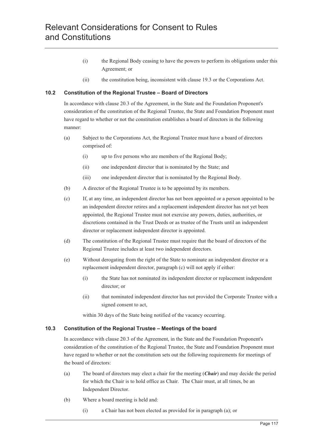- (i) the Regional Body ceasing to have the powers to perform its obligations under this Agreement; or
- (ii) the constitution being, inconsistent with clause 19.3 or the Corporations Act.

#### **10.2 Constitution of the Regional Trustee – Board of Directors**

In accordance with clause 20.3 of the Agreement, in the State and the Foundation Proponent's consideration of the constitution of the Regional Trustee, the State and Foundation Proponent must have regard to whether or not the constitution establishes a board of directors in the following manner:

- (a) Subject to the Corporations Act, the Regional Trustee must have a board of directors comprised of:
	- (i) up to five persons who are members of the Regional Body;
	- (ii) one independent director that is nominated by the State; and
	- (iii) one independent director that is nominated by the Regional Body.
- (b) A director of the Regional Trustee is to be appointed by its members.
- (c) If, at any time, an independent director has not been appointed or a person appointed to be an independent director retires and a replacement independent director has not yet been appointed, the Regional Trustee must not exercise any powers, duties, authorities, or discretions contained in the Trust Deeds or as trustee of the Trusts until an independent director or replacement independent director is appointed.
- (d) The constitution of the Regional Trustee must require that the board of directors of the Regional Trustee includes at least two independent directors.
- (e) Without derogating from the right of the State to nominate an independent director or a replacement independent director, paragraph (c) will not apply if either:
	- (i) the State has not nominated its independent director or replacement independent director; or
	- (ii) that nominated independent director has not provided the Corporate Trustee with a signed consent to act,

within 30 days of the State being notified of the vacancy occurring.

#### **10.3 Constitution of the Regional Trustee – Meetings of the board**

In accordance with clause 20.3 of the Agreement, in the State and the Foundation Proponent's consideration of the constitution of the Regional Trustee, the State and Foundation Proponent must have regard to whether or not the constitution sets out the following requirements for meetings of the board of directors:

- (a) The board of directors may elect a chair for the meeting (*Chair*) and may decide the period for which the Chair is to hold office as Chair. The Chair must, at all times, be an Independent Director.
- (b) Where a board meeting is held and:
	- (i) a Chair has not been elected as provided for in paragraph (a); or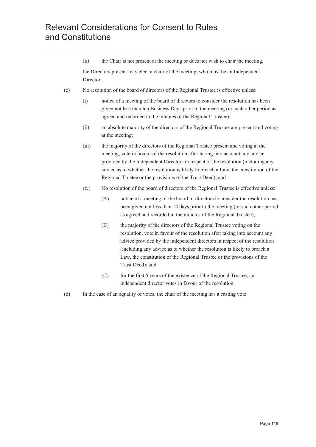(ii) the Chair is not present at the meeting or does not wish to chair the meeting, the Directors present may elect a chair of the meeting, who must be an Independent Director.

- (c) No resolution of the board of directors of the Regional Trustee is effective unless:
	- (i) notice of a meeting of the board of directors to consider the resolution has been given not less than ten Business Days prior to the meeting (or such other period as agreed and recorded in the minutes of the Regional Trustee);
	- (ii) an absolute majority of the directors of the Regional Trustee are present and voting at the meeting;
	- (iii) the majority of the directors of the Regional Trustee present and voting at the meeting, vote in favour of the resolution after taking into account any advice provided by the Independent Directors in respect of the resolution (including any advice as to whether the resolution is likely to breach a Law, the constitution of the Regional Trustee or the provisions of the Trust Deed); and
	- (iv) No resolution of the board of directors of the Regional Trustee is effective unless:
		- (A) notice of a meeting of the board of directors to consider the resolution has been given not less than 14 days prior to the meeting (or such other period as agreed and recorded in the minutes of the Regional Trustee);
		- (B) the majority of the directors of the Regional Trustee voting on the resolution, vote in favour of the resolution after taking into account any advice provided by the independent directors in respect of the resolution (including any advice as to whether the resolution is likely to breach a Law, the constitution of the Regional Trustee or the provisions of the Trust Deed); and
		- (C) for the first 5 years of the existence of the Regional Trustee, an independent director votes in favour of the resolution.
- (d) In the case of an equality of votes, the chair of the meeting has a casting vote.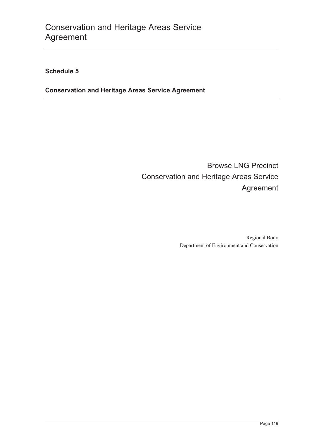**Schedule 5** 

**Conservation and Heritage Areas Service Agreement** 

Browse LNG Precinct Conservation and Heritage Areas Service Agreement

> Regional Body Department of Environment and Conservation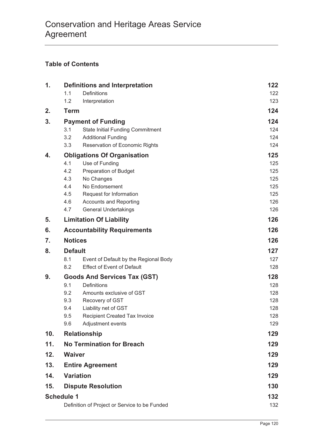## **Table of Contents**

| 1.  | <b>Definitions and Interpretation</b>                                      | 122        |
|-----|----------------------------------------------------------------------------|------------|
|     | <b>Definitions</b><br>1.1                                                  | 122        |
|     | 1.2<br>Interpretation                                                      | 123        |
| 2.  | <b>Term</b>                                                                | 124        |
| 3.  | <b>Payment of Funding</b>                                                  | 124        |
|     | 3.1<br><b>State Initial Funding Commitment</b>                             | 124        |
|     | 3.2<br><b>Additional Funding</b>                                           | 124        |
|     | 3.3<br>Reservation of Economic Rights                                      | 124        |
| 4.  | <b>Obligations Of Organisation</b>                                         | 125        |
|     | 4.1<br>Use of Funding                                                      | 125        |
|     | 4.2<br><b>Preparation of Budget</b>                                        | 125        |
|     | 4.3<br>No Changes<br>No Endorsement<br>4.4                                 | 125<br>125 |
|     | 4.5<br>Request for Information                                             | 125        |
|     | 4.6<br><b>Accounts and Reporting</b>                                       | 126        |
|     | 4.7<br><b>General Undertakings</b>                                         | 126        |
| 5.  | <b>Limitation Of Liability</b>                                             | 126        |
| 6.  | <b>Accountability Requirements</b>                                         | 126        |
| 7.  | <b>Notices</b>                                                             | 126        |
| 8.  | <b>Default</b>                                                             | 127        |
|     | 8.1<br>Event of Default by the Regional Body                               | 127        |
|     | <b>Effect of Event of Default</b><br>8.2                                   | 128        |
| 9.  | <b>Goods And Services Tax (GST)</b>                                        | 128        |
|     | <b>Definitions</b><br>9.1                                                  | 128        |
|     | 9.2<br>Amounts exclusive of GST                                            | 128        |
|     | 9.3<br>Recovery of GST                                                     | 128        |
|     | 9.4<br>Liability net of GST<br>9.5<br><b>Recipient Created Tax Invoice</b> | 128<br>128 |
|     | 9.6<br>Adjustment events                                                   | 129        |
| 10. | <b>Relationship</b>                                                        | 129        |
| 11. | <b>No Termination for Breach</b>                                           | 129        |
| 12. | <b>Waiver</b>                                                              | 129        |
| 13. | <b>Entire Agreement</b>                                                    | 129        |
| 14. | <b>Variation</b><br>129                                                    |            |
| 15. | <b>Dispute Resolution</b>                                                  | 130        |
|     | <b>Schedule 1</b>                                                          | 132        |
|     | Definition of Project or Service to be Funded                              | 132        |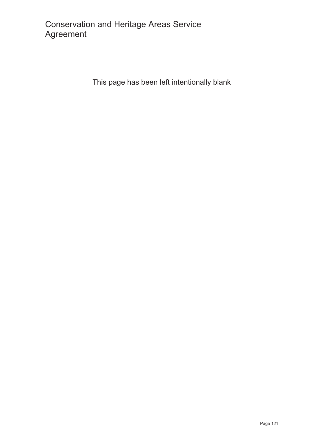This page has been left intentionally blank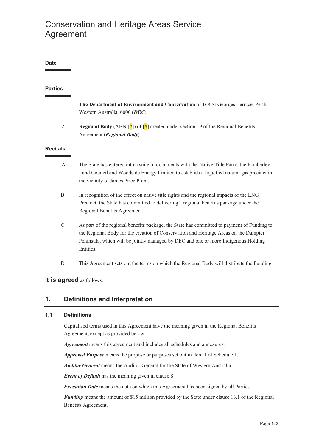# Conservation and Heritage Areas Service Agreement

| <b>Date</b>     |                                                                                                                                                                                                                                                                                       |
|-----------------|---------------------------------------------------------------------------------------------------------------------------------------------------------------------------------------------------------------------------------------------------------------------------------------|
| <b>Parties</b>  |                                                                                                                                                                                                                                                                                       |
| 1.              | The Department of Environment and Conservation of 168 St Georges Terrace, Perth,<br>Western Australia, 6000 (DEC).                                                                                                                                                                    |
| 2.              | <b>Regional Body</b> (ABN $\left[\frac{\mu}{4}\right]$ ) of $\left[\frac{\mu}{4}\right]$ created under section 19 of the Regional Benefits<br>Agreement (Regional Body).                                                                                                              |
| <b>Recitals</b> |                                                                                                                                                                                                                                                                                       |
| $\mathbf{A}$    | The State has entered into a suite of documents with the Native Title Party, the Kimberley<br>Land Council and Woodside Energy Limited to establish a liquefied natural gas precinct in<br>the vicinity of James Price Point.                                                         |
| $\bf{B}$        | In recognition of the effect on native title rights and the regional impacts of the LNG<br>Precinct, the State has committed to delivering a regional benefits package under the<br>Regional Benefits Agreement.                                                                      |
| $\mathcal{C}$   | As part of the regional benefits package, the State has committed to payment of Funding to<br>the Regional Body for the creation of Conservation and Heritage Areas on the Dampier<br>Peninsula, which will be jointly managed by DEC and one or more Indigenous Holding<br>Entities. |
| D               | This Agreement sets out the terms on which the Regional Body will distribute the Funding.                                                                                                                                                                                             |

**It is agreed** as follows.

## **1. Definitions and Interpretation**

#### **1.1 Definitions**

Capitalised terms used in this Agreement have the meaning given in the Regional Benefits Agreement, except as provided below:

*Agreement* means this agreement and includes all schedules and annexures.

*Approved Purpose* means the purpose or purposes set out in item 1 of Schedule 1.

*Auditor General* means the Auditor General for the State of Western Australia.

*Event of Default* has the meaning given in clause 8.

*Execution Date* means the date on which this Agreement has been signed by all Parties.

*Funding* means the amount of \$15 million provided by the State under clause 13.1 of the Regional Benefits Agreement.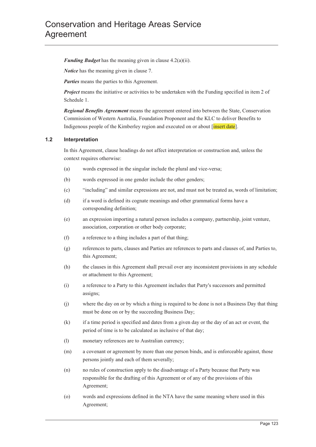*Funding Budget* has the meaning given in clause 4.2(a)(ii).

*Notice* has the meaning given in clause 7.

*Parties* means the parties to this Agreement.

*Project* means the initiative or activities to be undertaken with the Funding specified in item 2 of Schedule 1.

*Regional Benefits Agreement* means the agreement entered into between the State, Conservation Commission of Western Australia, Foundation Proponent and the KLC to deliver Benefits to Indigenous people of the Kimberley region and executed on or about *[insert date]*.

#### **1.2 Interpretation**

In this Agreement, clause headings do not affect interpretation or construction and, unless the context requires otherwise:

- (a) words expressed in the singular include the plural and vice-versa;
- (b) words expressed in one gender include the other genders;
- (c) "including" and similar expressions are not, and must not be treated as, words of limitation;
- (d) if a word is defined its cognate meanings and other grammatical forms have a corresponding definition;
- (e) an expression importing a natural person includes a company, partnership, joint venture, association, corporation or other body corporate;
- (f) a reference to a thing includes a part of that thing;
- (g) references to parts, clauses and Parties are references to parts and clauses of, and Parties to, this Agreement;
- (h) the clauses in this Agreement shall prevail over any inconsistent provisions in any schedule or attachment to this Agreement;
- (i) a reference to a Party to this Agreement includes that Party's successors and permitted assigns;
- (j) where the day on or by which a thing is required to be done is not a Business Day that thing must be done on or by the succeeding Business Day;
- (k) if a time period is specified and dates from a given day or the day of an act or event, the period of time is to be calculated as inclusive of that day;
- (l) monetary references are to Australian currency;
- (m) a covenant or agreement by more than one person binds, and is enforceable against, those persons jointly and each of them severally;
- (n) no rules of construction apply to the disadvantage of a Party because that Party was responsible for the drafting of this Agreement or of any of the provisions of this Agreement;
- (o) words and expressions defined in the NTA have the same meaning where used in this Agreement;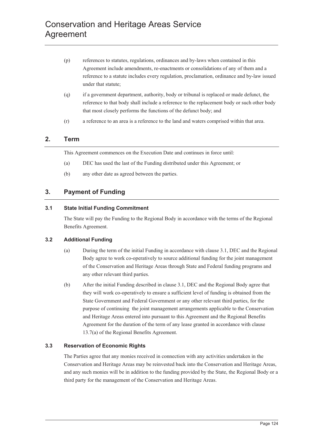| (p) | references to statutes, regulations, ordinances and by-laws when contained in this          |
|-----|---------------------------------------------------------------------------------------------|
|     | Agreement include amendments, re-enactments or consolidations of any of them and a          |
|     | reference to a statute includes every regulation, proclamation, ordinance and by-law issued |
|     | under that statute;                                                                         |

- (q) if a government department, authority, body or tribunal is replaced or made defunct, the reference to that body shall include a reference to the replacement body or such other body that most closely performs the functions of the defunct body; and
- (r) a reference to an area is a reference to the land and waters comprised within that area.

## **2. Term**

This Agreement commences on the Execution Date and continues in force until:

- (a) DEC has used the last of the Funding distributed under this Agreement; or
- (b) any other date as agreed between the parties.

## **3. Payment of Funding**

#### **3.1 State Initial Funding Commitment**

The State will pay the Funding to the Regional Body in accordance with the terms of the Regional Benefits Agreement.

#### **3.2 Additional Funding**

- (a) During the term of the initial Funding in accordance with clause 3.1, DEC and the Regional Body agree to work co-operatively to source additional funding for the joint management of the Conservation and Heritage Areas through State and Federal funding programs and any other relevant third parties.
- (b) After the initial Funding described in clause 3.1, DEC and the Regional Body agree that they will work co-operatively to ensure a sufficient level of funding is obtained from the State Government and Federal Government or any other relevant third parties, for the purpose of continuing the joint management arrangements applicable to the Conservation and Heritage Areas entered into pursuant to this Agreement and the Regional Benefits Agreement for the duration of the term of any lease granted in accordance with clause 13.7(a) of the Regional Benefits Agreement.

#### **3.3 Reservation of Economic Rights**

The Parties agree that any monies received in connection with any activities undertaken in the Conservation and Heritage Areas may be reinvested back into the Conservation and Heritage Areas, and any such monies will be in addition to the funding provided by the State, the Regional Body or a third party for the management of the Conservation and Heritage Areas.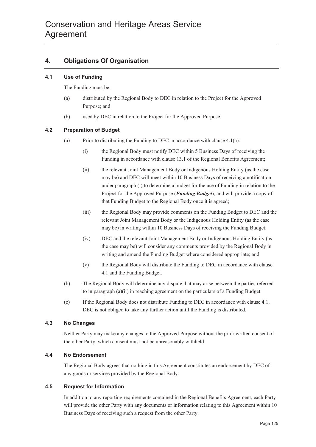## **4. Obligations Of Organisation**

#### **4.1 Use of Funding**

The Funding must be:

- (a) distributed by the Regional Body to DEC in relation to the Project for the Approved Purpose; and
- (b) used by DEC in relation to the Project for the Approved Purpose.

### **4.2 Preparation of Budget**

- (a) Prior to distributing the Funding to DEC in accordance with clause  $4.1(a)$ :
	- (i) the Regional Body must notify DEC within 5 Business Days of receiving the Funding in accordance with clause 13.1 of the Regional Benefits Agreement;
	- (ii) the relevant Joint Management Body or Indigenous Holding Entity (as the case may be) and DEC will meet within 10 Business Days of receiving a notification under paragraph (i) to determine a budget for the use of Funding in relation to the Project for the Approved Purpose (*Funding Budget*), and will provide a copy of that Funding Budget to the Regional Body once it is agreed;
	- (iii) the Regional Body may provide comments on the Funding Budget to DEC and the relevant Joint Management Body or the Indigenous Holding Entity (as the case may be) in writing within 10 Business Days of receiving the Funding Budget;
	- (iv) DEC and the relevant Joint Management Body or Indigenous Holding Entity (as the case may be) will consider any comments provided by the Regional Body in writing and amend the Funding Budget where considered appropriate; and
	- (v) the Regional Body will distribute the Funding to DEC in accordance with clause 4.1 and the Funding Budget.
- (b) The Regional Body will determine any dispute that may arise between the parties referred to in paragraph (a)(ii) in reaching agreement on the particulars of a Funding Budget.
- (c) If the Regional Body does not distribute Funding to DEC in accordance with clause 4.1, DEC is not obliged to take any further action until the Funding is distributed.

### **4.3 No Changes**

Neither Party may make any changes to the Approved Purpose without the prior written consent of the other Party, which consent must not be unreasonably withheld.

#### **4.4 No Endorsement**

The Regional Body agrees that nothing in this Agreement constitutes an endorsement by DEC of any goods or services provided by the Regional Body.

#### **4.5 Request for Information**

In addition to any reporting requirements contained in the Regional Benefits Agreement, each Party will provide the other Party with any documents or information relating to this Agreement within 10 Business Days of receiving such a request from the other Party.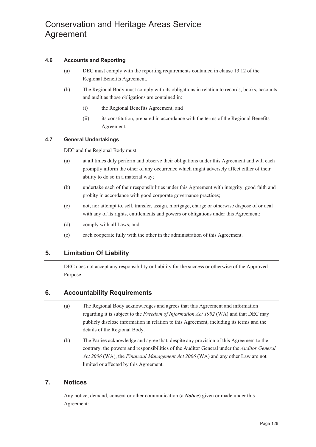#### **4.6 Accounts and Reporting**

- (a) DEC must comply with the reporting requirements contained in clause 13.12 of the Regional Benefits Agreement.
- (b) The Regional Body must comply with its obligations in relation to records, books, accounts and audit as those obligations are contained in:
	- (i) the Regional Benefits Agreement; and
	- (ii) its constitution, prepared in accordance with the terms of the Regional Benefits Agreement.

#### **4.7 General Undertakings**

DEC and the Regional Body must:

- (a) at all times duly perform and observe their obligations under this Agreement and will each promptly inform the other of any occurrence which might adversely affect either of their ability to do so in a material way;
- (b) undertake each of their responsibilities under this Agreement with integrity, good faith and probity in accordance with good corporate governance practices;
- (c) not, nor attempt to, sell, transfer, assign, mortgage, charge or otherwise dispose of or deal with any of its rights, entitlements and powers or obligations under this Agreement;
- (d) comply with all Laws; and
- (e) each cooperate fully with the other in the administration of this Agreement.

## **5. Limitation Of Liability**

DEC does not accept any responsibility or liability for the success or otherwise of the Approved Purpose.

## **6. Accountability Requirements**

- (a) The Regional Body acknowledges and agrees that this Agreement and information regarding it is subject to the *Freedom of Information Act 1992* (WA) and that DEC may publicly disclose information in relation to this Agreement, including its terms and the details of the Regional Body.
- (b) The Parties acknowledge and agree that, despite any provision of this Agreement to the contrary, the powers and responsibilities of the Auditor General under the *Auditor General Act 2006* (WA), the *Financial Management Act 2006* (WA) and any other Law are not limited or affected by this Agreement.

## **7. Notices**

Any notice, demand, consent or other communication (a *Notice*) given or made under this Agreement: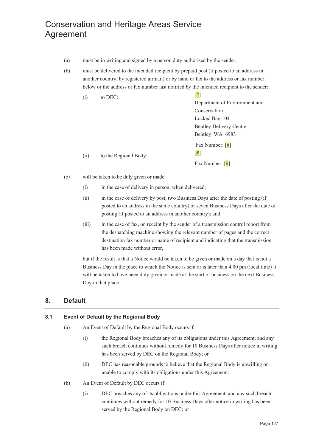- (a) must be in writing and signed by a person duty authorised by the sender;
- (b) must be delivered to the intended recipient by prepaid post (if posted to an address in another country, by registered airmail) or by hand or fax to the address or fax number below or the address or fax number last notified by the intended recipient to the sender:
	- (i) to DEC:  $\left[\frac{\text{H}}{\text{}}\right]$ Department of Environment and Conservation Locked Bag 104 Bentley Delivery Centre Bentley WA 6983 Fax Number: [#] (ii) to the Regional Body:  $[\frac{\#}{ }]$ Fax Number: [#]
- (c) will be taken to be duly given or made:
	- (i) in the case of delivery in person, when delivered;
	- (ii) in the case of delivery by post, two Business Days after the date of posting (if posted to an address in the same country) or seven Business Days after the date of posting (if posted to an address in another country); and
	- (iii) in the case of fax, on receipt by the sender of a transmission control report from the despatching machine showing the relevant number of pages and the correct destination fax number or name of recipient and indicating that the transmission has been made without error,

but if the result is that a Notice would be taken to be given or made on a day that is not a Business Day in the place to which the Notice is sent or is later than 4.00 pm (local time) it will be taken to have been duly given or made at the start of business on the next Business Day in that place.

## **8. Default**

#### **8.1 Event of Default by the Regional Body**

- (a) An Event of Default by the Regional Body occurs if:
	- (i) the Regional Body breaches any of its obligations under this Agreement, and any such breach continues without remedy for 10 Business Days after notice in writing has been served by DEC on the Regional Body; or
	- (ii) DEC has reasonable grounds to believe that the Regional Body is unwilling or unable to comply with its obligations under this Agreement.
- (b) An Event of Default by DEC occurs if:
	- (i) DEC breaches any of its obligations under this Agreement, and any such breach continues without remedy for 10 Business Days after notice in writing has been served by the Regional Body on DEC; or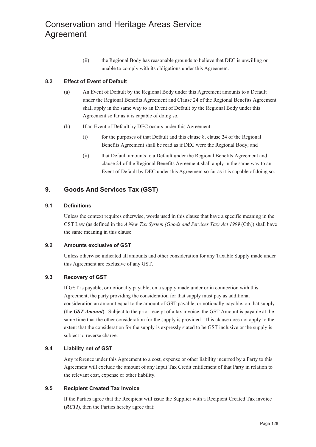(ii) the Regional Body has reasonable grounds to believe that DEC is unwilling or unable to comply with its obligations under this Agreement.

#### **8.2 Effect of Event of Default**

- (a) An Event of Default by the Regional Body under this Agreement amounts to a Default under the Regional Benefits Agreement and Clause 24 of the Regional Benefits Agreement shall apply in the same way to an Event of Default by the Regional Body under this Agreement so far as it is capable of doing so.
- (b) If an Event of Default by DEC occurs under this Agreement:
	- (i) for the purposes of that Default and this clause 8, clause 24 of the Regional Benefits Agreement shall be read as if DEC were the Regional Body; and
	- (ii) that Default amounts to a Default under the Regional Benefits Agreement and clause 24 of the Regional Benefits Agreement shall apply in the same way to an Event of Default by DEC under this Agreement so far as it is capable of doing so.

## **9. Goods And Services Tax (GST)**

#### **9.1 Definitions**

Unless the context requires otherwise, words used in this clause that have a specific meaning in the GST Law (as defined in the *A New Tax System (Goods and Services Tax) Act 1999* (Cth)) shall have the same meaning in this clause.

#### **9.2 Amounts exclusive of GST**

Unless otherwise indicated all amounts and other consideration for any Taxable Supply made under this Agreement are exclusive of any GST.

#### **9.3 Recovery of GST**

If GST is payable, or notionally payable, on a supply made under or in connection with this Agreement, the party providing the consideration for that supply must pay as additional consideration an amount equal to the amount of GST payable, or notionally payable, on that supply (the *GST Amount*). Subject to the prior receipt of a tax invoice, the GST Amount is payable at the same time that the other consideration for the supply is provided. This clause does not apply to the extent that the consideration for the supply is expressly stated to be GST inclusive or the supply is subject to reverse charge.

#### **9.4 Liability net of GST**

Any reference under this Agreement to a cost, expense or other liability incurred by a Party to this Agreement will exclude the amount of any Input Tax Credit entitlement of that Party in relation to the relevant cost, expense or other liability.

#### **9.5 Recipient Created Tax Invoice**

If the Parties agree that the Recipient will issue the Supplier with a Recipient Created Tax invoice (*RCTI*), then the Parties hereby agree that: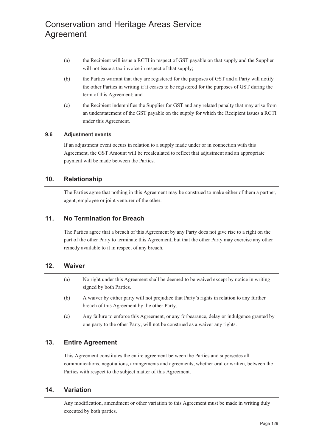- (a) the Recipient will issue a RCTI in respect of GST payable on that supply and the Supplier will not issue a tax invoice in respect of that supply;
- (b) the Parties warrant that they are registered for the purposes of GST and a Party will notify the other Parties in writing if it ceases to be registered for the purposes of GST during the term of this Agreement; and
- (c) the Recipient indemnifies the Supplier for GST and any related penalty that may arise from an understatement of the GST payable on the supply for which the Recipient issues a RCTI under this Agreement.

#### **9.6 Adjustment events**

If an adjustment event occurs in relation to a supply made under or in connection with this Agreement, the GST Amount will be recalculated to reflect that adjustment and an appropriate payment will be made between the Parties.

## **10. Relationship**

The Parties agree that nothing in this Agreement may be construed to make either of them a partner, agent, employee or joint venturer of the other.

## **11. No Termination for Breach**

The Parties agree that a breach of this Agreement by any Party does not give rise to a right on the part of the other Party to terminate this Agreement, but that the other Party may exercise any other remedy available to it in respect of any breach.

## **12. Waiver**

- (a) No right under this Agreement shall be deemed to be waived except by notice in writing signed by both Parties.
- (b) A waiver by either party will not prejudice that Party's rights in relation to any further breach of this Agreement by the other Party.
- (c) Any failure to enforce this Agreement, or any forbearance, delay or indulgence granted by one party to the other Party, will not be construed as a waiver any rights.

## **13. Entire Agreement**

This Agreement constitutes the entire agreement between the Parties and supersedes all communications, negotiations, arrangements and agreements, whether oral or written, between the Parties with respect to the subject matter of this Agreement.

## **14. Variation**

Any modification, amendment or other variation to this Agreement must be made in writing duly executed by both parties.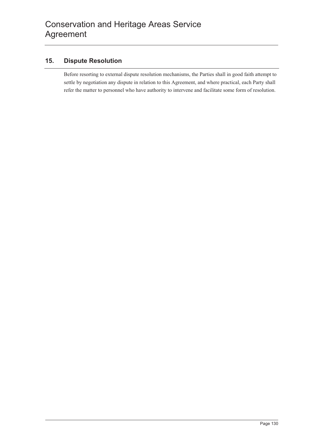## **15. Dispute Resolution**

Before resorting to external dispute resolution mechanisms, the Parties shall in good faith attempt to settle by negotiation any dispute in relation to this Agreement, and where practical, each Party shall refer the matter to personnel who have authority to intervene and facilitate some form of resolution.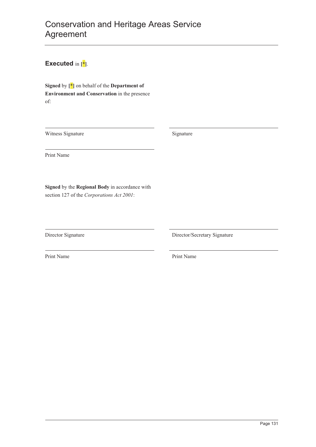## **Executed** in **[\*]**.

**Signed** by **[\*]** on behalf of the **Department of Environment and Conservation** in the presence of:

Witness Signature Signature Signature

Print Name

**Signed** by the **Regional Body** in accordance with section 127 of the *Corporations Act 2001*:

Print Name Print Name

Director Signature Director/Secretary Signature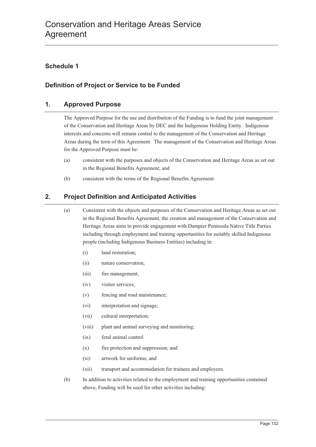## **Schedule 1**

## **Definition of Project or Service to be Funded**

## **1. Approved Purpose**

The Approved Purpose for the use and distribution of the Funding is to fund the joint management of the Conservation and Heritage Areas by DEC and the Indigenous Holding Entity. Indigenous interests and concerns will remain central to the management of the Conservation and Heritage Areas during the term of this Agreement. The management of the Conservation and Heritage Areas for the Approved Purpose must be:

- (a) consistent with the purposes and objects of the Conservation and Heritage Areas as set out in the Regional Benefits Agreement; and
- (b) consistent with the terms of the Regional Benefits Agreement.

## **2. Project Definition and Anticipated Activities**

- (a) Consistent with the objects and purposes of the Conservation and Heritage Areas as set out in the Regional Benefits Agreement, the creation and management of the Conservation and Heritage Areas aims to provide engagement with Dampier Peninsula Native Title Parties including through employment and training opportunities for suitably skilled Indigenous people (including Indigenous Business Entities) including in:
	- (i) land restoration;
	- (ii) nature conservation;
	- (iii) fire management;
	- (iv) visitor services;
	- (v) fencing and road maintenance;
	- (vi) interpretation and signage;
	- (vii) cultural interpretation;
	- (viii) plant and animal surveying and monitoring;
	- (ix) feral animal control
	- (x) fire protection and suppression; and
	- (xi) artwork for uniforms; and
	- (xii) transport and accommodation for trainees and employees.
- (b) In addition to activities related to the employment and training opportunities contained above, Funding will be used for other activities including: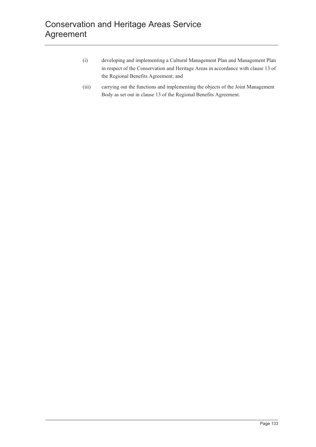- (i) developing and implementing a Cultural Management Plan and Management Plan in respect of the Conservation and Heritage Areas in accordance with clause 13 of the Regional Benefits Agreement; and
- (iii) carrying out the functions and implementing the objects of the Joint Management Body as set out in clause 13 of the Regional Benefits Agreement.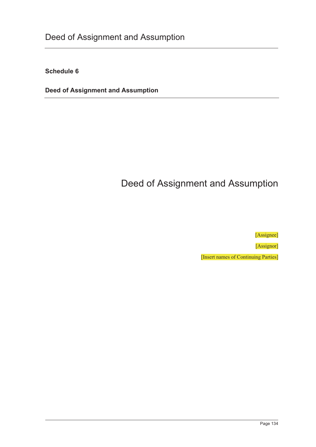**Schedule 6** 

**Deed of Assignment and Assumption** 

# Deed of Assignment and Assumption

[Assignee]

[Assignor]

[Insert names of Continuing Parties]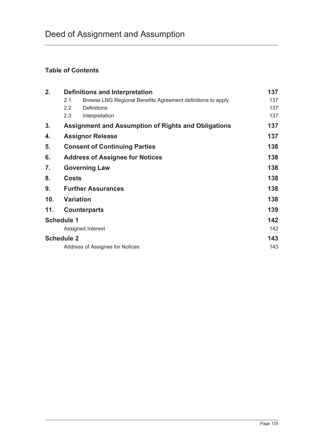## **Table of Contents**

| 2.                |                   | <b>Definitions and Interpretation</b>                       | 137 |
|-------------------|-------------------|-------------------------------------------------------------|-----|
|                   | 2.1               | Browse LNG Regional Benefits Agreement definitions to apply | 137 |
|                   | $2.2\phantom{0}$  | <b>Definitions</b>                                          | 137 |
|                   | 2.3               | Interpretation                                              | 137 |
| 3.                |                   | <b>Assignment and Assumption of Rights and Obligations</b>  | 137 |
| 4.                |                   | <b>Assignor Release</b>                                     | 137 |
| 5.                |                   | <b>Consent of Continuing Parties</b>                        | 138 |
| 6.                |                   | <b>Address of Assignee for Notices</b>                      | 138 |
| 7.                |                   | <b>Governing Law</b>                                        | 138 |
| 8.                | <b>Costs</b>      |                                                             | 138 |
| 9.                |                   | <b>Further Assurances</b>                                   | 138 |
| 10 <sub>1</sub>   |                   | <b>Variation</b>                                            | 138 |
| 11.               |                   | <b>Counterparts</b>                                         | 139 |
| <b>Schedule 1</b> |                   | 142                                                         |     |
|                   |                   | Assigned Interest                                           | 142 |
|                   | <b>Schedule 2</b> |                                                             | 143 |
|                   |                   | Address of Assignee for Notices                             | 143 |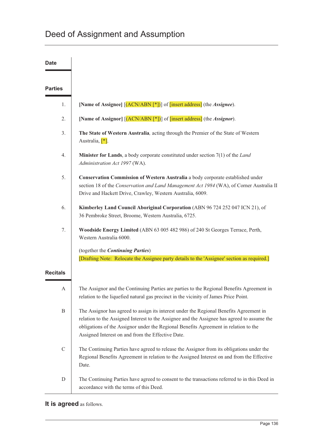| <b>Date</b>     |                                                                                                                                                                                                                                                                                                                                     |
|-----------------|-------------------------------------------------------------------------------------------------------------------------------------------------------------------------------------------------------------------------------------------------------------------------------------------------------------------------------------|
| <b>Parties</b>  |                                                                                                                                                                                                                                                                                                                                     |
| 1.              | [Name of Assignee] [(ACN/ABN [*])] of [insert address] (the <i>Assignee</i> ).                                                                                                                                                                                                                                                      |
| 2.              | [Name of Assignor] $[(ACN/ABN * 1)]$ of $[insert address]$ (the <i>Assignor</i> ).                                                                                                                                                                                                                                                  |
| 3.              | The State of Western Australia, acting through the Premier of the State of Western<br>Australia, [*].                                                                                                                                                                                                                               |
| 4.              | Minister for Lands, a body corporate constituted under section 7(1) of the Land<br>Administration Act 1997 (WA).                                                                                                                                                                                                                    |
| 5.              | Conservation Commission of Western Australia a body corporate established under<br>section 18 of the Conservation and Land Management Act 1984 (WA), of Corner Australia II<br>Drive and Hackett Drive, Crawley, Western Australia, 6009.                                                                                           |
| 6.              | Kimberley Land Council Aboriginal Corporation (ABN 96 724 252 047 ICN 21), of<br>36 Pembroke Street, Broome, Western Australia, 6725.                                                                                                                                                                                               |
| 7.              | Woodside Energy Limited (ABN 63 005 482 986) of 240 St Georges Terrace, Perth,<br>Western Australia 6000.                                                                                                                                                                                                                           |
|                 | (together the <i>Continuing Parties</i> )                                                                                                                                                                                                                                                                                           |
|                 | [Drafting Note: Relocate the Assignee party details to the 'Assignee' section as required.]                                                                                                                                                                                                                                         |
| <b>Recitals</b> |                                                                                                                                                                                                                                                                                                                                     |
| A               | The Assignor and the Continuing Parties are parties to the Regional Benefits Agreement in<br>relation to the liquefied natural gas precinct in the vicinity of James Price Point.                                                                                                                                                   |
| B               | The Assignor has agreed to assign its interest under the Regional Benefits Agreement in<br>relation to the Assigned Interest to the Assignee and the Assignee has agreed to assume the<br>obligations of the Assignor under the Regional Benefits Agreement in relation to the<br>Assigned Interest on and from the Effective Date. |
| $\mathcal{C}$   | The Continuing Parties have agreed to release the Assignor from its obligations under the<br>Regional Benefits Agreement in relation to the Assigned Interest on and from the Effective<br>Date.                                                                                                                                    |
| D               | The Continuing Parties have agreed to consent to the transactions referred to in this Deed in<br>accordance with the terms of this Deed.                                                                                                                                                                                            |

**It is agreed** as follows.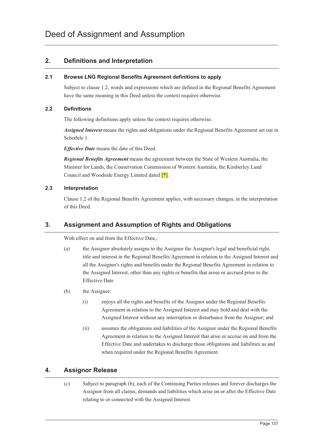## **2. Definitions and Interpretation**

#### **2.1 Browse LNG Regional Benefits Agreement definitions to apply**

Subject to clause 1.2, words and expressions which are defined in the Regional Benefits Agreement have the same meaning in this Deed unless the context requires otherwise.

#### **2.2 Definitions**

The following definitions apply unless the context requires otherwise.

*Assigned Interest* means the rights and obligations under the Regional Benefits Agreement set out in Schedule 1.

*Effective Date* means the date of this Deed.

*Regional Benefits Agreement* means the agreement between the State of Western Australia, the Minister for Lands, the Conservation Commission of Western Australia, the Kimberley Land Council and Woodside Energy Limited dated [\*].

#### **2.3 Interpretation**

Clause 1.2 of the Regional Benefits Agreement applies, with necessary changes, in the interpretation of this Deed.

## **3. Assignment and Assumption of Rights and Obligations**

With effect on and from the Effective Date,:

- (a) the Assignor absolutely assigns to the Assignee the Assignor's legal and beneficial right, title and interest in the Regional Benefits Agreement in relation to the Assigned Interest and all the Assignor's rights and benefits under the Regional Benefits Agreement in relation to the Assigned Interest, other than any rights or benefits that arose or accrued prior to the Effective Date
- (b) the Assignee:
	- (i) enjoys all the rights and benefits of the Assignor under the Regional Benefits Agreement in relation to the Assigned Interest and may hold and deal with the Assigned Interest without any interruption or disturbance from the Assignor; and
	- (ii) assumes the obligations and liabilities of the Assignor under the Regional Benefits Agreement in relation to the Assigned Interest that arise or accrue on and from the Effective Date and undertakes to discharge those obligations and liabilities as and when required under the Regional Benefits Agreement.

### **4. Assignor Release**

(c) Subject to paragraph (b), each of the Continuing Parties releases and forever discharges the Assignor from all claims, demands and liabilities which arise on or after the Effective Date relating to or connected with the Assigned Interest.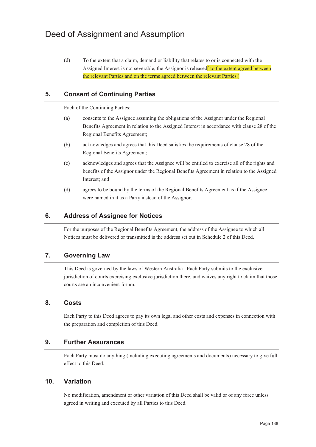(d) To the extent that a claim, demand or liability that relates to or is connected with the Assigned Interest is not severable, the Assignor is released to the extent agreed between the relevant Parties and on the terms agreed between the relevant Parties.]

# **5. Consent of Continuing Parties**

Each of the Continuing Parties:

- (a) consents to the Assignee assuming the obligations of the Assignor under the Regional Benefits Agreement in relation to the Assigned Interest in accordance with clause 28 of the Regional Benefits Agreement;
- (b) acknowledges and agrees that this Deed satisfies the requirements of clause 28 of the Regional Benefits Agreement;
- (c) acknowledges and agrees that the Assignee will be entitled to exercise all of the rights and benefits of the Assignor under the Regional Benefits Agreement in relation to the Assigned Interest; and
- (d) agrees to be bound by the terms of the Regional Benefits Agreement as if the Assignee were named in it as a Party instead of the Assignor.

## **6. Address of Assignee for Notices**

For the purposes of the Regional Benefits Agreement, the address of the Assignee to which all Notices must be delivered or transmitted is the address set out in Schedule 2 of this Deed.

## **7. Governing Law**

This Deed is governed by the laws of Western Australia. Each Party submits to the exclusive jurisdiction of courts exercising exclusive jurisdiction there, and waives any right to claim that those courts are an inconvenient forum.

## **8. Costs**

Each Party to this Deed agrees to pay its own legal and other costs and expenses in connection with the preparation and completion of this Deed.

#### **9. Further Assurances**

Each Party must do anything (including executing agreements and documents) necessary to give full effect to this Deed.

## **10. Variation**

No modification, amendment or other variation of this Deed shall be valid or of any force unless agreed in writing and executed by all Parties to this Deed.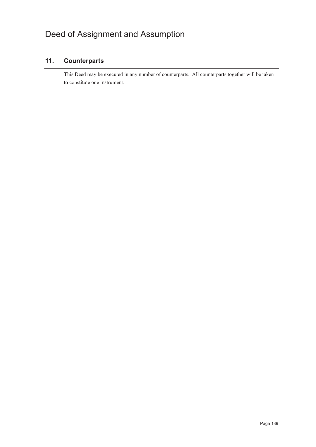# **11. Counterparts**

This Deed may be executed in any number of counterparts. All counterparts together will be taken to constitute one instrument.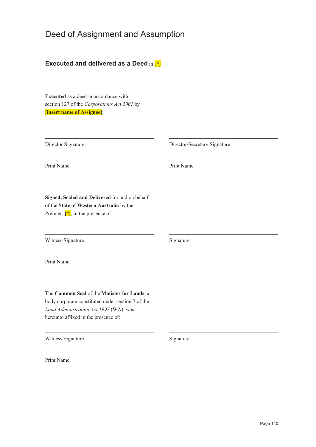# **Executed and delivered as a Deed in [\*]**

**Executed** as a deed in accordance with section 127 of the *Corporations Act 2001* by **[insert name of Assignee]**:

| Director Signature |  |
|--------------------|--|
|--------------------|--|

Print Name Print Name

**Signed, Sealed and Delivered** for and on behalf of the **State of Western Australia** by the Premier,  $[\cdot \cdot]$ , in the presence of:

Witness Signature Signature Signature

Print Name

The **Common Seal** of the **Minister for Lands**, a body corporate constituted under section 7 of the *Land Administration Act 1997* (WA), was hereunto affixed in the presence of:

Witness Signature Signature Signature

Print Name

Director/Secretary Signature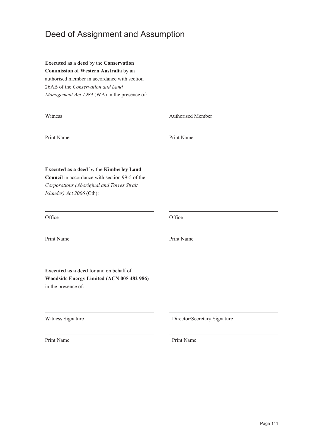# Deed of Assignment and Assumption

| Executed as a deed by the Conservation         |                              |
|------------------------------------------------|------------------------------|
| Commission of Western Australia by an          |                              |
| authorised member in accordance with section   |                              |
| 26AB of the Conservation and Land              |                              |
| Management Act 1984 (WA) in the presence of:   |                              |
|                                                |                              |
| Witness                                        | <b>Authorised Member</b>     |
| Print Name                                     | Print Name                   |
| Executed as a deed by the Kimberley Land       |                              |
| Council in accordance with section 99-5 of the |                              |
| Corporations (Aboriginal and Torres Strait     |                              |
| Islander) Act 2006 (Cth):                      |                              |
| Office                                         | Office                       |
| Print Name                                     | Print Name                   |
| <b>Executed as a deed for and on behalf of</b> |                              |
| Woodside Energy Limited (ACN 005 482 986)      |                              |
| in the presence of:                            |                              |
|                                                |                              |
| Witness Signature                              | Director/Secretary Signature |
| Print Name                                     | Print Name                   |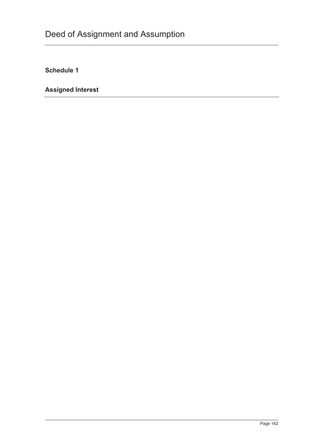**Schedule 1** 

**Assigned Interest**